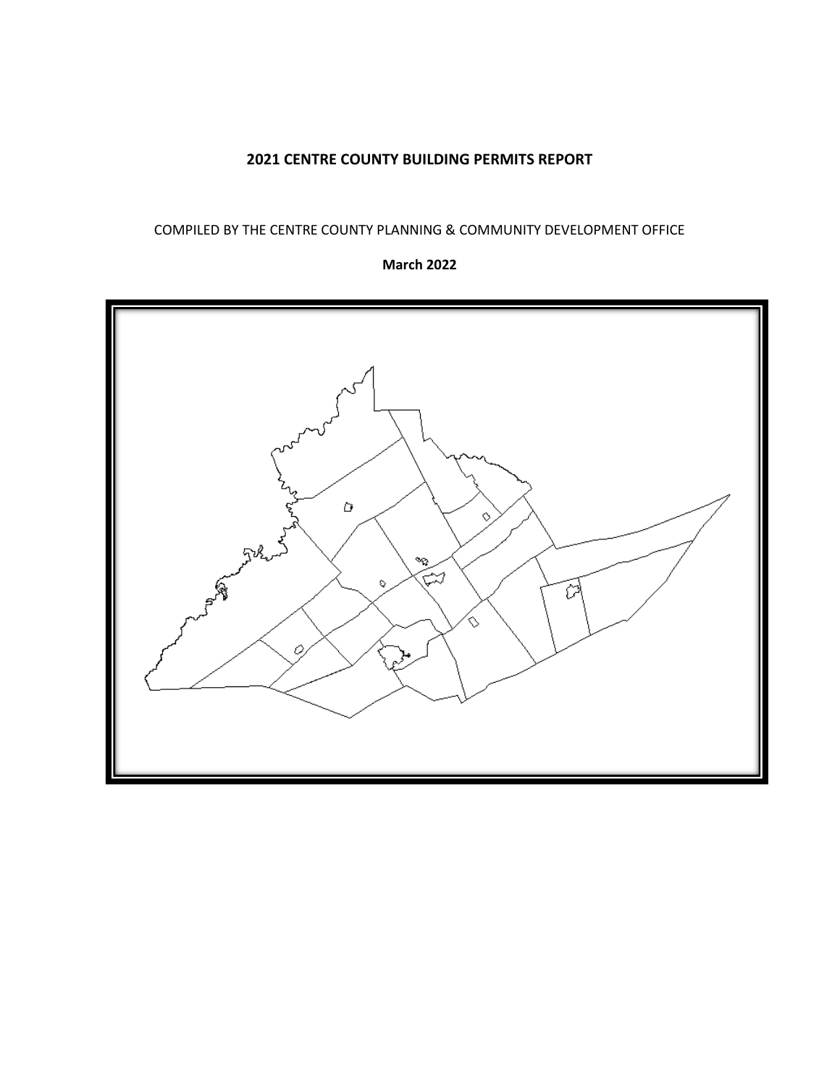# **2021 CENTRE COUNTY BUILDING PERMITS REPORT**

### COMPILED BY THE CENTRE COUNTY PLANNING & COMMUNITY DEVELOPMENT OFFICE

#### **March 2022**

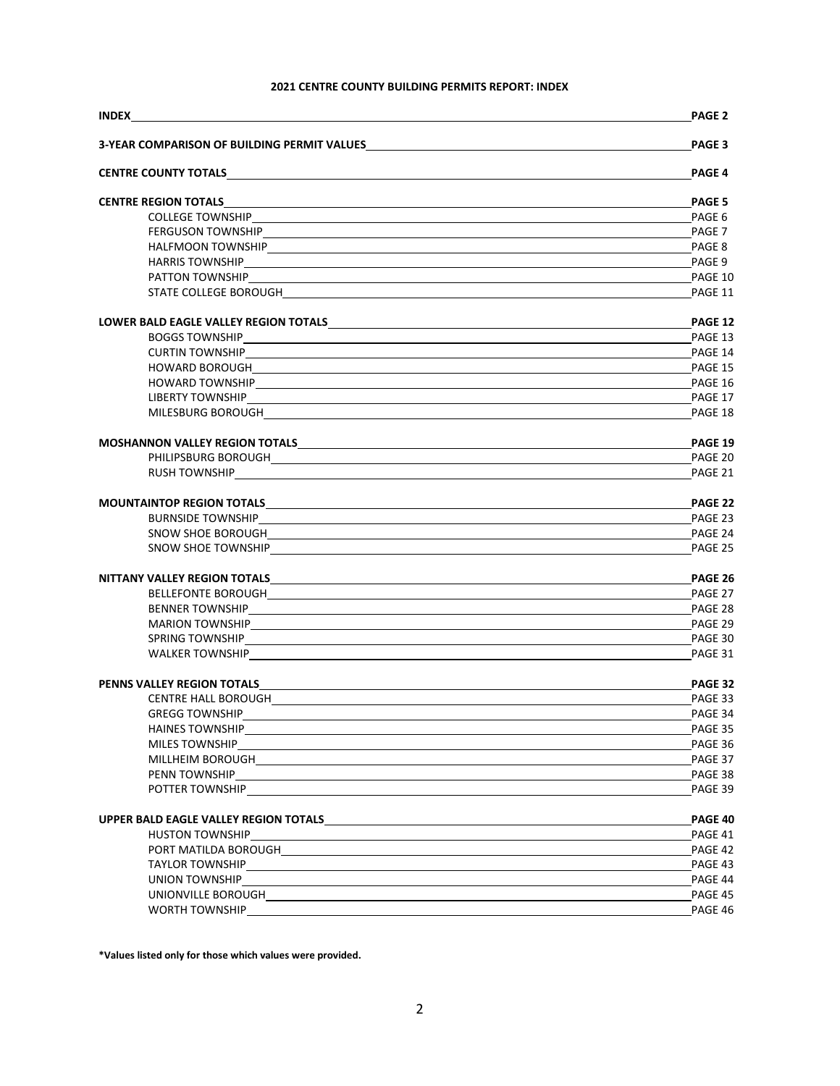#### **2021 CENTRE COUNTY BUILDING PERMITS REPORT: INDEX**

|                                                                                                                                                                                                                                      | <b>PAGE 2</b> |
|--------------------------------------------------------------------------------------------------------------------------------------------------------------------------------------------------------------------------------------|---------------|
| 3-YEAR COMPARISON OF BUILDING PERMIT VALUES                                                                                                                                                                                          | PAGE 3        |
|                                                                                                                                                                                                                                      | <b>PAGE 4</b> |
|                                                                                                                                                                                                                                      | <b>PAGE 5</b> |
|                                                                                                                                                                                                                                      | PAGE 6        |
|                                                                                                                                                                                                                                      |               |
|                                                                                                                                                                                                                                      | PAGE 8        |
|                                                                                                                                                                                                                                      |               |
|                                                                                                                                                                                                                                      |               |
|                                                                                                                                                                                                                                      | PAGE 11       |
|                                                                                                                                                                                                                                      | PAGE 12       |
|                                                                                                                                                                                                                                      |               |
|                                                                                                                                                                                                                                      |               |
|                                                                                                                                                                                                                                      |               |
|                                                                                                                                                                                                                                      |               |
|                                                                                                                                                                                                                                      | PAGE 17       |
|                                                                                                                                                                                                                                      | PAGE 18       |
| MOSHANNON VALLEY REGION TOTALS MARKET AND THE CONTROL OF THE CONTROL OF THE CONTROL OF THE CONTROL OF THE CONTROL OF THE CONTROL OF THE CONTROL OF THE CONTROL OF THE CONTROL OF THE CONTROL OF THE CONTROL OF THE CONTROL OF        | PAGE 19       |
|                                                                                                                                                                                                                                      | PAGE 20       |
|                                                                                                                                                                                                                                      | PAGE 21       |
| MOUNTAINTOP REGION TOTALS <b>And Accountability of the Contract of Contract Contract of Contract Contract Contract Contract Contract Contract Contract Contract Contract Contract Contract Contract Contract Contract Contract C</b> | PAGE 22       |
|                                                                                                                                                                                                                                      |               |
|                                                                                                                                                                                                                                      | PAGE 24       |
|                                                                                                                                                                                                                                      | PAGE 25       |
|                                                                                                                                                                                                                                      | PAGE 26       |
|                                                                                                                                                                                                                                      | PAGE 27       |
|                                                                                                                                                                                                                                      |               |
|                                                                                                                                                                                                                                      | PAGE 29       |
|                                                                                                                                                                                                                                      | PAGE 30       |
|                                                                                                                                                                                                                                      | PAGE 31       |
|                                                                                                                                                                                                                                      | PAGE 32       |
|                                                                                                                                                                                                                                      |               |
| <b>GREGG TOWNSHIP</b>                                                                                                                                                                                                                | PAGE 34       |
|                                                                                                                                                                                                                                      | PAGE 35       |
| MILES TOWNSHIP <b>Example 20</b> Second 20 Second 20 Second 20 Second 20 Second 20 Second 20 Second 20 Second 20 Second 20 Second 20 Second 20 Second 20 Second 20 Second 20 Second 20 Second 20 Second 20 Second 20 Second 20 Seco  | PAGE 36       |
| MILLHEIM BOROUGHNALL AND ANN AN EXAMPLE AND A CONTRACT A CONTRACT A CONTRACT OF A CONTRACT OF A CONTRACT OF A CONTRACT OF A CONTRACT OF A CONTRACT OF A CONTRACT OF A CONTRACT OF A CONTRACT OF A CONTRACT OF A CONTRACT OF A        | PAGE 37       |
|                                                                                                                                                                                                                                      | PAGE 38       |
| POTTER TOWNSHIP CONTRACT CONTRACT CONTRACT CONTRACT CONTRACT CONTRACT CONTRACT CONTRACT CONTRACT CONTRACT CONTRACT CONTRACT CONTRACT CONTRACT CONTRACT CONTRACT CONTRACT CONTRACT CONTRACT CONTRACT CONTRACT CONTRACT CONTRACT       | PAGE 39       |
|                                                                                                                                                                                                                                      | PAGE 40       |
| HUSTON TOWNSHIP PRESENTED A REPORT OF THE RESENT OF THE REPORT OF THE REPORT OF THE REPORT OF THE REPORT OF TH                                                                                                                       | PAGE 41       |
|                                                                                                                                                                                                                                      | PAGE 42       |
|                                                                                                                                                                                                                                      | PAGE 43       |
|                                                                                                                                                                                                                                      | PAGE 44       |
|                                                                                                                                                                                                                                      | PAGE 45       |
|                                                                                                                                                                                                                                      | PAGE 46       |
|                                                                                                                                                                                                                                      |               |

**\*Values listed only for those which values were provided.**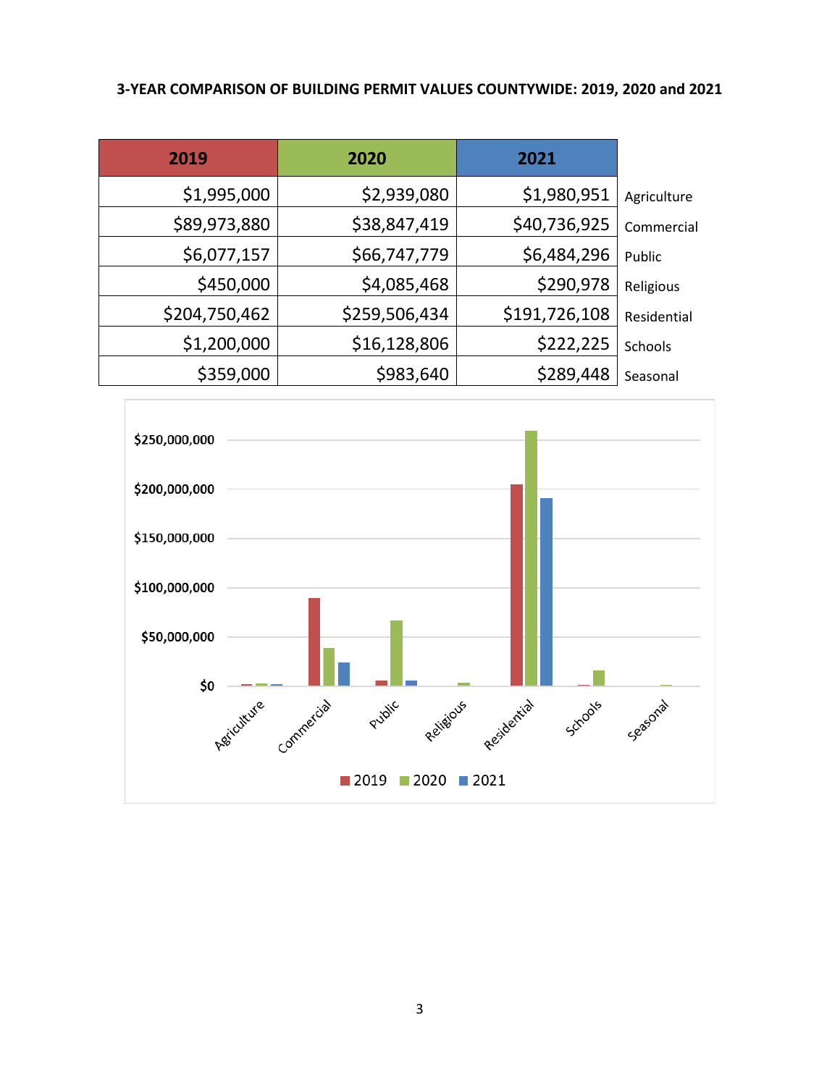## **3-YEAR COMPARISON OF BUILDING PERMIT VALUES COUNTYWIDE: 2019, 2020 and 2021**

| 2019          | 2020          | 2021          |             |
|---------------|---------------|---------------|-------------|
| \$1,995,000   | \$2,939,080   | \$1,980,951   | Agriculture |
| \$89,973,880  | \$38,847,419  | \$40,736,925  | Commercial  |
| \$6,077,157   | \$66,747,779  | \$6,484,296   | Public      |
| \$450,000     | \$4,085,468   | \$290,978     | Religious   |
| \$204,750,462 | \$259,506,434 | \$191,726,108 | Residential |
| \$1,200,000   | \$16,128,806  | \$222,225     | Schools     |
| \$359,000     | \$983,640     | \$289,448     | Seasonal    |

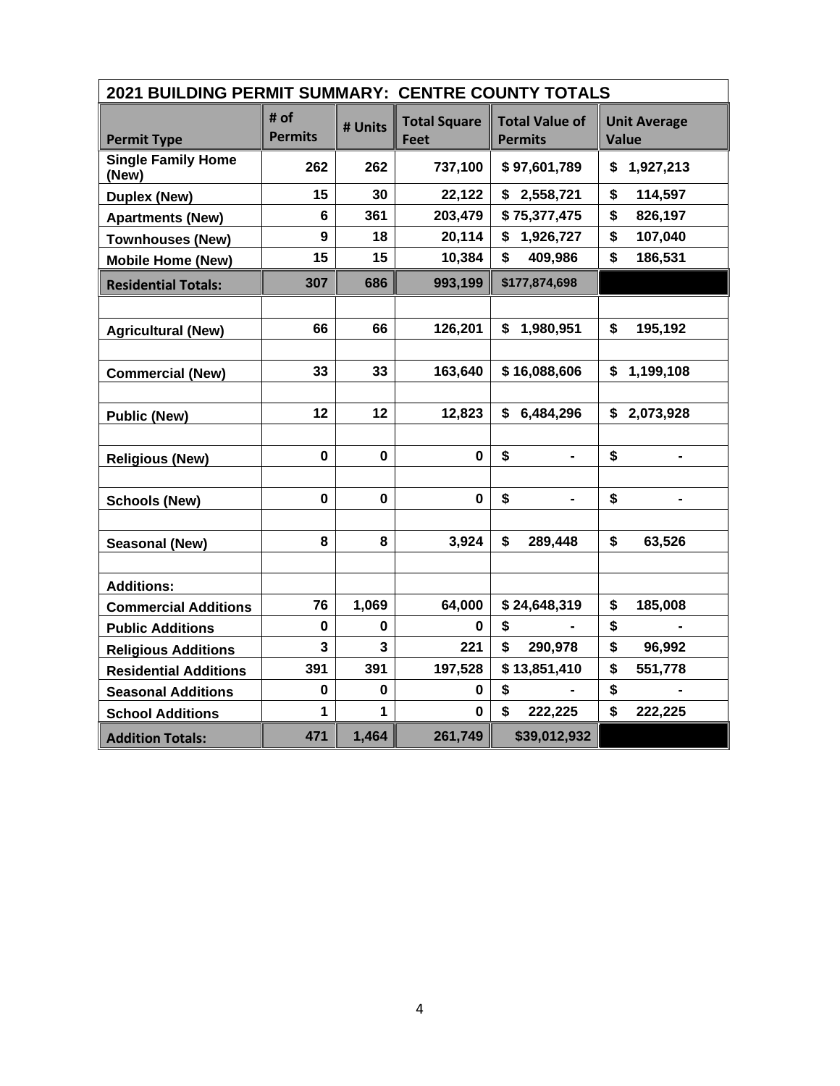| 2021 BUILDING PERMIT SUMMARY: CENTRE COUNTY TOTALS |                        |             |                                    |                                         |                              |  |  |
|----------------------------------------------------|------------------------|-------------|------------------------------------|-----------------------------------------|------------------------------|--|--|
| <b>Permit Type</b>                                 | # of<br><b>Permits</b> | # Units     | <b>Total Square</b><br><b>Feet</b> | <b>Total Value of</b><br><b>Permits</b> | <b>Unit Average</b><br>Value |  |  |
| <b>Single Family Home</b><br>(New)                 | 262                    | 262         | 737,100                            | \$97,601,789                            | \$1,927,213                  |  |  |
| <b>Duplex (New)</b>                                | 15                     | 30          | 22,122                             | \$2,558,721                             | \$<br>114,597                |  |  |
| <b>Apartments (New)</b>                            | 6                      | 361         | 203,479                            | \$75,377,475                            | \$<br>826,197                |  |  |
| <b>Townhouses (New)</b>                            | 9                      | 18          | 20,114                             | \$1,926,727                             | \$<br>107,040                |  |  |
| <b>Mobile Home (New)</b>                           | 15                     | 15          | 10,384                             | \$<br>409,986                           | \$<br>186,531                |  |  |
| <b>Residential Totals:</b>                         | 307                    | 686         | 993,199                            | \$177,874,698                           |                              |  |  |
|                                                    |                        |             |                                    |                                         |                              |  |  |
| <b>Agricultural (New)</b>                          | 66                     | 66          | 126,201                            | \$1,980,951                             | \$<br>195,192                |  |  |
|                                                    |                        |             |                                    |                                         |                              |  |  |
| <b>Commercial (New)</b>                            | 33                     | 33          | 163,640                            | \$16,088,606                            | \$1,199,108                  |  |  |
|                                                    |                        |             |                                    |                                         |                              |  |  |
| <b>Public (New)</b>                                | 12                     | 12          | 12,823                             | \$<br>6,484,296                         | \$2,073,928                  |  |  |
|                                                    |                        |             |                                    |                                         |                              |  |  |
| <b>Religious (New)</b>                             | $\pmb{0}$              | $\mathbf 0$ | $\mathbf 0$                        | \$<br>$\blacksquare$                    | \$<br>$\blacksquare$         |  |  |
|                                                    |                        |             |                                    |                                         |                              |  |  |
| <b>Schools (New)</b>                               | $\mathbf 0$            | $\mathbf 0$ | $\mathbf 0$                        | \$                                      | \$                           |  |  |
|                                                    |                        |             |                                    |                                         |                              |  |  |
| <b>Seasonal (New)</b>                              | 8                      | 8           | 3,924                              | \$<br>289,448                           | \$<br>63,526                 |  |  |
|                                                    |                        |             |                                    |                                         |                              |  |  |
| <b>Additions:</b>                                  |                        |             |                                    |                                         |                              |  |  |
| <b>Commercial Additions</b>                        | 76                     | 1,069       | 64,000                             | \$24,648,319                            | \$<br>185,008                |  |  |
| <b>Public Additions</b>                            | 0                      | 0           | 0                                  | \$                                      | \$                           |  |  |
| <b>Religious Additions</b>                         | 3                      | 3           | 221                                | \$<br>290,978                           | \$<br>96,992                 |  |  |
| <b>Residential Additions</b>                       | 391                    | 391         | 197,528                            | \$13,851,410                            | \$<br>551,778                |  |  |
| <b>Seasonal Additions</b>                          | $\mathbf 0$            | 0           | $\mathbf 0$                        | \$                                      | \$                           |  |  |
| <b>School Additions</b>                            | 1                      | 1           | 0                                  | \$<br>222,225                           | \$<br>222,225                |  |  |
| <b>Addition Totals:</b>                            | 471                    | 1,464       | 261,749                            | \$39,012,932                            |                              |  |  |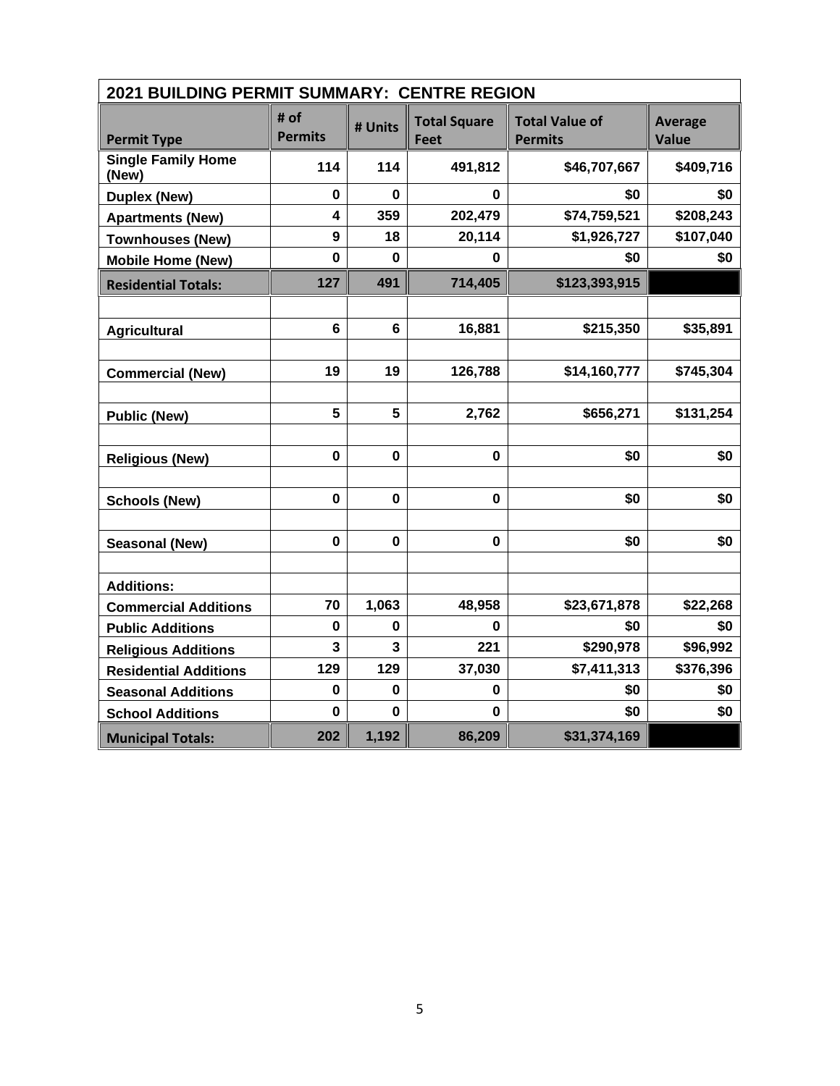| 2021 BUILDING PERMIT SUMMARY: CENTRE REGION |                        |                |                                    |                                         |                                |  |  |  |
|---------------------------------------------|------------------------|----------------|------------------------------------|-----------------------------------------|--------------------------------|--|--|--|
| <b>Permit Type</b>                          | # of<br><b>Permits</b> | # Units        | <b>Total Square</b><br><b>Feet</b> | <b>Total Value of</b><br><b>Permits</b> | <b>Average</b><br><b>Value</b> |  |  |  |
| <b>Single Family Home</b><br>(New)          | 114                    | 114            | 491,812                            | \$46,707,667                            | \$409,716                      |  |  |  |
| <b>Duplex (New)</b>                         | $\bf{0}$               | 0              | 0                                  | \$0                                     | \$0                            |  |  |  |
| <b>Apartments (New)</b>                     | 4                      | 359            | 202,479                            | \$74,759,521                            | \$208,243                      |  |  |  |
| <b>Townhouses (New)</b>                     | $\boldsymbol{9}$       | 18             | 20,114                             | \$1,926,727                             | \$107,040                      |  |  |  |
| <b>Mobile Home (New)</b>                    | $\mathbf 0$            | 0              | 0                                  | \$0                                     | \$0                            |  |  |  |
| <b>Residential Totals:</b>                  | 127                    | 491            | 714,405                            | \$123,393,915                           |                                |  |  |  |
|                                             |                        |                |                                    |                                         |                                |  |  |  |
| <b>Agricultural</b>                         | $6\phantom{1}$         | $6\phantom{1}$ | 16,881                             | \$215,350                               | \$35,891                       |  |  |  |
|                                             |                        |                |                                    |                                         |                                |  |  |  |
| <b>Commercial (New)</b>                     | 19                     | 19             | 126,788                            | \$14,160,777                            | \$745,304                      |  |  |  |
|                                             |                        |                |                                    |                                         |                                |  |  |  |
| <b>Public (New)</b>                         | 5                      | 5              | 2,762                              | \$656,271                               | \$131,254                      |  |  |  |
|                                             |                        |                |                                    |                                         |                                |  |  |  |
| <b>Religious (New)</b>                      | $\mathbf 0$            | 0              | $\bf{0}$                           | \$0                                     | \$0                            |  |  |  |
|                                             |                        |                |                                    |                                         |                                |  |  |  |
| <b>Schools (New)</b>                        | $\mathbf 0$            | $\mathbf 0$    | $\mathbf 0$                        | \$0                                     | \$0                            |  |  |  |
|                                             |                        |                |                                    |                                         |                                |  |  |  |
| <b>Seasonal (New)</b>                       | $\mathbf 0$            | $\mathbf 0$    | $\mathbf 0$                        | \$0                                     | \$0                            |  |  |  |
|                                             |                        |                |                                    |                                         |                                |  |  |  |
| <b>Additions:</b>                           |                        |                |                                    |                                         |                                |  |  |  |
| <b>Commercial Additions</b>                 | 70                     | 1,063          | 48,958                             | \$23,671,878                            | \$22,268                       |  |  |  |
| <b>Public Additions</b>                     | 0                      | 0              | 0                                  | \$0                                     | \$0                            |  |  |  |
| <b>Religious Additions</b>                  | 3                      | 3              | 221                                | \$290,978                               | \$96,992                       |  |  |  |
| <b>Residential Additions</b>                | 129                    | 129            | 37,030                             | \$7,411,313                             | \$376,396                      |  |  |  |
| <b>Seasonal Additions</b>                   | $\bf{0}$               | 0              | 0                                  | \$0                                     | \$0                            |  |  |  |
| <b>School Additions</b>                     | 0                      | 0              | 0                                  | \$0                                     | \$0                            |  |  |  |
| <b>Municipal Totals:</b>                    | 202                    | 1,192          | 86,209                             | \$31,374,169                            |                                |  |  |  |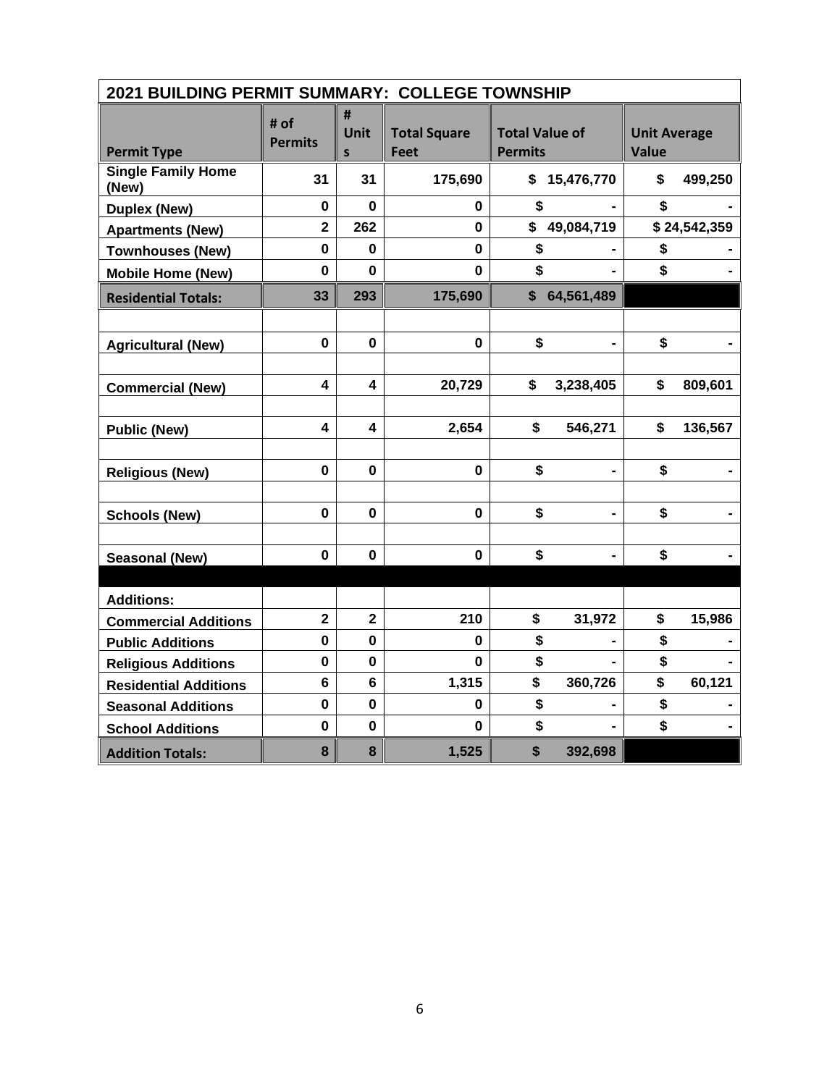|                                    | 2021 BUILDING PERMIT SUMMARY: COLLEGE TOWNSHIP |                         |                                    |                                         |                |                                     |              |  |
|------------------------------------|------------------------------------------------|-------------------------|------------------------------------|-----------------------------------------|----------------|-------------------------------------|--------------|--|
| <b>Permit Type</b>                 | # of<br><b>Permits</b>                         | #<br>Unit<br>S          | <b>Total Square</b><br><b>Feet</b> | <b>Total Value of</b><br><b>Permits</b> |                | <b>Unit Average</b><br><b>Value</b> |              |  |
| <b>Single Family Home</b><br>(New) | 31                                             | 31                      | 175,690                            | \$                                      | 15,476,770     | \$                                  | 499,250      |  |
| <b>Duplex (New)</b>                | 0                                              | $\mathbf{0}$            | 0                                  | \$                                      |                | \$                                  |              |  |
| <b>Apartments (New)</b>            | $\overline{2}$                                 | 262                     | 0                                  | \$                                      | 49,084,719     |                                     | \$24,542,359 |  |
| <b>Townhouses (New)</b>            | $\mathbf{0}$                                   | $\bf{0}$                | $\mathbf 0$                        | \$                                      |                | \$                                  |              |  |
| <b>Mobile Home (New)</b>           | $\mathbf 0$                                    | $\bf{0}$                | $\mathbf 0$                        | \$                                      |                | \$                                  |              |  |
| <b>Residential Totals:</b>         | 33                                             | 293                     | 175,690                            | $\mathsf{\$}$                           | 64,561,489     |                                     |              |  |
|                                    |                                                |                         |                                    |                                         |                |                                     |              |  |
| <b>Agricultural (New)</b>          | $\mathbf{0}$                                   | $\mathbf 0$             | $\mathbf 0$                        | \$                                      |                | \$                                  |              |  |
|                                    |                                                |                         |                                    |                                         |                |                                     |              |  |
| <b>Commercial (New)</b>            | 4                                              | 4                       | 20,729                             | \$                                      | 3,238,405      | \$                                  | 809,601      |  |
|                                    |                                                |                         |                                    |                                         |                |                                     |              |  |
| <b>Public (New)</b>                | $\overline{\mathbf{4}}$                        | $\overline{\mathbf{4}}$ | 2,654                              | \$                                      | 546,271        | \$                                  | 136,567      |  |
|                                    |                                                |                         |                                    |                                         |                |                                     |              |  |
| <b>Religious (New)</b>             | $\mathbf 0$                                    | $\mathbf 0$             | $\mathbf 0$                        | \$                                      |                | \$                                  |              |  |
|                                    |                                                |                         |                                    |                                         |                |                                     |              |  |
| <b>Schools (New)</b>               | $\mathbf 0$                                    | $\mathbf 0$             | $\mathbf 0$                        | \$                                      | $\blacksquare$ | \$                                  |              |  |
|                                    |                                                |                         |                                    |                                         |                |                                     |              |  |
| <b>Seasonal (New)</b>              | $\mathbf 0$                                    | 0                       | $\mathbf 0$                        | \$                                      |                | \$                                  |              |  |
|                                    |                                                |                         |                                    |                                         |                |                                     |              |  |
| <b>Additions:</b>                  |                                                |                         |                                    |                                         |                |                                     |              |  |
| <b>Commercial Additions</b>        | $\mathbf{2}$                                   | $\overline{2}$          | 210                                | \$                                      | 31,972         | \$                                  | 15,986       |  |
| <b>Public Additions</b>            | $\mathbf 0$                                    | $\mathbf 0$             | 0                                  | \$                                      |                | \$                                  |              |  |
| <b>Religious Additions</b>         | 0                                              | 0                       | 0                                  | \$                                      |                | \$                                  |              |  |
| <b>Residential Additions</b>       | $6\phantom{a}$                                 | 6                       | 1,315                              | \$                                      | 360,726        | \$                                  | 60,121       |  |
| <b>Seasonal Additions</b>          | $\mathbf 0$                                    | $\mathbf 0$             | 0                                  | \$                                      |                | \$                                  |              |  |
| <b>School Additions</b>            | $\mathbf 0$                                    | $\mathbf 0$             | 0                                  | \$                                      |                | \$                                  |              |  |
| <b>Addition Totals:</b>            | 8                                              | 8                       | 1,525                              | \$                                      | 392,698        |                                     |              |  |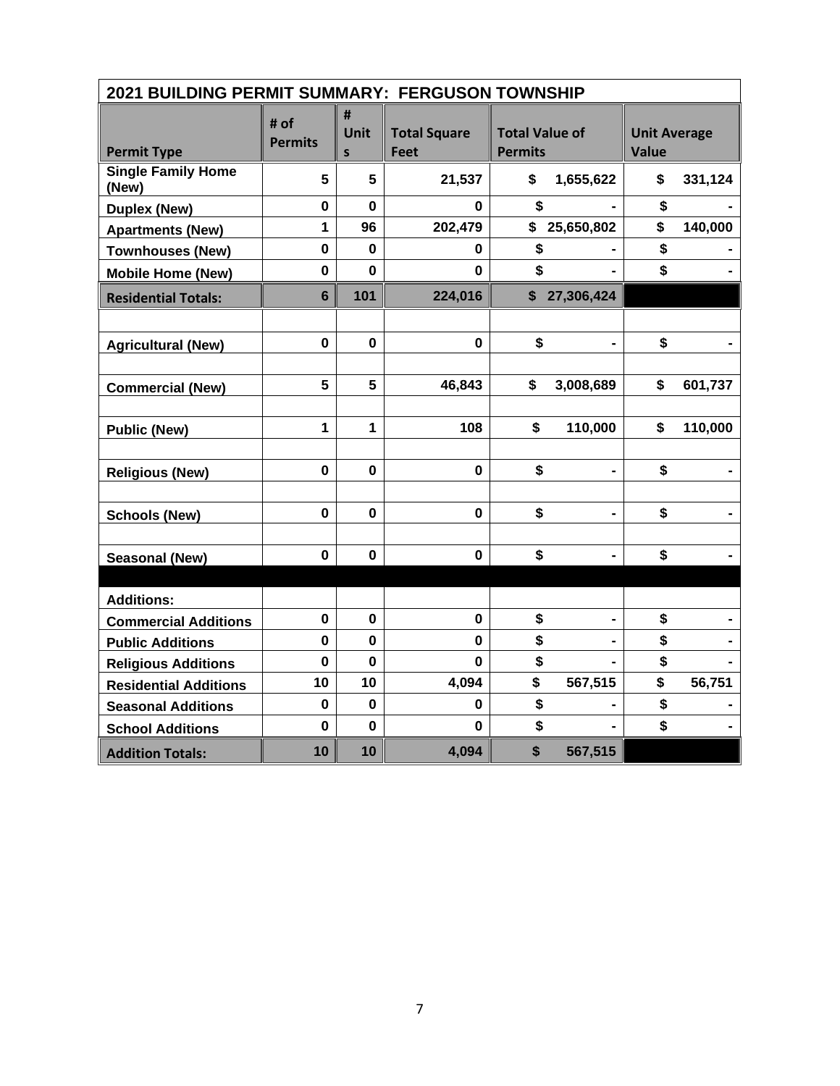| 2021 BUILDING PERMIT SUMMARY: FERGUSON TOWNSHIP |                        |                       |                             |                                         |                |                                     |         |
|-------------------------------------------------|------------------------|-----------------------|-----------------------------|-----------------------------------------|----------------|-------------------------------------|---------|
| <b>Permit Type</b>                              | # of<br><b>Permits</b> | #<br><b>Unit</b><br>S | <b>Total Square</b><br>Feet | <b>Total Value of</b><br><b>Permits</b> |                | <b>Unit Average</b><br><b>Value</b> |         |
| <b>Single Family Home</b><br>(New)              | 5                      | 5                     | 21,537                      | \$                                      | 1,655,622      | \$                                  | 331,124 |
| <b>Duplex (New)</b>                             | $\mathbf 0$            | $\bf{0}$              | 0                           | \$                                      |                | \$                                  |         |
| <b>Apartments (New)</b>                         | $\mathbf{1}$           | 96                    | 202,479                     | \$                                      | 25,650,802     | \$                                  | 140,000 |
| Townhouses (New)                                | $\mathbf 0$            | $\bf{0}$              | 0                           | \$                                      |                | \$                                  |         |
| <b>Mobile Home (New)</b>                        | $\mathbf 0$            | $\mathbf{0}$          | 0                           | \$                                      |                | \$                                  |         |
| <b>Residential Totals:</b>                      | $6\phantom{1}$         | 101                   | 224,016                     | \$                                      | 27,306,424     |                                     |         |
|                                                 |                        |                       |                             |                                         |                |                                     |         |
| <b>Agricultural (New)</b>                       | $\mathbf 0$            | 0                     | $\mathbf 0$                 | \$                                      |                | \$                                  |         |
|                                                 |                        |                       |                             |                                         |                |                                     |         |
| <b>Commercial (New)</b>                         | 5                      | 5                     | 46,843                      | \$                                      | 3,008,689      | \$                                  | 601,737 |
|                                                 |                        |                       |                             |                                         |                |                                     |         |
| <b>Public (New)</b>                             | $\mathbf{1}$           | $\mathbf{1}$          | 108                         | \$                                      | 110,000        | \$                                  | 110,000 |
|                                                 |                        |                       |                             |                                         |                |                                     |         |
| <b>Religious (New)</b>                          | $\mathbf 0$            | 0                     | 0                           | \$                                      |                | \$                                  |         |
|                                                 |                        |                       |                             |                                         |                |                                     |         |
| <b>Schools (New)</b>                            | $\mathbf 0$            | $\mathbf 0$           | $\mathbf{0}$                | \$                                      | $\blacksquare$ | \$                                  |         |
|                                                 |                        |                       |                             |                                         |                |                                     |         |
| Seasonal (New)                                  | $\mathbf 0$            | $\mathbf 0$           | 0                           | \$                                      |                | \$                                  |         |
|                                                 |                        |                       |                             |                                         |                |                                     |         |
| <b>Additions:</b>                               |                        |                       |                             |                                         |                |                                     |         |
| <b>Commercial Additions</b>                     | $\mathbf 0$            | $\bf{0}$              | $\mathbf 0$                 | \$                                      |                | \$                                  |         |
| <b>Public Additions</b>                         | 0                      | $\mathbf 0$           | 0                           | \$                                      |                | \$                                  |         |
| <b>Religious Additions</b>                      | $\mathbf 0$            | $\bf{0}$              | $\mathbf 0$                 | \$                                      |                | \$                                  |         |
| <b>Residential Additions</b>                    | 10                     | 10                    | 4,094                       | \$                                      | 567,515        | \$                                  | 56,751  |
| <b>Seasonal Additions</b>                       | $\mathbf 0$            | $\bf{0}$              | 0                           | \$                                      |                | \$                                  |         |
| <b>School Additions</b>                         | $\bf{0}$               | $\mathbf 0$           | $\bf{0}$                    | \$                                      |                | \$                                  |         |
| <b>Addition Totals:</b>                         | 10                     | 10                    | 4,094                       | \$                                      | 567,515        |                                     |         |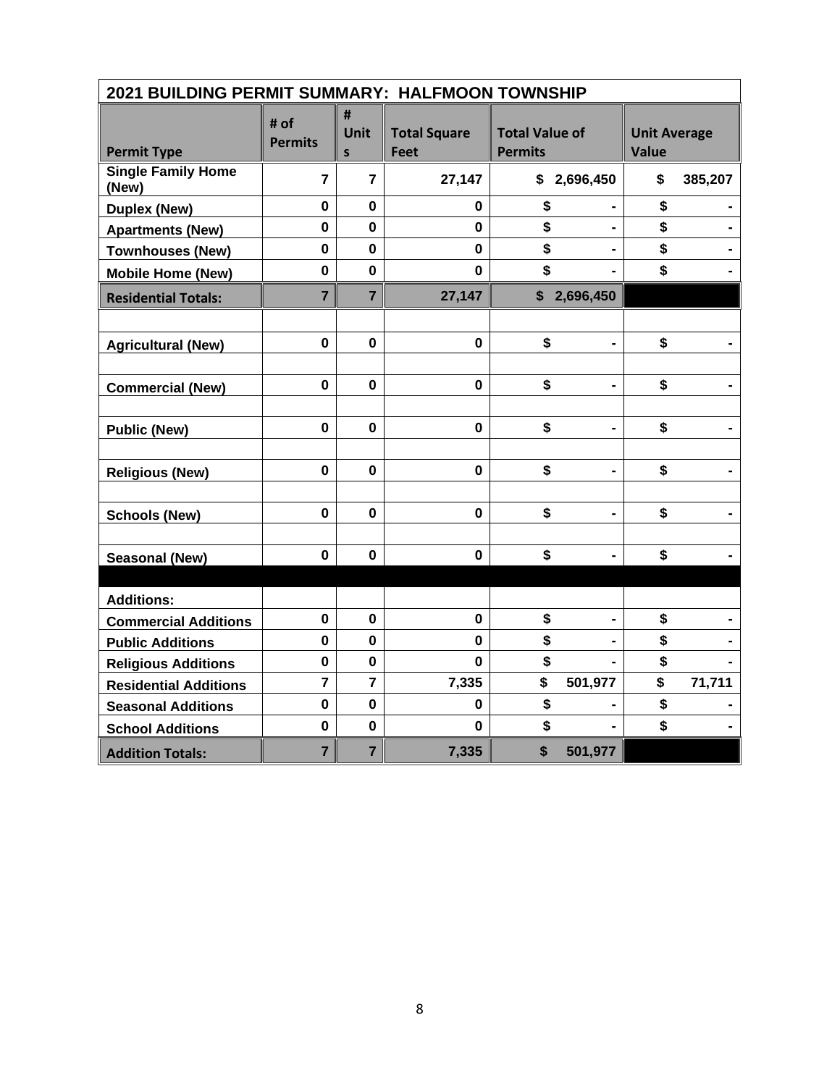| 2021 BUILDING PERMIT SUMMARY: HALFMOON TOWNSHIP |                        |                           |                                    |                                         |                                     |
|-------------------------------------------------|------------------------|---------------------------|------------------------------------|-----------------------------------------|-------------------------------------|
| <b>Permit Type</b>                              | # of<br><b>Permits</b> | #<br>Unit<br>$\mathsf{s}$ | <b>Total Square</b><br><b>Feet</b> | <b>Total Value of</b><br><b>Permits</b> | <b>Unit Average</b><br><b>Value</b> |
| <b>Single Family Home</b><br>(New)              | $\overline{7}$         | $\overline{7}$            | 27,147                             | \$2,696,450                             | \$<br>385,207                       |
| <b>Duplex (New)</b>                             | $\mathbf 0$            | $\mathbf 0$               | 0                                  | \$                                      | \$                                  |
| <b>Apartments (New)</b>                         | $\mathbf 0$            | 0                         | 0                                  | \$<br>$\blacksquare$                    | \$                                  |
| <b>Townhouses (New)</b>                         | $\mathbf 0$            | $\mathbf 0$               | $\mathbf 0$                        | \$                                      | \$                                  |
| <b>Mobile Home (New)</b>                        | $\mathbf 0$            | $\mathbf 0$               | $\mathbf 0$                        | \$                                      | \$                                  |
| <b>Residential Totals:</b>                      | $\overline{7}$         | $\overline{7}$            | 27,147                             | \$2,696,450                             |                                     |
|                                                 |                        |                           |                                    |                                         |                                     |
| <b>Agricultural (New)</b>                       | $\mathbf 0$            | $\mathbf 0$               | $\mathbf{0}$                       | \$<br>$\blacksquare$                    | \$                                  |
|                                                 |                        |                           |                                    |                                         |                                     |
| <b>Commercial (New)</b>                         | $\mathbf 0$            | $\bf{0}$                  | $\mathbf 0$                        | \$                                      | \$                                  |
|                                                 |                        |                           |                                    |                                         |                                     |
| <b>Public (New)</b>                             | $\mathbf 0$            | $\mathbf 0$               | $\mathbf 0$                        | \$                                      | \$                                  |
|                                                 |                        |                           |                                    |                                         |                                     |
| <b>Religious (New)</b>                          | $\mathbf 0$            | $\bf{0}$                  | $\mathbf 0$                        | \$<br>$\blacksquare$                    | \$                                  |
|                                                 |                        |                           |                                    |                                         |                                     |
| <b>Schools (New)</b>                            | $\mathbf 0$            | $\mathbf 0$               | $\mathbf 0$                        | \$<br>$\blacksquare$                    | \$                                  |
|                                                 |                        |                           |                                    |                                         |                                     |
| <b>Seasonal (New)</b>                           | $\mathbf 0$            | $\bf{0}$                  | $\mathbf 0$                        | \$                                      | \$                                  |
|                                                 |                        |                           |                                    |                                         |                                     |
| <b>Additions:</b>                               |                        |                           |                                    |                                         |                                     |
| <b>Commercial Additions</b>                     | $\mathbf 0$            | $\mathbf 0$               | $\mathbf 0$                        | \$                                      | \$                                  |
| <b>Public Additions</b>                         | $\mathbf 0$            | $\mathbf 0$               | $\mathbf{0}$                       | \$                                      | \$                                  |
| <b>Religious Additions</b>                      | $\pmb{0}$              | 0                         | $\mathbf 0$                        | \$                                      | \$                                  |
| <b>Residential Additions</b>                    | $\overline{7}$         | $\overline{7}$            | 7,335                              | \$<br>501,977                           | \$<br>71,711                        |
| <b>Seasonal Additions</b>                       | $\mathbf 0$            | $\mathbf 0$               | 0                                  | \$                                      | \$                                  |
| <b>School Additions</b>                         | $\mathbf 0$            | $\mathbf 0$               | $\bf{0}$                           | \$                                      | \$                                  |
| <b>Addition Totals:</b>                         | $\overline{7}$         | $\overline{7}$            | 7,335                              | \$<br>501,977                           |                                     |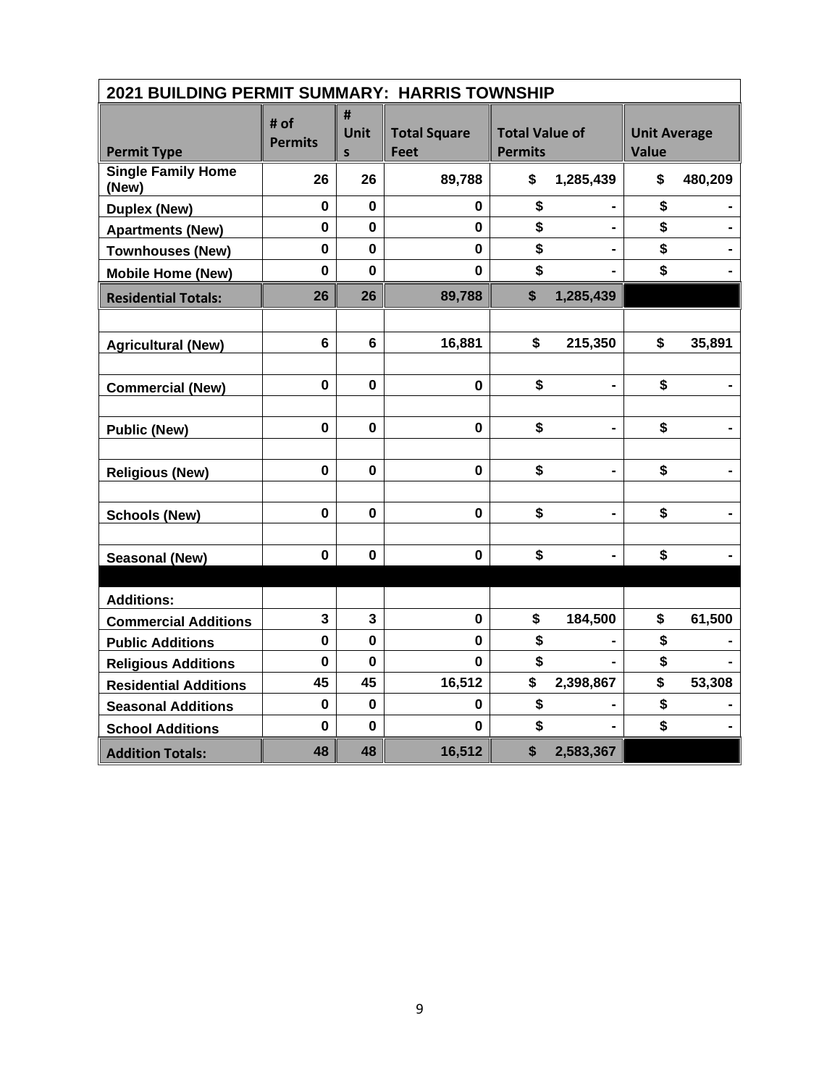| 2021 BUILDING PERMIT SUMMARY: HARRIS TOWNSHIP |                        |                |                             |                                         |                              |                                     |         |
|-----------------------------------------------|------------------------|----------------|-----------------------------|-----------------------------------------|------------------------------|-------------------------------------|---------|
| <b>Permit Type</b>                            | # of<br><b>Permits</b> | #<br>Unit<br>S | <b>Total Square</b><br>Feet | <b>Total Value of</b><br><b>Permits</b> |                              | <b>Unit Average</b><br><b>Value</b> |         |
| <b>Single Family Home</b><br>(New)            | 26                     | 26             | 89,788                      | \$                                      | 1,285,439                    | \$                                  | 480,209 |
| <b>Duplex (New)</b>                           | 0                      | $\bf{0}$       | 0                           | \$                                      |                              | \$                                  |         |
| <b>Apartments (New)</b>                       | $\mathbf 0$            | 0              | $\mathbf 0$                 | \$                                      |                              | \$                                  |         |
| <b>Townhouses (New)</b>                       | $\mathbf 0$            | $\mathbf 0$    | $\mathbf 0$                 | \$                                      |                              | \$                                  |         |
| <b>Mobile Home (New)</b>                      | $\mathbf 0$            | $\bf{0}$       | $\mathbf 0$                 | \$                                      |                              | \$                                  |         |
| <b>Residential Totals:</b>                    | 26                     | 26             | 89,788                      | \$                                      | 1,285,439                    |                                     |         |
|                                               |                        |                |                             |                                         |                              |                                     |         |
| <b>Agricultural (New)</b>                     | $6\phantom{a}$         | 6              | 16,881                      | \$                                      | 215,350                      | \$                                  | 35,891  |
|                                               |                        |                |                             |                                         |                              |                                     |         |
| <b>Commercial (New)</b>                       | $\mathbf 0$            | $\mathbf 0$    | $\mathbf 0$                 | \$                                      |                              | \$                                  |         |
|                                               |                        |                |                             |                                         |                              |                                     |         |
| <b>Public (New)</b>                           | $\mathbf 0$            | $\mathbf 0$    | $\mathbf 0$                 | \$                                      | $\qquad \qquad \blacksquare$ | \$                                  |         |
|                                               |                        |                |                             |                                         |                              |                                     |         |
| <b>Religious (New)</b>                        | $\mathbf 0$            | $\bf{0}$       | $\mathbf 0$                 | \$                                      | $\blacksquare$               | \$                                  |         |
|                                               |                        |                |                             |                                         |                              |                                     |         |
| <b>Schools (New)</b>                          | $\mathbf 0$            | $\mathbf 0$    | $\mathbf 0$                 | \$                                      | $\blacksquare$               | \$                                  |         |
|                                               |                        |                |                             |                                         |                              |                                     |         |
| <b>Seasonal (New)</b>                         | $\mathbf 0$            | $\bf{0}$       | $\mathbf 0$                 | \$                                      |                              | \$                                  |         |
|                                               |                        |                |                             |                                         |                              |                                     |         |
| <b>Additions:</b>                             |                        |                |                             |                                         |                              |                                     |         |
| <b>Commercial Additions</b>                   | $\mathbf{3}$           | $\mathbf{3}$   | $\mathbf 0$                 | \$                                      | 184,500                      | \$                                  | 61,500  |
| <b>Public Additions</b>                       | $\mathbf 0$            | $\mathbf 0$    | $\mathbf{0}$                | \$                                      |                              | \$                                  |         |
| <b>Religious Additions</b>                    | $\bf{0}$               | 0              | 0                           | \$                                      |                              | \$                                  |         |
| <b>Residential Additions</b>                  | 45                     | 45             | 16,512                      | \$                                      | 2,398,867                    | \$                                  | 53,308  |
| <b>Seasonal Additions</b>                     | $\mathbf 0$            | $\bf{0}$       | 0                           | \$                                      |                              | \$                                  |         |
| <b>School Additions</b>                       | $\mathbf 0$            | $\bf{0}$       | 0                           | \$                                      |                              | \$                                  |         |
| <b>Addition Totals:</b>                       | 48                     | 48             | 16,512                      | \$                                      | 2,583,367                    |                                     |         |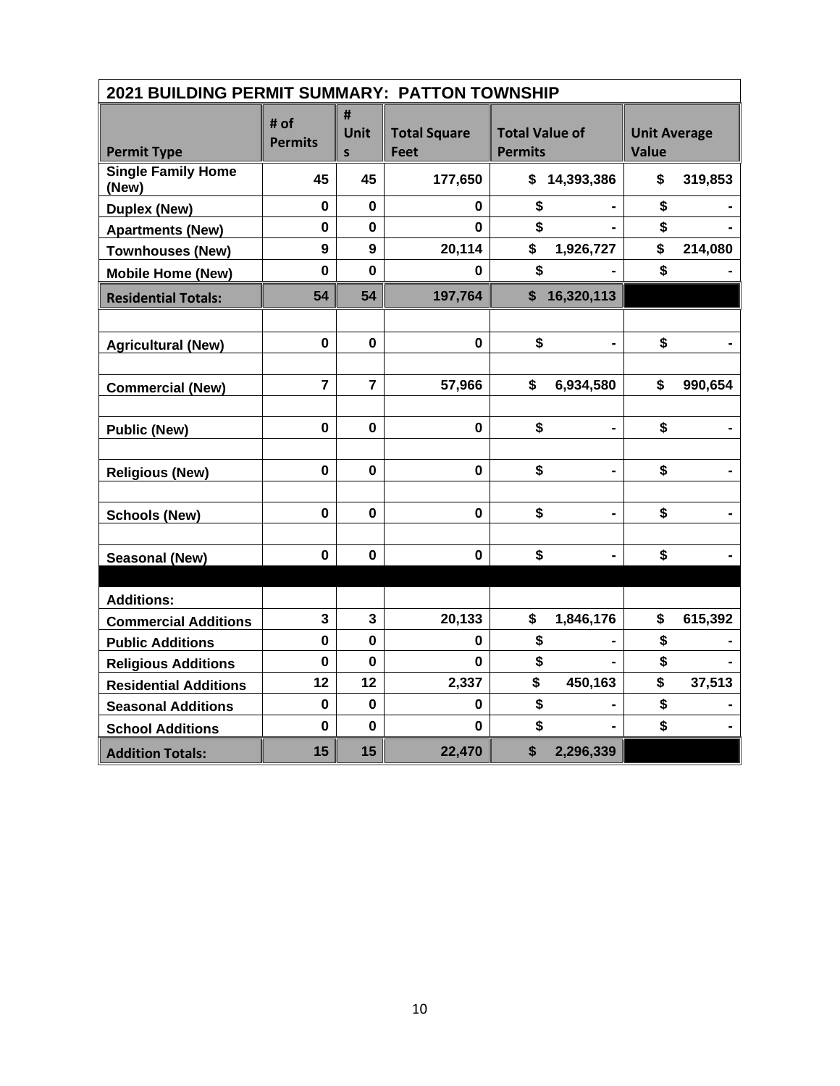| 2021 BUILDING PERMIT SUMMARY: PATTON TOWNSHIP |                        |                |                                    |                                         |                              |                                     |         |
|-----------------------------------------------|------------------------|----------------|------------------------------------|-----------------------------------------|------------------------------|-------------------------------------|---------|
| <b>Permit Type</b>                            | # of<br><b>Permits</b> | #<br>Unit<br>S | <b>Total Square</b><br><b>Feet</b> | <b>Total Value of</b><br><b>Permits</b> |                              | <b>Unit Average</b><br><b>Value</b> |         |
| <b>Single Family Home</b><br>(New)            | 45                     | 45             | 177,650                            | \$                                      | 14,393,386                   | \$                                  | 319,853 |
| <b>Duplex (New)</b>                           | $\mathbf 0$            | $\bf{0}$       | 0                                  | \$                                      |                              | \$                                  |         |
| <b>Apartments (New)</b>                       | $\mathbf 0$            | 0              | 0                                  | \$                                      |                              | \$                                  |         |
| <b>Townhouses (New)</b>                       | 9                      | 9              | 20,114                             | \$                                      | 1,926,727                    | \$                                  | 214,080 |
| <b>Mobile Home (New)</b>                      | $\mathbf 0$            | $\mathbf 0$    | 0                                  | \$                                      |                              | \$                                  |         |
| <b>Residential Totals:</b>                    | 54                     | 54             | 197,764                            | \$                                      | 16,320,113                   |                                     |         |
|                                               |                        |                |                                    |                                         |                              |                                     |         |
| <b>Agricultural (New)</b>                     | $\mathbf{0}$           | $\mathbf{0}$   | $\mathbf 0$                        | \$                                      |                              | \$                                  |         |
|                                               |                        |                |                                    |                                         |                              |                                     |         |
| <b>Commercial (New)</b>                       | $\overline{7}$         | $\overline{7}$ | 57,966                             | \$                                      | 6,934,580                    | \$                                  | 990,654 |
|                                               |                        |                |                                    |                                         |                              |                                     |         |
| <b>Public (New)</b>                           | $\pmb{0}$              | 0              | $\mathbf 0$                        | \$                                      |                              | \$                                  |         |
|                                               |                        |                |                                    |                                         |                              |                                     |         |
| <b>Religious (New)</b>                        | $\mathbf 0$            | 0              | $\mathbf 0$                        | \$                                      | $\blacksquare$               | \$                                  |         |
|                                               |                        |                |                                    |                                         |                              |                                     |         |
| <b>Schools (New)</b>                          | $\mathbf 0$            | $\mathbf 0$    | 0                                  | \$                                      | $\qquad \qquad \blacksquare$ | \$                                  |         |
|                                               |                        |                |                                    |                                         |                              |                                     |         |
| <b>Seasonal (New)</b>                         | $\mathbf 0$            | 0              | $\mathbf 0$                        | \$                                      |                              | \$                                  |         |
|                                               |                        |                |                                    |                                         |                              |                                     |         |
| <b>Additions:</b>                             |                        |                |                                    |                                         |                              |                                     |         |
| <b>Commercial Additions</b>                   | $\mathbf{3}$           | $\mathbf{3}$   | 20,133                             | \$                                      | 1,846,176                    | \$                                  | 615,392 |
| <b>Public Additions</b>                       | 0                      | 0              | 0                                  | \$                                      |                              | \$                                  |         |
| <b>Religious Additions</b>                    | $\mathbf 0$            | $\bf{0}$       | 0                                  | \$                                      |                              | \$                                  |         |
| <b>Residential Additions</b>                  | 12                     | 12             | 2,337                              | \$                                      | 450,163                      | \$                                  | 37,513  |
| <b>Seasonal Additions</b>                     | $\mathbf 0$            | $\mathbf 0$    | 0                                  | \$                                      |                              | \$                                  |         |
| <b>School Additions</b>                       | $\mathbf 0$            | $\bf{0}$       | 0                                  | \$                                      |                              | \$                                  |         |
| <b>Addition Totals:</b>                       | 15                     | 15             | 22,470                             | \$                                      | 2,296,339                    |                                     |         |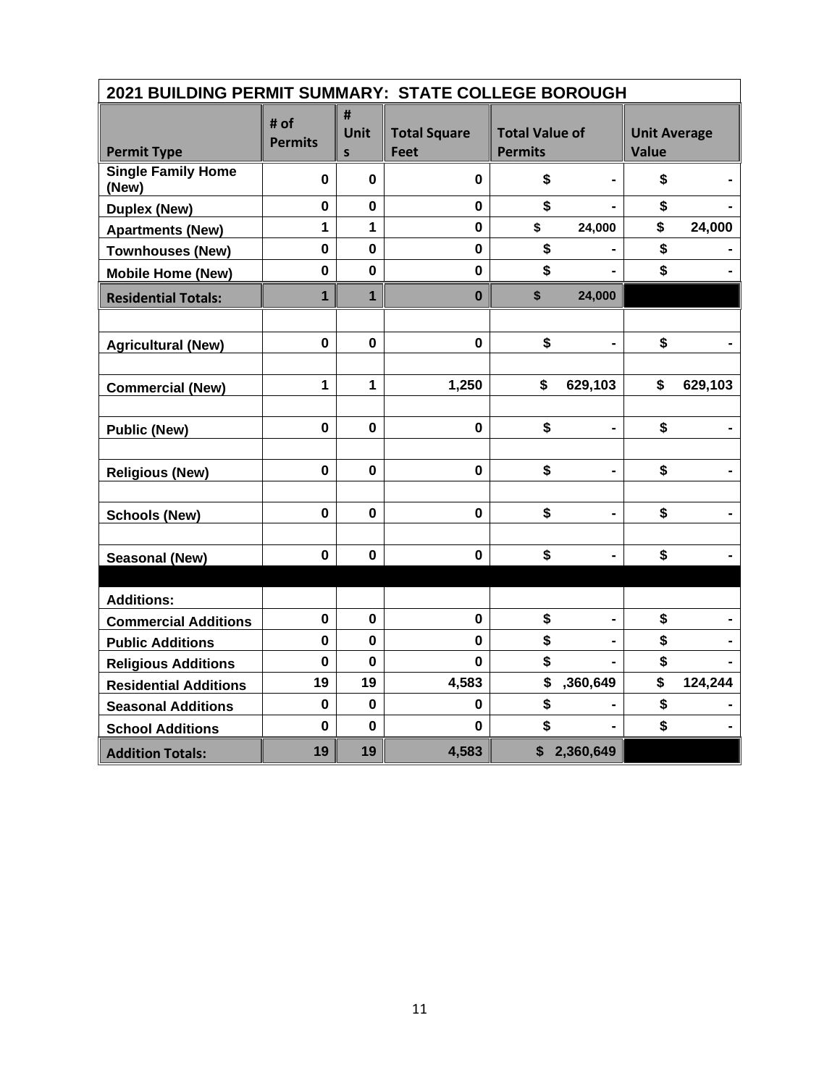| 2021 BUILDING PERMIT SUMMARY: STATE COLLEGE BOROUGH |                        |                           |                                    |                                         |                |                                     |         |
|-----------------------------------------------------|------------------------|---------------------------|------------------------------------|-----------------------------------------|----------------|-------------------------------------|---------|
| <b>Permit Type</b>                                  | # of<br><b>Permits</b> | #<br>Unit<br>$\mathsf{s}$ | <b>Total Square</b><br><b>Feet</b> | <b>Total Value of</b><br><b>Permits</b> |                | <b>Unit Average</b><br><b>Value</b> |         |
| <b>Single Family Home</b><br>(New)                  | $\mathbf 0$            | 0                         | $\mathbf 0$                        | \$                                      |                | \$                                  |         |
| <b>Duplex (New)</b>                                 | $\mathbf 0$            | $\mathbf 0$               | $\mathbf 0$                        | \$                                      |                | \$                                  |         |
| <b>Apartments (New)</b>                             | $\mathbf{1}$           | 1                         | $\mathbf 0$                        | \$                                      | 24,000         | \$                                  | 24,000  |
| <b>Townhouses (New)</b>                             | $\mathbf 0$            | $\mathbf 0$               | $\mathbf 0$                        | \$                                      |                | \$                                  |         |
| <b>Mobile Home (New)</b>                            | $\mathbf 0$            | $\mathbf 0$               | $\mathbf 0$                        | \$                                      |                | \$                                  |         |
| <b>Residential Totals:</b>                          | $\overline{1}$         | $\mathbf{1}$              | $\bf{0}$                           | \$                                      | 24,000         |                                     |         |
|                                                     |                        |                           |                                    |                                         |                |                                     |         |
| <b>Agricultural (New)</b>                           | $\mathbf 0$            | $\mathbf 0$               | $\mathbf{0}$                       | \$                                      | $\blacksquare$ | \$                                  |         |
|                                                     |                        |                           |                                    |                                         |                |                                     |         |
| <b>Commercial (New)</b>                             | $\mathbf{1}$           | $\mathbf{1}$              | 1,250                              | \$                                      | 629,103        | \$                                  | 629,103 |
|                                                     |                        |                           |                                    |                                         |                |                                     |         |
| <b>Public (New)</b>                                 | $\mathbf 0$            | $\mathbf 0$               | $\mathbf 0$                        | \$                                      |                | \$                                  |         |
|                                                     |                        |                           |                                    |                                         |                |                                     |         |
| <b>Religious (New)</b>                              | $\mathbf 0$            | $\mathbf 0$               | $\mathbf 0$                        | \$                                      | $\blacksquare$ | \$                                  |         |
|                                                     |                        |                           |                                    |                                         |                |                                     |         |
| <b>Schools (New)</b>                                | $\mathbf 0$            | $\mathbf 0$               | $\mathbf{0}$                       | \$                                      | $\blacksquare$ | \$                                  |         |
|                                                     |                        |                           |                                    |                                         |                |                                     |         |
| <b>Seasonal (New)</b>                               | $\mathbf 0$            | $\mathbf 0$               | $\mathbf 0$                        | \$                                      |                | \$                                  |         |
|                                                     |                        |                           |                                    |                                         |                |                                     |         |
| <b>Additions:</b>                                   |                        |                           |                                    |                                         |                |                                     |         |
| <b>Commercial Additions</b>                         | $\mathbf 0$            | $\bf{0}$                  | $\mathbf 0$                        | \$                                      |                | \$                                  |         |
| <b>Public Additions</b>                             | $\mathbf 0$            | $\mathbf 0$               | 0                                  | \$                                      |                | \$                                  |         |
| <b>Religious Additions</b>                          | $\mathbf 0$            | $\bf{0}$                  | $\mathbf{0}$                       | \$                                      |                | \$                                  |         |
| <b>Residential Additions</b>                        | 19                     | 19                        | 4,583                              | \$                                      | ,360,649       | \$                                  | 124,244 |
| <b>Seasonal Additions</b>                           | $\mathbf 0$            | $\bf{0}$                  | 0                                  | \$                                      |                | \$                                  |         |
| <b>School Additions</b>                             | $\bf{0}$               | $\mathbf 0$               | $\bf{0}$                           | \$                                      |                | \$                                  |         |
| <b>Addition Totals:</b>                             | 19                     | 19                        | 4,583                              |                                         | \$2,360,649    |                                     |         |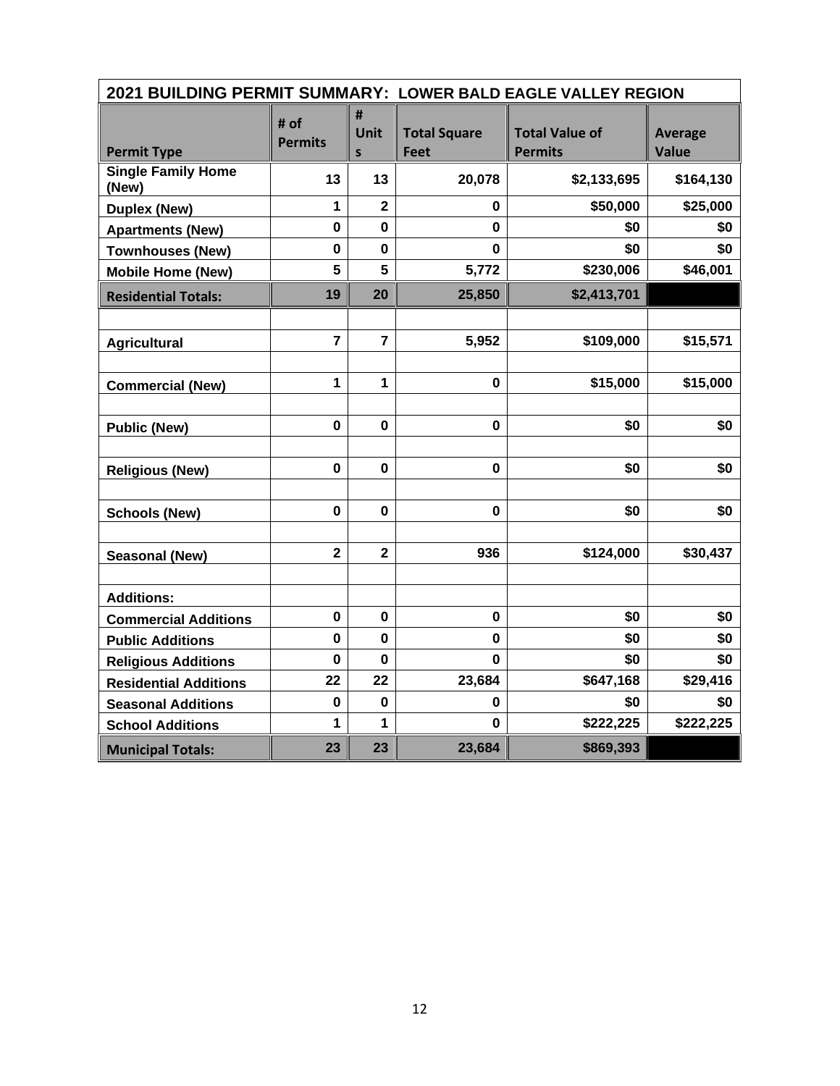| 2021 BUILDING PERMIT SUMMARY: LOWER BALD EAGLE VALLEY REGION |                         |                                  |                                    |                                         |                                |  |  |  |
|--------------------------------------------------------------|-------------------------|----------------------------------|------------------------------------|-----------------------------------------|--------------------------------|--|--|--|
| <b>Permit Type</b>                                           | # of<br><b>Permits</b>  | #<br><b>Unit</b><br>$\mathsf{s}$ | <b>Total Square</b><br><b>Feet</b> | <b>Total Value of</b><br><b>Permits</b> | <b>Average</b><br><b>Value</b> |  |  |  |
| <b>Single Family Home</b><br>(New)                           | 13                      | 13                               | 20,078                             | \$2,133,695                             | \$164,130                      |  |  |  |
| <b>Duplex (New)</b>                                          | 1                       | $\overline{2}$                   | 0                                  | \$50,000                                | \$25,000                       |  |  |  |
| <b>Apartments (New)</b>                                      | $\mathbf 0$             | $\mathbf 0$                      | 0                                  | \$0                                     | \$0                            |  |  |  |
| <b>Townhouses (New)</b>                                      | $\mathbf 0$             | $\mathbf 0$                      | 0                                  | \$0                                     | \$0                            |  |  |  |
| <b>Mobile Home (New)</b>                                     | 5                       | 5                                | 5,772                              | \$230,006                               | \$46,001                       |  |  |  |
| <b>Residential Totals:</b>                                   | 19                      | 20                               | 25,850                             | \$2,413,701                             |                                |  |  |  |
|                                                              |                         |                                  |                                    |                                         |                                |  |  |  |
| <b>Agricultural</b>                                          | $\overline{7}$          | $\overline{7}$                   | 5,952                              | \$109,000                               | \$15,571                       |  |  |  |
|                                                              |                         |                                  |                                    |                                         |                                |  |  |  |
| <b>Commercial (New)</b>                                      | 1                       | $\mathbf{1}$                     | $\mathbf 0$                        | \$15,000                                | \$15,000                       |  |  |  |
|                                                              |                         |                                  |                                    |                                         |                                |  |  |  |
| <b>Public (New)</b>                                          | $\mathbf 0$             | $\mathbf 0$                      | $\mathbf 0$                        | \$0                                     | \$0                            |  |  |  |
|                                                              |                         |                                  |                                    |                                         |                                |  |  |  |
| <b>Religious (New)</b>                                       | 0                       | $\mathbf 0$                      | 0                                  | \$0                                     | \$0                            |  |  |  |
|                                                              |                         |                                  |                                    |                                         |                                |  |  |  |
| <b>Schools (New)</b>                                         | $\mathbf 0$             | $\mathbf 0$                      | $\mathbf 0$                        | \$0                                     | \$0                            |  |  |  |
|                                                              |                         |                                  |                                    |                                         |                                |  |  |  |
| Seasonal (New)                                               | $\overline{\mathbf{2}}$ | $\overline{\mathbf{2}}$          | 936                                | \$124,000                               | \$30,437                       |  |  |  |
|                                                              |                         |                                  |                                    |                                         |                                |  |  |  |
| <b>Additions:</b>                                            |                         |                                  |                                    |                                         |                                |  |  |  |
| <b>Commercial Additions</b>                                  | $\mathbf 0$             | $\mathbf 0$                      | 0                                  | \$0                                     | \$0                            |  |  |  |
| <b>Public Additions</b>                                      | $\mathbf 0$             | $\mathbf 0$                      | $\mathbf 0$                        | \$0                                     | \$0                            |  |  |  |
| <b>Religious Additions</b>                                   | 0                       | 0                                | 0                                  | \$0                                     | \$0                            |  |  |  |
| <b>Residential Additions</b>                                 | 22                      | 22                               | 23,684                             | \$647,168                               | \$29,416                       |  |  |  |
| <b>Seasonal Additions</b>                                    | $\pmb{0}$               | 0                                | 0                                  | \$0                                     | \$0                            |  |  |  |
| <b>School Additions</b>                                      | 1                       | $\mathbf{1}$                     | 0                                  | \$222,225                               | \$222,225                      |  |  |  |
| <b>Municipal Totals:</b>                                     | 23                      | 23                               | 23,684                             | \$869,393                               |                                |  |  |  |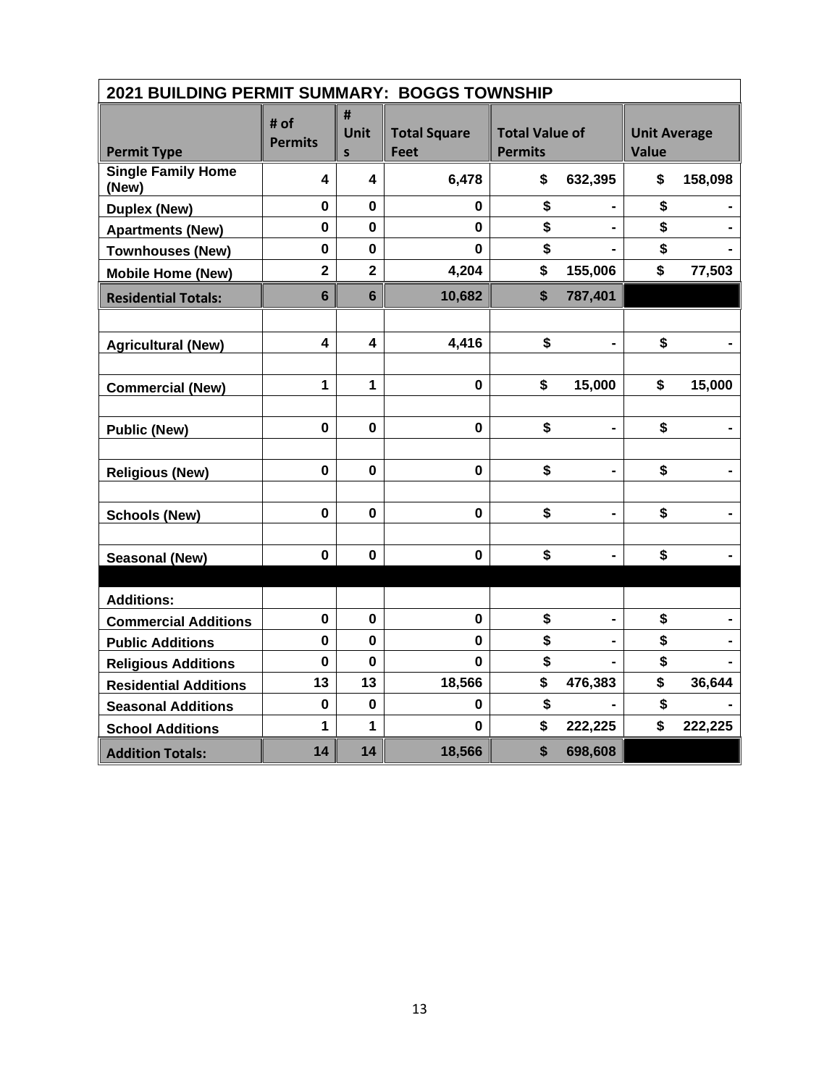| 2021 BUILDING PERMIT SUMMARY: BOGGS TOWNSHIP |                         |                         |                             |                                         |                |                                     |         |
|----------------------------------------------|-------------------------|-------------------------|-----------------------------|-----------------------------------------|----------------|-------------------------------------|---------|
| <b>Permit Type</b>                           | # of<br><b>Permits</b>  | #<br>Unit<br>S          | <b>Total Square</b><br>Feet | <b>Total Value of</b><br><b>Permits</b> |                | <b>Unit Average</b><br><b>Value</b> |         |
| <b>Single Family Home</b><br>(New)           | 4                       | 4                       | 6,478                       | \$                                      | 632,395        | \$                                  | 158,098 |
| <b>Duplex (New)</b>                          | $\mathbf 0$             | $\mathbf 0$             | 0                           | \$                                      |                | \$                                  |         |
| <b>Apartments (New)</b>                      | $\mathbf 0$             | 0                       | 0                           | \$                                      |                | \$                                  |         |
| <b>Townhouses (New)</b>                      | $\mathbf 0$             | $\mathbf 0$             | $\bf{0}$                    | \$                                      |                | \$                                  |         |
| <b>Mobile Home (New)</b>                     | $\overline{\mathbf{2}}$ | $\overline{2}$          | 4,204                       | \$                                      | 155,006        | \$                                  | 77,503  |
| <b>Residential Totals:</b>                   | $6\phantom{1}$          | $6\phantom{1}$          | 10,682                      | $\boldsymbol{\mathsf{s}}$               | 787,401        |                                     |         |
|                                              |                         |                         |                             |                                         |                |                                     |         |
| <b>Agricultural (New)</b>                    | $\overline{\mathbf{4}}$ | $\overline{\mathbf{4}}$ | 4,416                       | \$                                      |                | \$                                  |         |
|                                              |                         |                         |                             |                                         |                |                                     |         |
| <b>Commercial (New)</b>                      | 1                       | 1                       | $\mathbf 0$                 | \$                                      | 15,000         | \$                                  | 15,000  |
|                                              |                         |                         |                             |                                         |                |                                     |         |
| <b>Public (New)</b>                          | $\mathbf 0$             | $\mathbf 0$             | $\mathbf 0$                 | \$                                      |                | \$                                  |         |
|                                              |                         |                         |                             |                                         |                |                                     |         |
| <b>Religious (New)</b>                       | $\mathbf 0$             | $\bf{0}$                | $\mathbf 0$                 | \$                                      |                | \$                                  |         |
|                                              |                         |                         |                             |                                         |                |                                     |         |
| <b>Schools (New)</b>                         | $\mathbf 0$             | $\mathbf 0$             | $\mathbf 0$                 | \$                                      | $\blacksquare$ | \$                                  |         |
|                                              |                         |                         |                             |                                         |                |                                     |         |
| <b>Seasonal (New)</b>                        | $\mathbf 0$             | $\mathbf 0$             | $\mathbf 0$                 | \$                                      |                | \$                                  |         |
|                                              |                         |                         |                             |                                         |                |                                     |         |
| <b>Additions:</b>                            |                         |                         |                             |                                         |                |                                     |         |
| <b>Commercial Additions</b>                  | $\mathbf 0$             | $\mathbf 0$             | $\mathbf 0$                 | \$                                      |                | \$                                  |         |
| <b>Public Additions</b>                      | 0                       | $\mathbf 0$             | $\mathbf{0}$                | \$                                      |                | \$                                  |         |
| <b>Religious Additions</b>                   | $\bf{0}$                | 0                       | 0                           | \$                                      |                | \$                                  |         |
| <b>Residential Additions</b>                 | 13                      | 13                      | 18,566                      | \$                                      | 476,383        | \$                                  | 36,644  |
| <b>Seasonal Additions</b>                    | $\mathbf 0$             | $\mathbf 0$             | 0                           | \$                                      |                | \$                                  |         |
| <b>School Additions</b>                      | 1                       | 1                       | $\mathbf 0$                 | \$                                      | 222,225        | \$                                  | 222,225 |
| <b>Addition Totals:</b>                      | 14                      | 14                      | 18,566                      | \$                                      | 698,608        |                                     |         |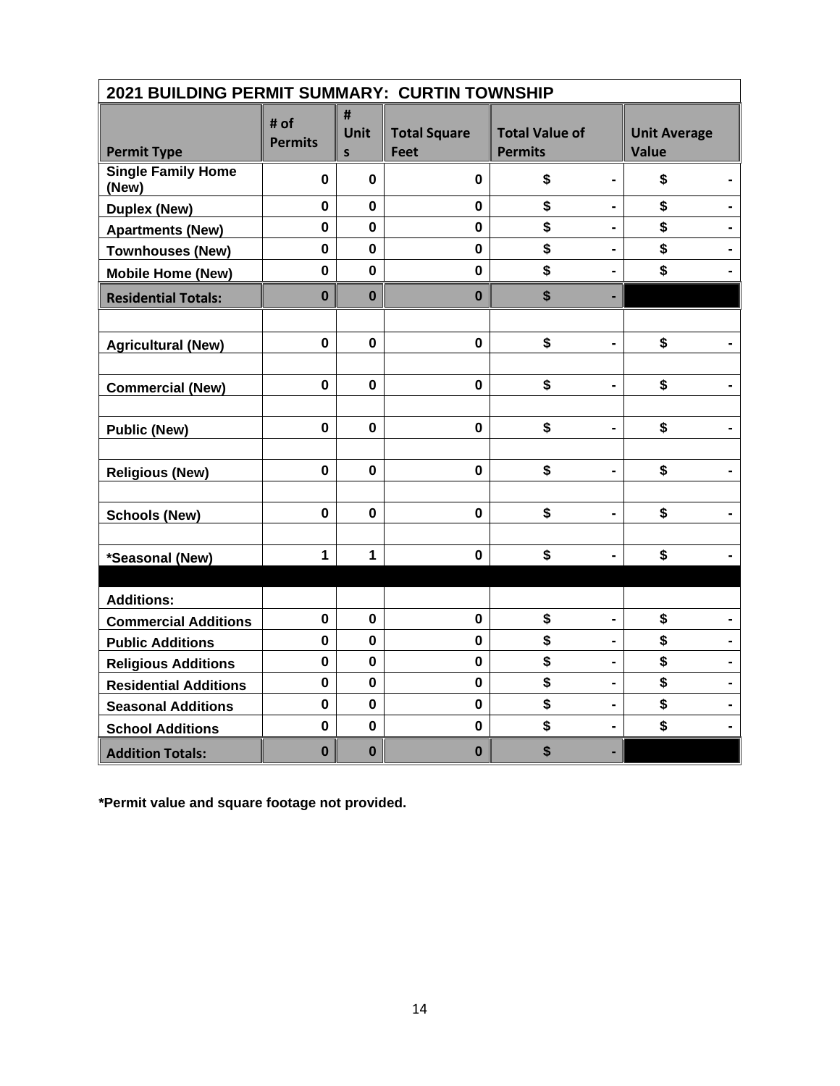| 2021 BUILDING PERMIT SUMMARY: CURTIN TOWNSHIP |                        |                |                                    |                                         |                                     |
|-----------------------------------------------|------------------------|----------------|------------------------------------|-----------------------------------------|-------------------------------------|
| <b>Permit Type</b>                            | # of<br><b>Permits</b> | #<br>Unit<br>S | <b>Total Square</b><br><b>Feet</b> | <b>Total Value of</b><br><b>Permits</b> | <b>Unit Average</b><br><b>Value</b> |
| <b>Single Family Home</b><br>(New)            | 0                      | 0              | $\mathbf 0$                        | \$<br>$\blacksquare$                    | \$                                  |
| <b>Duplex (New)</b>                           | $\mathbf 0$            | $\mathbf 0$    | $\mathbf 0$                        | \$                                      | \$                                  |
| <b>Apartments (New)</b>                       | $\mathbf 0$            | $\mathbf 0$    | $\mathbf 0$                        | \$<br>$\blacksquare$                    | \$                                  |
| <b>Townhouses (New)</b>                       | $\mathbf 0$            | $\bf{0}$       | $\mathbf 0$                        | \$                                      | \$                                  |
| <b>Mobile Home (New)</b>                      | $\mathbf 0$            | $\mathbf 0$    | $\mathbf 0$                        | \$<br>-                                 | \$                                  |
| <b>Residential Totals:</b>                    | $\mathbf 0$            | $\mathbf 0$    | $\mathbf 0$                        | \$                                      |                                     |
|                                               |                        |                |                                    |                                         |                                     |
| <b>Agricultural (New)</b>                     | $\mathbf 0$            | $\mathbf 0$    | 0                                  | \$                                      | \$                                  |
|                                               |                        |                |                                    |                                         |                                     |
| <b>Commercial (New)</b>                       | $\mathbf 0$            | $\mathbf 0$    | $\mathbf 0$                        | \$                                      | \$                                  |
|                                               |                        |                |                                    |                                         |                                     |
| <b>Public (New)</b>                           | $\pmb{0}$              | 0              | 0                                  | \$<br>$\blacksquare$                    | \$                                  |
|                                               |                        |                |                                    |                                         |                                     |
| <b>Religious (New)</b>                        | $\mathbf 0$            | $\mathbf 0$    | $\mathbf 0$                        | \$<br>$\qquad \qquad \blacksquare$      | \$                                  |
|                                               | $\mathbf 0$            | $\mathbf 0$    | $\mathbf 0$                        | \$                                      | \$                                  |
| <b>Schools (New)</b>                          |                        |                |                                    |                                         |                                     |
| *Seasonal (New)                               | $\mathbf{1}$           | 1              | $\mathbf 0$                        | \$                                      | \$                                  |
|                                               |                        |                |                                    |                                         |                                     |
| <b>Additions:</b>                             |                        |                |                                    |                                         |                                     |
| <b>Commercial Additions</b>                   | $\mathbf 0$            | $\mathbf 0$    | $\mathbf 0$                        | \$<br>$\blacksquare$                    | \$                                  |
| <b>Public Additions</b>                       | $\mathbf 0$            | $\mathbf 0$    | $\mathbf 0$                        | \$                                      | \$                                  |
| <b>Religious Additions</b>                    | $\pmb{0}$              | $\mathbf 0$    | $\mathbf 0$                        | \$<br>$\blacksquare$                    | \$                                  |
| <b>Residential Additions</b>                  | $\pmb{0}$              | $\mathbf 0$    | $\mathbf 0$                        | \$<br>$\blacksquare$                    | \$                                  |
| <b>Seasonal Additions</b>                     | $\mathbf 0$            | $\mathbf 0$    | $\mathbf 0$                        | \$<br>$\blacksquare$                    | \$                                  |
| <b>School Additions</b>                       | $\mathbf 0$            | $\mathbf 0$    | $\mathbf 0$                        | \$                                      | \$                                  |
| <b>Addition Totals:</b>                       | $\bf{0}$               | $\mathbf 0$    | $\bf{0}$                           | \$                                      |                                     |

**\*Permit value and square footage not provided.**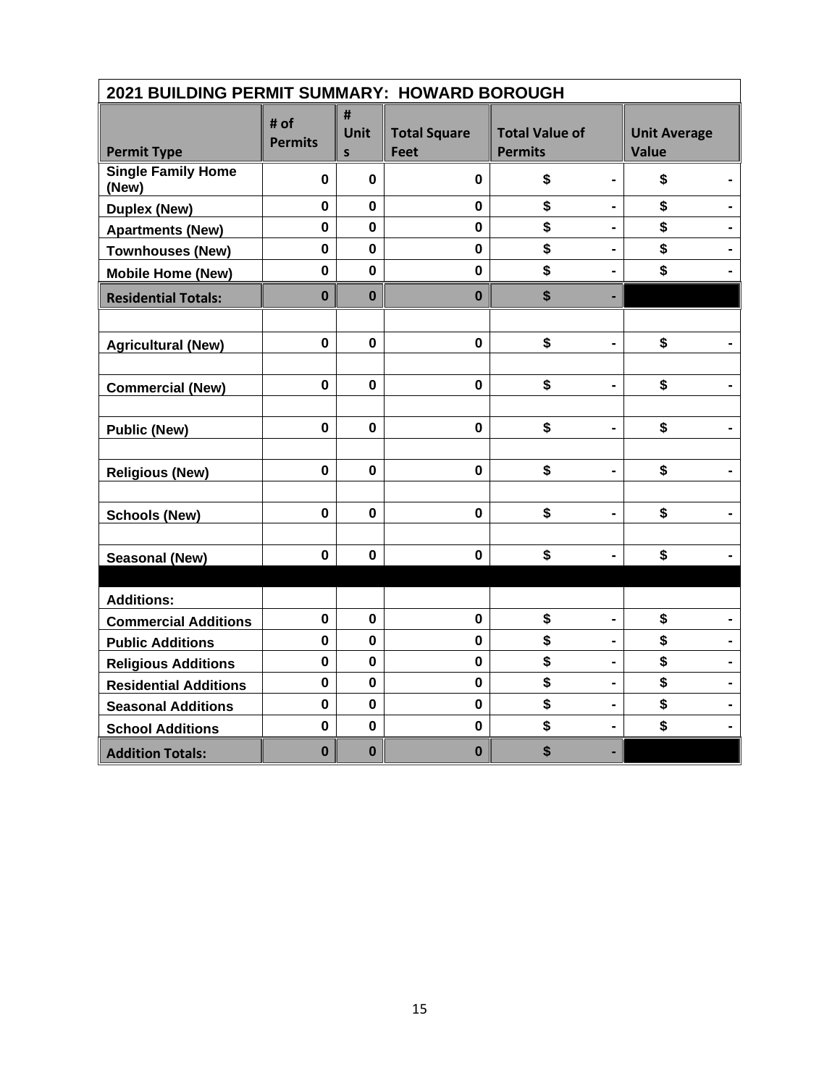| 2021 BUILDING PERMIT SUMMARY: HOWARD BOROUGH |                        |                           |                                    |                                         |                                     |  |  |  |  |
|----------------------------------------------|------------------------|---------------------------|------------------------------------|-----------------------------------------|-------------------------------------|--|--|--|--|
| <b>Permit Type</b>                           | # of<br><b>Permits</b> | #<br>Unit<br>$\mathsf{s}$ | <b>Total Square</b><br><b>Feet</b> | <b>Total Value of</b><br><b>Permits</b> | <b>Unit Average</b><br><b>Value</b> |  |  |  |  |
| <b>Single Family Home</b><br>(New)           | $\mathbf 0$            | 0                         | 0                                  | \$<br>$\blacksquare$                    | \$                                  |  |  |  |  |
| <b>Duplex (New)</b>                          | $\mathbf 0$            | $\mathbf 0$               | $\mathbf 0$                        | \$                                      | \$                                  |  |  |  |  |
| <b>Apartments (New)</b>                      | $\mathbf 0$            | $\mathbf 0$               | $\mathbf 0$                        | \$<br>$\blacksquare$                    | \$                                  |  |  |  |  |
| <b>Townhouses (New)</b>                      | $\mathbf 0$            | $\bf{0}$                  | $\mathbf 0$                        | \$                                      | \$                                  |  |  |  |  |
| <b>Mobile Home (New)</b>                     | $\mathbf 0$            | $\mathbf 0$               | $\mathbf 0$                        | \$<br>$\blacksquare$                    | \$                                  |  |  |  |  |
| <b>Residential Totals:</b>                   | $\bf{0}$               | $\mathbf 0$               | $\bf{0}$                           | \$                                      |                                     |  |  |  |  |
|                                              |                        |                           |                                    |                                         |                                     |  |  |  |  |
| <b>Agricultural (New)</b>                    | $\mathbf 0$            | $\bf{0}$                  | $\mathbf 0$                        | \$                                      | \$                                  |  |  |  |  |
|                                              |                        |                           |                                    |                                         |                                     |  |  |  |  |
| <b>Commercial (New)</b>                      | $\mathbf{0}$           | $\mathbf 0$               | $\mathbf 0$                        | \$                                      | \$                                  |  |  |  |  |
|                                              |                        |                           |                                    |                                         |                                     |  |  |  |  |
| <b>Public (New)</b>                          | $\pmb{0}$              | 0                         | 0                                  | \$<br>$\blacksquare$                    | \$                                  |  |  |  |  |
|                                              |                        |                           |                                    |                                         |                                     |  |  |  |  |
| <b>Religious (New)</b>                       | $\mathbf 0$            | $\bf{0}$                  | $\mathbf 0$                        | \$                                      | \$                                  |  |  |  |  |
|                                              |                        |                           |                                    |                                         |                                     |  |  |  |  |
| <b>Schools (New)</b>                         | $\mathbf 0$            | $\mathbf 0$               | $\mathbf 0$                        | \$                                      | \$                                  |  |  |  |  |
|                                              |                        |                           |                                    |                                         |                                     |  |  |  |  |
| <b>Seasonal (New)</b>                        | $\mathbf 0$            | 0                         | $\mathbf 0$                        | \$                                      | \$                                  |  |  |  |  |
|                                              |                        |                           |                                    |                                         |                                     |  |  |  |  |
| <b>Additions:</b>                            |                        |                           |                                    |                                         |                                     |  |  |  |  |
| <b>Commercial Additions</b>                  | $\mathbf 0$            | $\mathbf 0$               | $\mathbf 0$                        | \$<br>$\blacksquare$                    | \$                                  |  |  |  |  |
| <b>Public Additions</b>                      | $\mathbf{0}$           | $\mathbf 0$               | $\mathbf 0$                        | \$                                      | \$                                  |  |  |  |  |
| <b>Religious Additions</b>                   | $\pmb{0}$              | $\mathbf 0$               | $\mathbf 0$                        | \$                                      | \$                                  |  |  |  |  |
| <b>Residential Additions</b>                 | $\pmb{0}$              | $\mathbf 0$               | $\mathbf 0$                        | \$<br>$\qquad \qquad \blacksquare$      | \$                                  |  |  |  |  |
| <b>Seasonal Additions</b>                    | $\mathbf 0$            | $\mathbf 0$               | $\mathbf 0$                        | \$<br>$\blacksquare$                    | \$                                  |  |  |  |  |
| <b>School Additions</b>                      | $\mathbf 0$            | $\mathbf 0$               | $\mathbf 0$                        | \$                                      | \$                                  |  |  |  |  |
| <b>Addition Totals:</b>                      | $\bf{0}$               | $\bf{0}$                  | $\bf{0}$                           | \$                                      |                                     |  |  |  |  |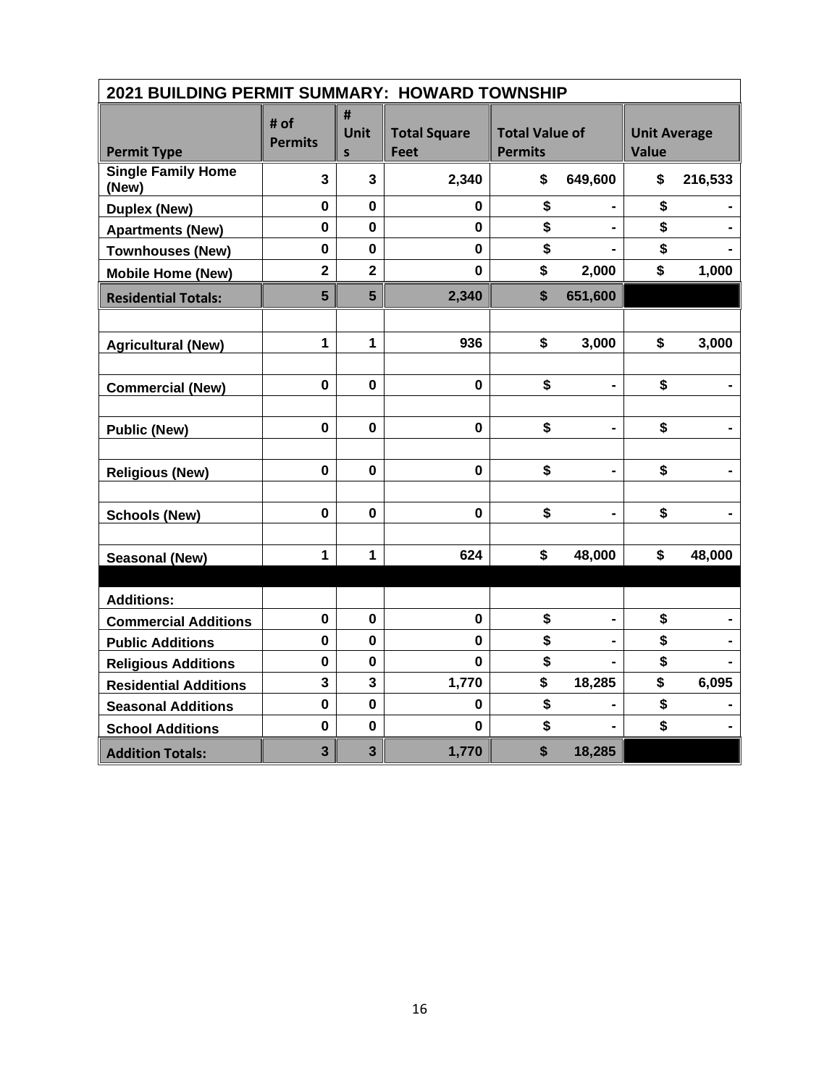| 2021 BUILDING PERMIT SUMMARY: HOWARD TOWNSHIP |                         |                         |                                    |                                         |         |                                     |         |  |  |  |
|-----------------------------------------------|-------------------------|-------------------------|------------------------------------|-----------------------------------------|---------|-------------------------------------|---------|--|--|--|
| <b>Permit Type</b>                            | # of<br><b>Permits</b>  | #<br>Unit<br>S          | <b>Total Square</b><br><b>Feet</b> | <b>Total Value of</b><br><b>Permits</b> |         | <b>Unit Average</b><br><b>Value</b> |         |  |  |  |
| <b>Single Family Home</b><br>(New)            | $\mathbf{3}$            | $\overline{3}$          | 2,340                              | \$                                      | 649,600 | \$                                  | 216,533 |  |  |  |
| <b>Duplex (New)</b>                           | $\mathbf 0$             | $\mathbf 0$             | 0                                  | \$                                      |         | \$                                  |         |  |  |  |
| <b>Apartments (New)</b>                       | $\mathbf 0$             | $\mathbf 0$             | $\mathbf 0$                        | \$                                      |         | \$                                  |         |  |  |  |
| <b>Townhouses (New)</b>                       | $\mathbf 0$             | $\mathbf 0$             | $\mathbf 0$                        | \$                                      |         | \$                                  |         |  |  |  |
| <b>Mobile Home (New)</b>                      | $\overline{\mathbf{2}}$ | $\overline{\mathbf{2}}$ | $\mathbf 0$                        | \$                                      | 2,000   | \$                                  | 1,000   |  |  |  |
| <b>Residential Totals:</b>                    | 5                       | $5\phantom{.}$          | 2,340                              | \$                                      | 651,600 |                                     |         |  |  |  |
|                                               |                         |                         |                                    |                                         |         |                                     |         |  |  |  |
| <b>Agricultural (New)</b>                     | 1                       | 1                       | 936                                | \$                                      | 3,000   | \$                                  | 3,000   |  |  |  |
|                                               |                         |                         |                                    |                                         |         |                                     |         |  |  |  |
| <b>Commercial (New)</b>                       | $\mathbf 0$             | $\mathbf 0$             | $\mathbf 0$                        | \$                                      |         | \$                                  |         |  |  |  |
|                                               |                         |                         |                                    |                                         |         |                                     |         |  |  |  |
| <b>Public (New)</b>                           | $\pmb{0}$               | 0                       | $\pmb{0}$                          | \$                                      | -       | \$                                  |         |  |  |  |
|                                               |                         |                         |                                    |                                         |         |                                     |         |  |  |  |
| <b>Religious (New)</b>                        | $\mathbf 0$             | 0                       | $\mathbf 0$                        | \$                                      |         | \$                                  |         |  |  |  |
|                                               |                         |                         |                                    |                                         |         |                                     |         |  |  |  |
| <b>Schools (New)</b>                          | $\mathbf 0$             | $\mathbf 0$             | $\mathbf 0$                        | \$                                      | -       | \$                                  |         |  |  |  |
|                                               |                         |                         |                                    |                                         |         |                                     |         |  |  |  |
| <b>Seasonal (New)</b>                         | 1                       | $\mathbf{1}$            | 624                                | \$                                      | 48,000  | \$                                  | 48,000  |  |  |  |
|                                               |                         |                         |                                    |                                         |         |                                     |         |  |  |  |
| <b>Additions:</b>                             |                         |                         |                                    |                                         |         |                                     |         |  |  |  |
| <b>Commercial Additions</b>                   | $\pmb{0}$               | 0                       | $\pmb{0}$                          | \$                                      |         | \$                                  |         |  |  |  |
| <b>Public Additions</b>                       | $\mathbf 0$             | $\mathbf 0$             | $\mathbf 0$                        | \$                                      |         | \$                                  |         |  |  |  |
| <b>Religious Additions</b>                    | $\mathbf 0$             | $\mathbf 0$             | 0                                  | \$                                      |         | \$                                  |         |  |  |  |
| <b>Residential Additions</b>                  | 3                       | 3                       | 1,770                              | \$                                      | 18,285  | \$                                  | 6,095   |  |  |  |
| <b>Seasonal Additions</b>                     | $\mathbf 0$             | $\mathbf 0$             | $\mathbf 0$                        | \$                                      |         | \$                                  |         |  |  |  |
| <b>School Additions</b>                       | $\mathbf 0$             | $\mathbf 0$             | $\mathbf 0$                        | \$                                      |         | \$                                  |         |  |  |  |
| <b>Addition Totals:</b>                       | $\overline{\mathbf{3}}$ | $\overline{\mathbf{3}}$ | 1,770                              | \$                                      | 18,285  |                                     |         |  |  |  |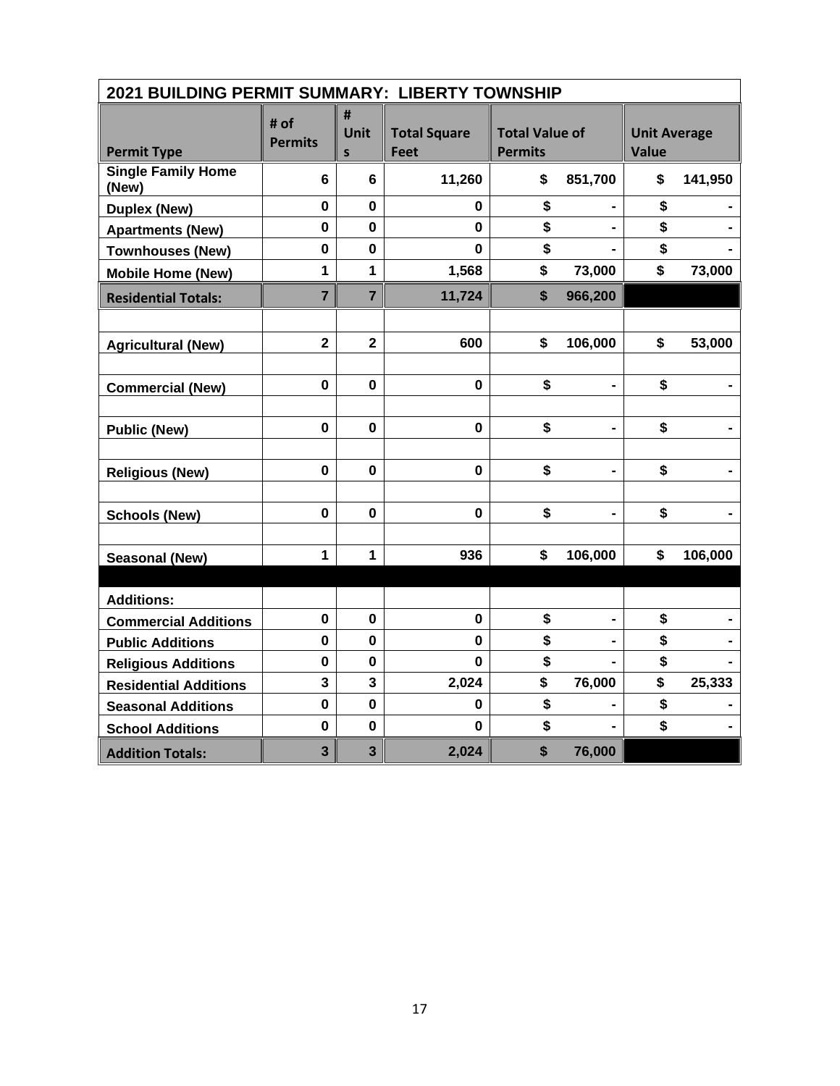| 2021 BUILDING PERMIT SUMMARY: LIBERTY TOWNSHIP |                         |                         |                                    |                                         |                              |                                     |         |
|------------------------------------------------|-------------------------|-------------------------|------------------------------------|-----------------------------------------|------------------------------|-------------------------------------|---------|
| <b>Permit Type</b>                             | # of<br><b>Permits</b>  | #<br>Unit<br>S          | <b>Total Square</b><br><b>Feet</b> | <b>Total Value of</b><br><b>Permits</b> |                              | <b>Unit Average</b><br><b>Value</b> |         |
| <b>Single Family Home</b><br>(New)             | 6                       | 6                       | 11,260                             | \$                                      | 851,700                      | \$                                  | 141,950 |
| <b>Duplex (New)</b>                            | $\mathbf 0$             | $\mathbf 0$             | 0                                  | \$                                      |                              | \$                                  |         |
| <b>Apartments (New)</b>                        | $\pmb{0}$               | $\mathbf 0$             | 0                                  | \$                                      |                              | \$                                  |         |
| <b>Townhouses (New)</b>                        | $\mathbf 0$             | $\mathbf 0$             | $\mathbf 0$                        | \$                                      |                              | \$                                  |         |
| <b>Mobile Home (New)</b>                       | 1                       | 1                       | 1,568                              | \$                                      | 73,000                       | \$                                  | 73,000  |
| <b>Residential Totals:</b>                     | $\overline{7}$          | $\overline{7}$          | 11,724                             | \$                                      | 966,200                      |                                     |         |
|                                                |                         |                         |                                    |                                         |                              |                                     |         |
| <b>Agricultural (New)</b>                      | $\overline{\mathbf{2}}$ | $\overline{\mathbf{2}}$ | 600                                | \$                                      | 106,000                      | \$                                  | 53,000  |
|                                                |                         |                         |                                    |                                         |                              |                                     |         |
| <b>Commercial (New)</b>                        | $\mathbf 0$             | $\mathbf 0$             | $\mathbf 0$                        | \$                                      |                              | \$                                  |         |
|                                                |                         |                         |                                    |                                         |                              |                                     |         |
| <b>Public (New)</b>                            | $\pmb{0}$               | 0                       | $\pmb{0}$                          | \$                                      | $\qquad \qquad \blacksquare$ | \$                                  |         |
|                                                |                         |                         |                                    |                                         |                              |                                     |         |
| <b>Religious (New)</b>                         | $\mathbf 0$             | 0                       | $\mathbf 0$                        | \$                                      |                              | \$                                  |         |
|                                                |                         |                         |                                    |                                         |                              |                                     |         |
| <b>Schools (New)</b>                           | $\mathbf 0$             | $\mathbf 0$             | $\mathbf 0$                        | \$                                      | -                            | \$                                  |         |
|                                                |                         |                         |                                    |                                         |                              |                                     |         |
| <b>Seasonal (New)</b>                          | $\mathbf{1}$            | $\mathbf{1}$            | 936                                | \$                                      | 106,000                      | \$                                  | 106,000 |
|                                                |                         |                         |                                    |                                         |                              |                                     |         |
| <b>Additions:</b>                              |                         |                         |                                    |                                         |                              |                                     |         |
| <b>Commercial Additions</b>                    | $\pmb{0}$               | 0                       | $\pmb{0}$                          | \$                                      |                              | \$                                  |         |
| <b>Public Additions</b>                        | $\mathbf 0$             | $\mathbf 0$             | $\mathbf 0$                        | \$                                      |                              | \$                                  |         |
| <b>Religious Additions</b>                     | $\mathbf 0$             | $\mathbf 0$             | $\mathbf 0$                        | \$                                      |                              | \$                                  |         |
| <b>Residential Additions</b>                   | 3                       | 3                       | 2,024                              | \$                                      | 76,000                       | \$                                  | 25,333  |
| <b>Seasonal Additions</b>                      | $\mathbf 0$             | $\mathbf 0$             | 0                                  | \$                                      |                              | \$                                  |         |
| <b>School Additions</b>                        | $\mathbf 0$             | $\mathbf 0$             | $\mathbf{0}$                       | \$                                      |                              | \$                                  |         |
| <b>Addition Totals:</b>                        | $\overline{\mathbf{3}}$ | $\overline{\mathbf{3}}$ | 2,024                              | \$                                      | 76,000                       |                                     |         |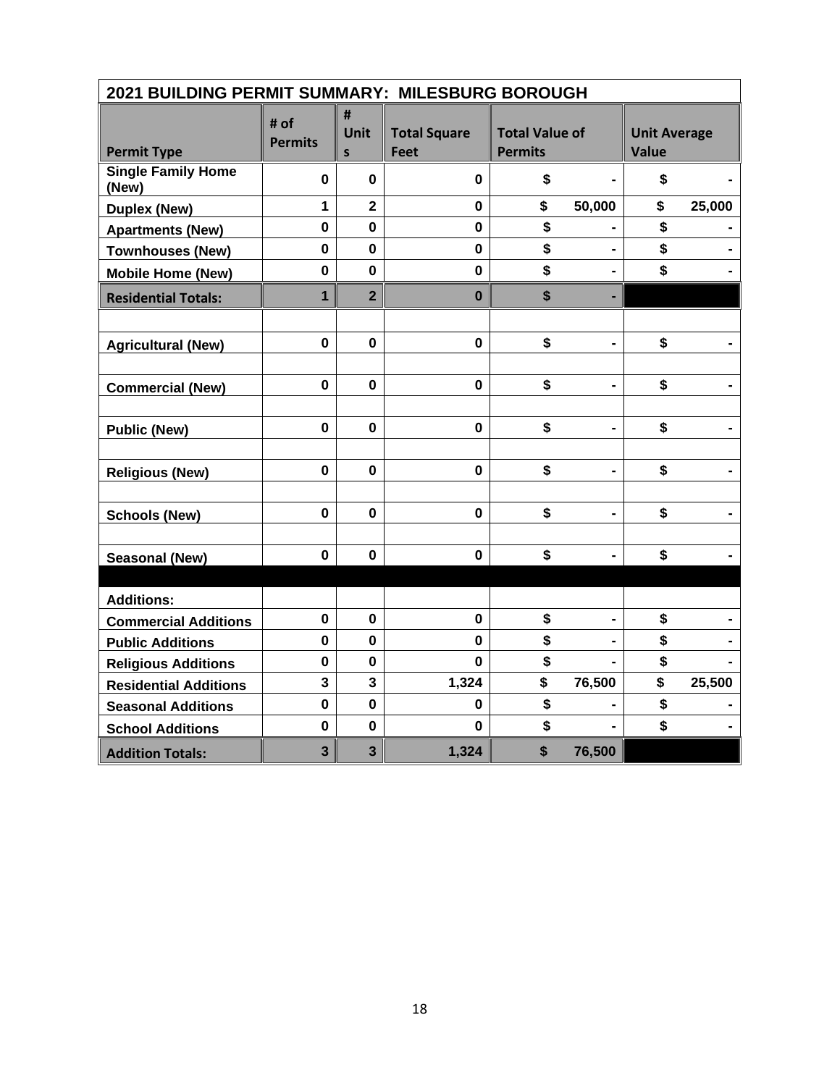| 2021 BUILDING PERMIT SUMMARY: MILESBURG BOROUGH |                         |                         |                                    |                                         |                              |                                     |        |  |  |
|-------------------------------------------------|-------------------------|-------------------------|------------------------------------|-----------------------------------------|------------------------------|-------------------------------------|--------|--|--|
| <b>Permit Type</b>                              | # of<br><b>Permits</b>  | #<br><b>Unit</b><br>S   | <b>Total Square</b><br><b>Feet</b> | <b>Total Value of</b><br><b>Permits</b> |                              | <b>Unit Average</b><br><b>Value</b> |        |  |  |
| <b>Single Family Home</b><br>(New)              | $\pmb{0}$               | $\mathbf 0$             | $\mathbf 0$                        | \$                                      |                              | \$                                  |        |  |  |
| <b>Duplex (New)</b>                             | $\mathbf{1}$            | $\overline{\mathbf{2}}$ | $\mathbf 0$                        | \$                                      | 50,000                       | \$                                  | 25,000 |  |  |
| <b>Apartments (New)</b>                         | $\mathbf 0$             | $\mathbf 0$             | $\mathbf 0$                        | \$                                      |                              | \$                                  |        |  |  |
| <b>Townhouses (New)</b>                         | $\mathbf 0$             | $\mathbf 0$             | $\mathbf 0$                        | \$                                      |                              | \$                                  |        |  |  |
| <b>Mobile Home (New)</b>                        | $\mathbf 0$             | $\mathbf 0$             | $\mathbf 0$                        | \$                                      |                              | \$                                  |        |  |  |
| <b>Residential Totals:</b>                      | $\overline{1}$          | $\overline{2}$          | $\mathbf 0$                        | \$                                      | ٠                            |                                     |        |  |  |
|                                                 |                         |                         |                                    |                                         |                              |                                     |        |  |  |
| <b>Agricultural (New)</b>                       | $\mathbf 0$             | $\mathbf 0$             | $\mathbf 0$                        | \$                                      | $\blacksquare$               | \$                                  |        |  |  |
|                                                 |                         |                         |                                    |                                         |                              |                                     |        |  |  |
| <b>Commercial (New)</b>                         | $\mathbf 0$             | $\mathbf 0$             | $\mathbf 0$                        | \$                                      |                              | \$                                  |        |  |  |
|                                                 |                         |                         |                                    |                                         |                              |                                     |        |  |  |
| <b>Public (New)</b>                             | $\mathbf 0$             | $\bf{0}$                | $\mathbf 0$                        | \$                                      |                              | \$                                  |        |  |  |
|                                                 |                         |                         |                                    |                                         |                              |                                     |        |  |  |
| <b>Religious (New)</b>                          | $\mathbf 0$             | $\mathbf 0$             | $\mathbf 0$                        | \$                                      | $\qquad \qquad \blacksquare$ | \$                                  |        |  |  |
|                                                 |                         |                         |                                    |                                         |                              |                                     |        |  |  |
| <b>Schools (New)</b>                            | $\mathbf 0$             | $\mathbf 0$             | $\mathbf 0$                        | \$                                      |                              | \$                                  |        |  |  |
|                                                 |                         |                         |                                    |                                         |                              |                                     |        |  |  |
| <b>Seasonal (New)</b>                           | $\mathbf 0$             | $\bf{0}$                | $\mathbf 0$                        | \$                                      |                              | \$                                  |        |  |  |
|                                                 |                         |                         |                                    |                                         |                              |                                     |        |  |  |
| <b>Additions:</b>                               |                         |                         |                                    |                                         |                              |                                     |        |  |  |
| <b>Commercial Additions</b>                     | $\mathbf 0$             | $\bf{0}$                | $\mathbf 0$                        | \$                                      |                              | \$                                  |        |  |  |
| <b>Public Additions</b>                         | $\mathbf 0$             | $\mathbf 0$             | $\mathbf 0$                        | \$                                      |                              | \$                                  |        |  |  |
| <b>Religious Additions</b>                      | $\pmb{0}$               | $\mathbf 0$             | $\mathbf{0}$                       | \$                                      |                              | \$                                  |        |  |  |
| <b>Residential Additions</b>                    | 3                       | 3                       | 1,324                              | \$                                      | 76,500                       | \$                                  | 25,500 |  |  |
| <b>Seasonal Additions</b>                       | $\mathbf 0$             | $\mathbf 0$             | 0                                  | \$                                      |                              | \$                                  |        |  |  |
| <b>School Additions</b>                         | $\mathbf 0$             | $\mathbf 0$             | $\mathbf 0$                        | \$                                      |                              | \$                                  |        |  |  |
| <b>Addition Totals:</b>                         | $\overline{\mathbf{3}}$ | $\overline{\mathbf{3}}$ | 1,324                              | \$                                      | 76,500                       |                                     |        |  |  |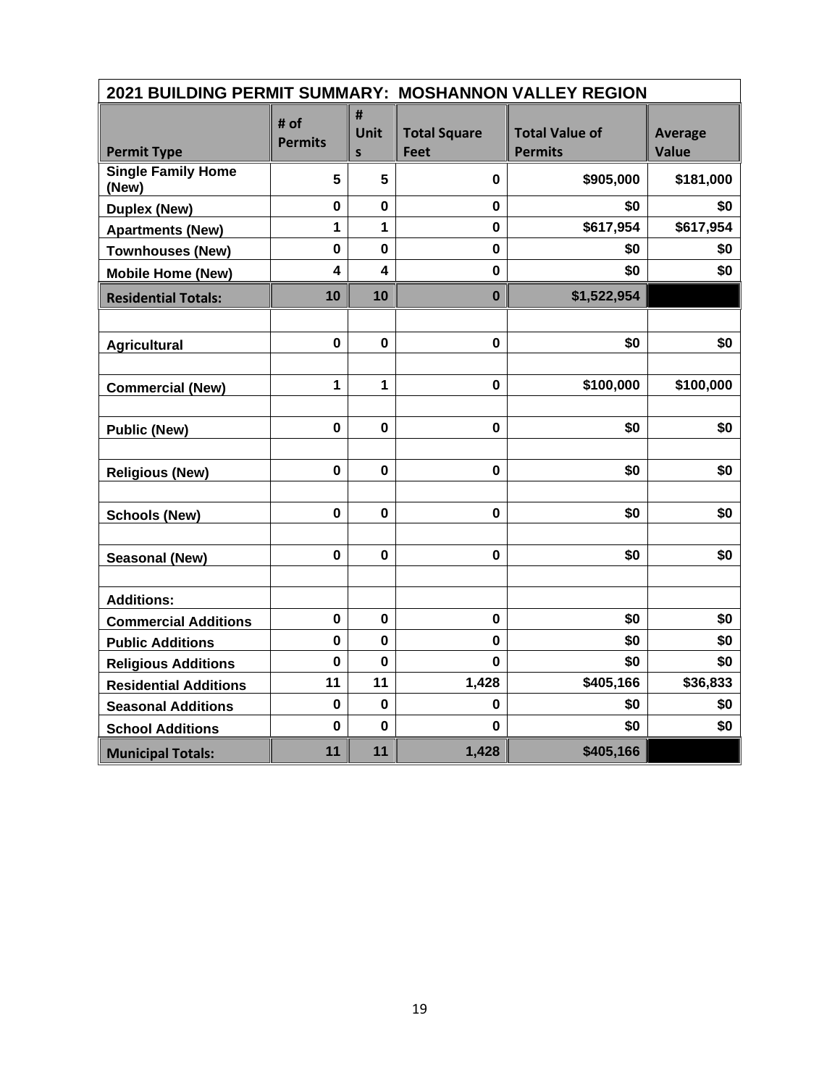| 2021 BUILDING PERMIT SUMMARY: MOSHANNON VALLEY REGION |                         |                                  |                                    |                                         |                                |  |  |  |  |
|-------------------------------------------------------|-------------------------|----------------------------------|------------------------------------|-----------------------------------------|--------------------------------|--|--|--|--|
| <b>Permit Type</b>                                    | # of<br><b>Permits</b>  | #<br><b>Unit</b><br>$\mathsf{s}$ | <b>Total Square</b><br><b>Feet</b> | <b>Total Value of</b><br><b>Permits</b> | <b>Average</b><br><b>Value</b> |  |  |  |  |
| <b>Single Family Home</b><br>(New)                    | 5                       | 5                                | 0                                  | \$905,000                               | \$181,000                      |  |  |  |  |
| <b>Duplex (New)</b>                                   | $\mathbf 0$             | $\mathbf{0}$                     | $\mathbf 0$                        | \$0                                     | \$0                            |  |  |  |  |
| <b>Apartments (New)</b>                               | 1                       | $\mathbf{1}$                     | 0                                  | \$617,954                               | \$617,954                      |  |  |  |  |
| <b>Townhouses (New)</b>                               | $\mathbf 0$             | $\mathbf 0$                      | $\mathbf 0$                        | \$0                                     | \$0                            |  |  |  |  |
| <b>Mobile Home (New)</b>                              | $\overline{\mathbf{4}}$ | $\overline{\mathbf{4}}$          | $\mathbf 0$                        | \$0                                     | \$0                            |  |  |  |  |
| <b>Residential Totals:</b>                            | 10                      | 10                               | $\bf{0}$                           | \$1,522,954                             |                                |  |  |  |  |
|                                                       |                         |                                  |                                    |                                         |                                |  |  |  |  |
| <b>Agricultural</b>                                   | $\mathbf 0$             | $\mathbf 0$                      | $\pmb{0}$                          | \$0                                     | \$0                            |  |  |  |  |
|                                                       |                         |                                  |                                    |                                         |                                |  |  |  |  |
| <b>Commercial (New)</b>                               | 1                       | 1                                | $\mathbf 0$                        | \$100,000                               | \$100,000                      |  |  |  |  |
|                                                       |                         |                                  |                                    |                                         |                                |  |  |  |  |
| <b>Public (New)</b>                                   | $\mathbf 0$             | $\mathbf 0$                      | $\mathbf 0$                        | \$0                                     | \$0                            |  |  |  |  |
|                                                       |                         |                                  |                                    |                                         |                                |  |  |  |  |
| <b>Religious (New)</b>                                | $\mathbf 0$             | $\mathbf 0$                      | $\mathbf 0$                        | \$0                                     | \$0                            |  |  |  |  |
|                                                       |                         |                                  |                                    |                                         |                                |  |  |  |  |
| <b>Schools (New)</b>                                  | $\mathbf 0$             | $\mathbf 0$                      | $\mathbf 0$                        | \$0                                     | \$0                            |  |  |  |  |
|                                                       |                         |                                  |                                    |                                         |                                |  |  |  |  |
| <b>Seasonal (New)</b>                                 | $\mathbf 0$             | $\mathbf 0$                      | $\pmb{0}$                          | \$0                                     | \$0                            |  |  |  |  |
|                                                       |                         |                                  |                                    |                                         |                                |  |  |  |  |
| <b>Additions:</b>                                     |                         |                                  |                                    |                                         |                                |  |  |  |  |
| <b>Commercial Additions</b>                           | $\mathbf 0$             | $\mathbf 0$                      | $\bf{0}$                           | \$0                                     | \$0                            |  |  |  |  |
| <b>Public Additions</b>                               | $\mathbf 0$             | $\mathbf 0$                      | $\mathbf 0$                        | \$0                                     | \$0                            |  |  |  |  |
| <b>Religious Additions</b>                            | 0                       | $\bf{0}$                         | 0                                  | \$0                                     | \$0                            |  |  |  |  |
| <b>Residential Additions</b>                          | 11                      | 11                               | 1,428                              | \$405,166                               | \$36,833                       |  |  |  |  |
| <b>Seasonal Additions</b>                             | $\mathbf 0$             | $\mathbf 0$                      | 0                                  | \$0                                     | \$0                            |  |  |  |  |
| <b>School Additions</b>                               | $\mathbf 0$             | $\mathbf 0$                      | $\mathbf{0}$                       | \$0                                     | \$0                            |  |  |  |  |
| <b>Municipal Totals:</b>                              | 11                      | 11                               | 1,428                              | \$405,166                               |                                |  |  |  |  |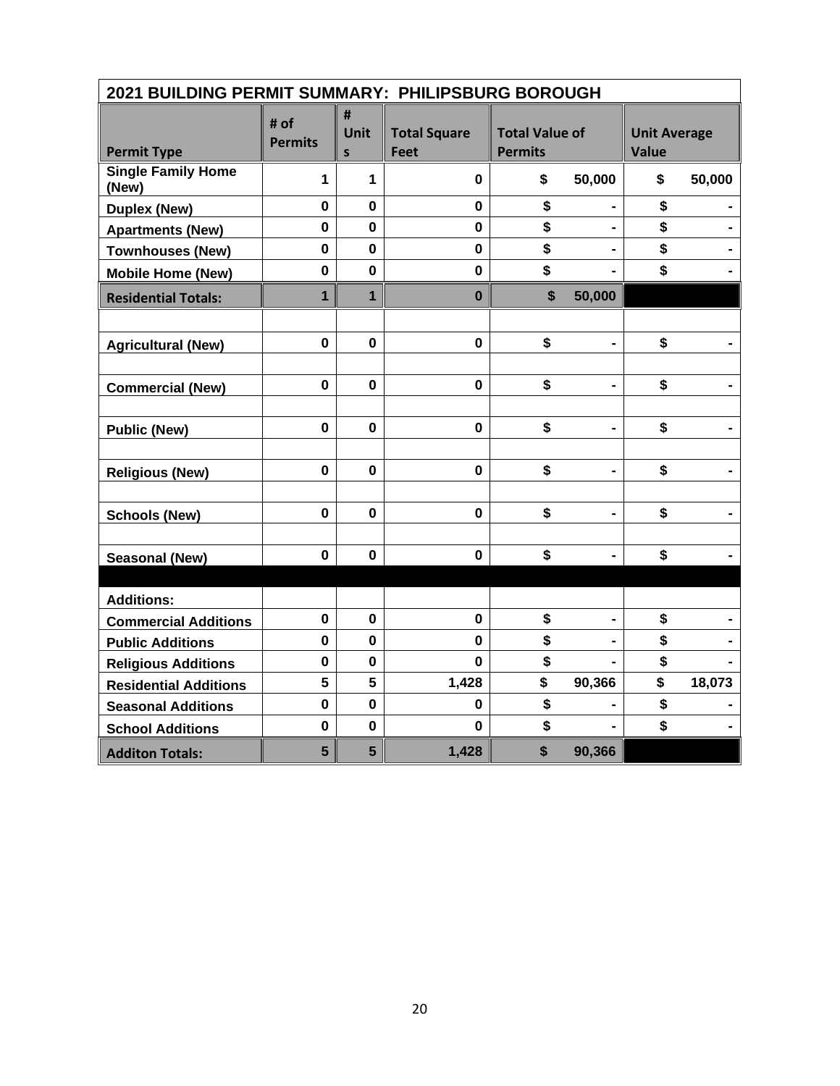| 2021 BUILDING PERMIT SUMMARY: PHILIPSBURG BOROUGH |                        |                           |                                    |                                         |                |                                     |        |
|---------------------------------------------------|------------------------|---------------------------|------------------------------------|-----------------------------------------|----------------|-------------------------------------|--------|
| <b>Permit Type</b>                                | # of<br><b>Permits</b> | #<br>Unit<br>$\mathsf{s}$ | <b>Total Square</b><br><b>Feet</b> | <b>Total Value of</b><br><b>Permits</b> |                | <b>Unit Average</b><br><b>Value</b> |        |
| <b>Single Family Home</b><br>(New)                | 1                      | 1                         | 0                                  | \$                                      | 50,000         | \$                                  | 50,000 |
| <b>Duplex (New)</b>                               | $\mathbf 0$            | $\mathbf 0$               | $\mathbf 0$                        | \$                                      |                | \$                                  |        |
| <b>Apartments (New)</b>                           | $\mathbf 0$            | 0                         | $\mathbf 0$                        | \$                                      | $\blacksquare$ | \$                                  |        |
| <b>Townhouses (New)</b>                           | $\mathbf 0$            | $\mathbf 0$               | $\mathbf 0$                        | \$                                      |                | \$                                  |        |
| <b>Mobile Home (New)</b>                          | $\mathbf 0$            | $\mathbf 0$               | $\mathbf 0$                        | \$                                      |                | \$                                  |        |
| <b>Residential Totals:</b>                        | $\mathbf{1}$           | $\overline{1}$            | $\bf{0}$                           | $\boldsymbol{\mathsf{s}}$               | 50,000         |                                     |        |
|                                                   |                        |                           |                                    |                                         |                |                                     |        |
| <b>Agricultural (New)</b>                         | $\mathbf 0$            | $\mathbf 0$               | $\mathbf{0}$                       | \$                                      | $\blacksquare$ | \$                                  |        |
|                                                   |                        |                           |                                    |                                         |                |                                     |        |
| <b>Commercial (New)</b>                           | $\mathbf 0$            | $\bf{0}$                  | $\mathbf 0$                        | \$                                      |                | \$                                  |        |
|                                                   |                        |                           |                                    |                                         |                |                                     |        |
| <b>Public (New)</b>                               | $\mathbf 0$            | $\mathbf 0$               | $\mathbf 0$                        | \$                                      | -              | \$                                  |        |
|                                                   |                        |                           |                                    |                                         |                |                                     |        |
| <b>Religious (New)</b>                            | $\mathbf 0$            | $\mathbf 0$               | $\mathbf 0$                        | \$                                      | $\blacksquare$ | \$                                  |        |
|                                                   |                        |                           |                                    |                                         |                |                                     |        |
| <b>Schools (New)</b>                              | $\mathbf 0$            | $\mathbf 0$               | $\mathbf 0$                        | \$                                      | $\blacksquare$ | \$                                  |        |
|                                                   |                        |                           |                                    |                                         |                |                                     |        |
| <b>Seasonal (New)</b>                             | $\mathbf 0$            | $\bf{0}$                  | $\mathbf 0$                        | \$                                      |                | \$                                  |        |
|                                                   |                        |                           |                                    |                                         |                |                                     |        |
| <b>Additions:</b>                                 |                        |                           |                                    |                                         |                |                                     |        |
| <b>Commercial Additions</b>                       | $\mathbf 0$            | $\mathbf 0$               | $\mathbf 0$                        | \$                                      |                | \$                                  |        |
| <b>Public Additions</b>                           | $\pmb{0}$              | $\mathbf 0$               | $\mathbf{0}$                       | \$                                      |                | \$                                  |        |
| <b>Religious Additions</b>                        | $\bf{0}$               | 0                         | 0                                  | \$                                      |                | \$                                  |        |
| <b>Residential Additions</b>                      | 5                      | 5                         | 1,428                              | \$                                      | 90,366         | \$                                  | 18,073 |
| <b>Seasonal Additions</b>                         | $\mathbf 0$            | $\mathbf 0$               | 0                                  | \$                                      |                | \$                                  |        |
| <b>School Additions</b>                           | $\bf{0}$               | $\mathbf 0$               | $\bf{0}$                           | \$                                      |                | \$                                  |        |
| <b>Additon Totals:</b>                            | 5                      | 5                         | 1,428                              | \$                                      | 90,366         |                                     |        |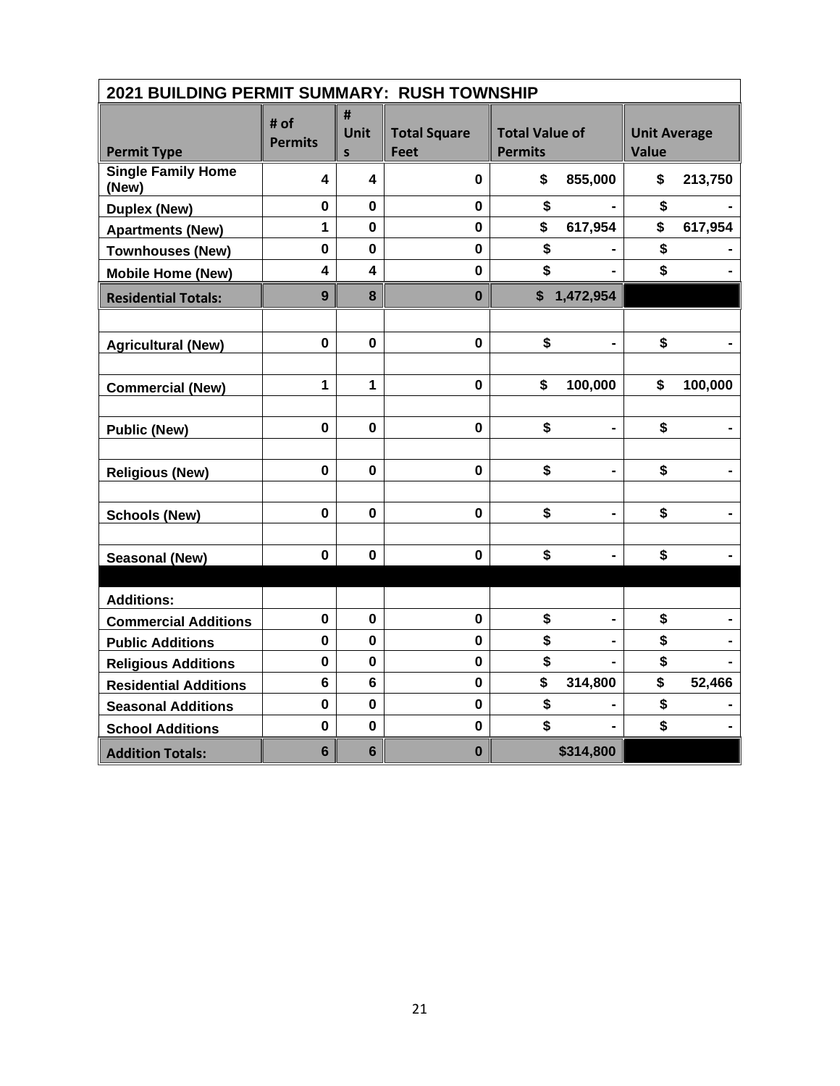| 2021 BUILDING PERMIT SUMMARY: RUSH TOWNSHIP |                         |                         |                                    |                                         |                |                                     |         |  |  |
|---------------------------------------------|-------------------------|-------------------------|------------------------------------|-----------------------------------------|----------------|-------------------------------------|---------|--|--|
| <b>Permit Type</b>                          | # of<br><b>Permits</b>  | #<br>Unit<br>S          | <b>Total Square</b><br><b>Feet</b> | <b>Total Value of</b><br><b>Permits</b> |                | <b>Unit Average</b><br><b>Value</b> |         |  |  |
| <b>Single Family Home</b><br>(New)          | 4                       | 4                       | 0                                  | \$                                      | 855,000        | \$                                  | 213,750 |  |  |
| <b>Duplex (New)</b>                         | $\mathbf 0$             | $\mathbf 0$             | $\mathbf 0$                        | \$                                      |                | \$                                  |         |  |  |
| <b>Apartments (New)</b>                     | $\mathbf{1}$            | $\mathbf 0$             | $\mathbf 0$                        | \$                                      | 617,954        | \$                                  | 617,954 |  |  |
| <b>Townhouses (New)</b>                     | $\mathbf 0$             | $\mathbf 0$             | $\mathbf 0$                        | \$                                      |                | \$                                  |         |  |  |
| <b>Mobile Home (New)</b>                    | $\overline{\mathbf{4}}$ | $\overline{\mathbf{4}}$ | $\mathbf 0$                        | \$                                      |                | \$                                  |         |  |  |
| <b>Residential Totals:</b>                  | 9                       | 8                       | $\bf{0}$                           |                                         | \$1,472,954    |                                     |         |  |  |
|                                             |                         |                         |                                    |                                         |                |                                     |         |  |  |
| <b>Agricultural (New)</b>                   | $\mathbf{0}$            | $\mathbf 0$             | $\mathbf 0$                        | \$                                      | $\blacksquare$ | \$                                  |         |  |  |
|                                             |                         |                         |                                    |                                         |                |                                     |         |  |  |
| <b>Commercial (New)</b>                     | 1                       | $\mathbf{1}$            | $\mathbf 0$                        | \$                                      | 100,000        | \$                                  | 100,000 |  |  |
|                                             |                         |                         |                                    |                                         |                |                                     |         |  |  |
| <b>Public (New)</b>                         | $\mathbf 0$             | 0                       | $\mathbf 0$                        | \$                                      |                | \$                                  |         |  |  |
|                                             |                         |                         |                                    |                                         |                |                                     |         |  |  |
| <b>Religious (New)</b>                      | $\mathbf 0$             | $\mathbf 0$             | $\mathbf 0$                        | \$                                      |                | \$                                  |         |  |  |
|                                             |                         |                         |                                    |                                         |                |                                     |         |  |  |
| <b>Schools (New)</b>                        | $\mathbf 0$             | $\mathbf{0}$            | $\mathbf 0$                        | \$                                      | $\blacksquare$ | \$                                  |         |  |  |
|                                             |                         |                         |                                    |                                         |                |                                     |         |  |  |
| <b>Seasonal (New)</b>                       | $\mathbf 0$             | 0                       | $\mathbf 0$                        | \$                                      |                | \$                                  |         |  |  |
|                                             |                         |                         |                                    |                                         |                |                                     |         |  |  |
| <b>Additions:</b>                           |                         |                         |                                    |                                         |                |                                     |         |  |  |
| <b>Commercial Additions</b>                 | $\mathbf 0$             | $\mathbf 0$             | $\mathbf 0$                        | \$                                      |                | \$                                  |         |  |  |
| <b>Public Additions</b>                     | $\mathbf 0$             | $\mathbf 0$             | $\pmb{0}$                          | \$                                      |                | \$                                  |         |  |  |
| <b>Religious Additions</b>                  | 0                       | 0                       | $\mathbf 0$                        | \$                                      |                | \$                                  |         |  |  |
| <b>Residential Additions</b>                | $6\phantom{1}$          | $6\phantom{1}$          | $\mathbf 0$                        | \$                                      | 314,800        | \$                                  | 52,466  |  |  |
| <b>Seasonal Additions</b>                   | $\mathbf 0$             | $\mathbf 0$             | $\mathbf 0$                        | \$                                      |                | \$                                  |         |  |  |
| <b>School Additions</b>                     | $\mathbf 0$             | $\mathbf 0$             | $\mathbf 0$                        | \$                                      |                | \$                                  |         |  |  |
| <b>Addition Totals:</b>                     | $6\phantom{1}$          | $6\phantom{1}$          | $\bf{0}$                           |                                         | \$314,800      |                                     |         |  |  |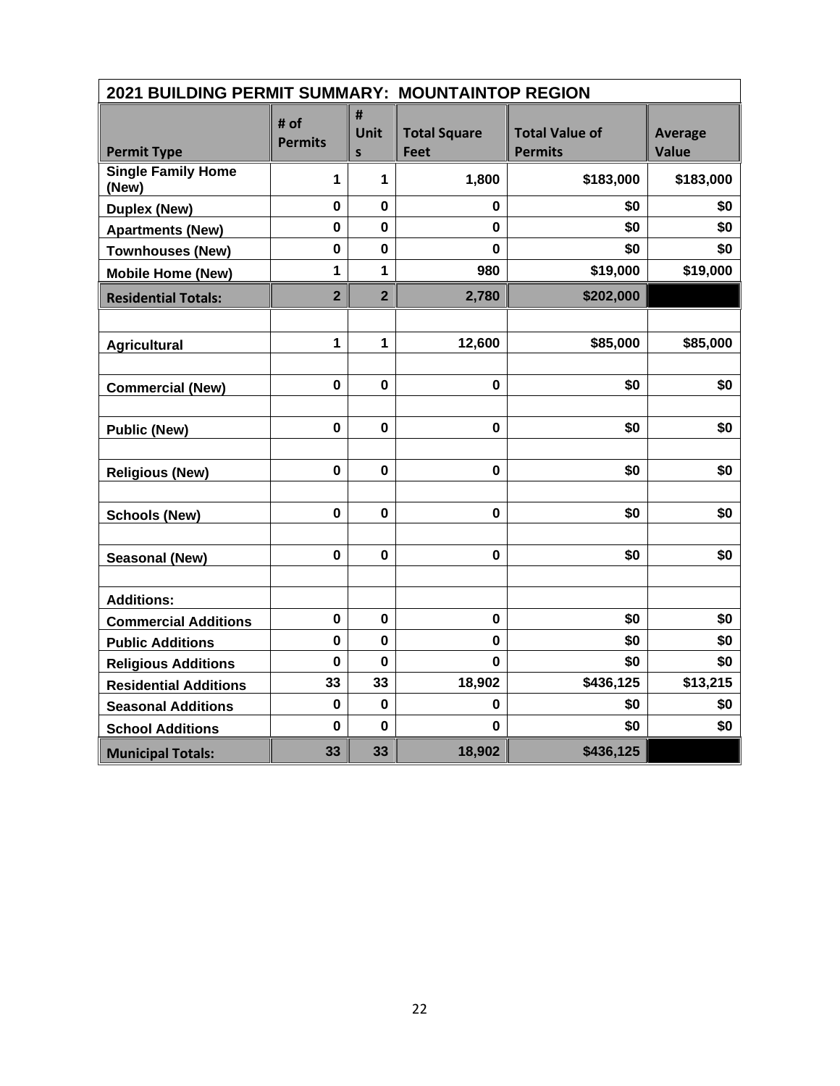| 2021 BUILDING PERMIT SUMMARY: MOUNTAINTOP REGION |                         |                       |                                    |                                         |                                |
|--------------------------------------------------|-------------------------|-----------------------|------------------------------------|-----------------------------------------|--------------------------------|
| <b>Permit Type</b>                               | # of<br><b>Permits</b>  | #<br><b>Unit</b><br>S | <b>Total Square</b><br><b>Feet</b> | <b>Total Value of</b><br><b>Permits</b> | <b>Average</b><br><b>Value</b> |
| <b>Single Family Home</b><br>(New)               | 1                       | 1                     | 1,800                              | \$183,000                               | \$183,000                      |
| <b>Duplex (New)</b>                              | $\mathbf 0$             | $\mathbf 0$           | 0                                  | \$0                                     | \$0                            |
| <b>Apartments (New)</b>                          | 0                       | $\mathbf 0$           | 0                                  | \$0                                     | \$0                            |
| <b>Townhouses (New)</b>                          | $\mathbf 0$             | $\mathbf 0$           | $\mathbf 0$                        | \$0                                     | \$0                            |
| <b>Mobile Home (New)</b>                         | 1                       | 1                     | 980                                | \$19,000                                | \$19,000                       |
| <b>Residential Totals:</b>                       | $\overline{\mathbf{2}}$ | $\overline{2}$        | 2,780                              | \$202,000                               |                                |
|                                                  |                         |                       |                                    |                                         |                                |
| <b>Agricultural</b>                              | 1                       | 1                     | 12,600                             | \$85,000                                | \$85,000                       |
|                                                  |                         |                       |                                    |                                         |                                |
| <b>Commercial (New)</b>                          | $\mathbf 0$             | $\mathbf{0}$          | $\mathbf 0$                        | \$0                                     | \$0                            |
|                                                  |                         |                       |                                    |                                         |                                |
| <b>Public (New)</b>                              | $\mathbf 0$             | $\mathbf 0$           | $\mathbf 0$                        | \$0                                     | \$0                            |
|                                                  |                         |                       |                                    |                                         |                                |
| <b>Religious (New)</b>                           | $\mathbf 0$             | $\mathbf 0$           | $\mathbf 0$                        | \$0                                     | \$0                            |
|                                                  |                         |                       |                                    |                                         |                                |
| <b>Schools (New)</b>                             | $\mathbf 0$             | $\mathbf{0}$          | $\mathbf{0}$                       | \$0                                     | \$0                            |
|                                                  |                         |                       |                                    |                                         |                                |
| Seasonal (New)                                   | $\mathbf 0$             | $\mathbf 0$           | $\mathbf 0$                        | \$0                                     | \$0                            |
|                                                  |                         |                       |                                    |                                         |                                |
| <b>Additions:</b>                                |                         |                       |                                    |                                         |                                |
| <b>Commercial Additions</b>                      | $\pmb{0}$               | $\mathbf 0$           | $\pmb{0}$                          | \$0                                     | \$0                            |
| <b>Public Additions</b>                          | $\mathbf 0$             | $\mathbf 0$           | 0                                  | \$0                                     | \$0                            |
| <b>Religious Additions</b>                       | 0                       | $\mathbf 0$           | 0                                  | \$0                                     | \$0                            |
| <b>Residential Additions</b>                     | 33                      | 33                    | 18,902                             | \$436,125                               | \$13,215                       |
| <b>Seasonal Additions</b>                        | $\mathbf 0$             | $\mathbf 0$           | 0                                  | \$0                                     | \$0                            |
| <b>School Additions</b>                          | $\mathbf 0$             | $\mathbf 0$           | 0                                  | \$0                                     | \$0                            |
| <b>Municipal Totals:</b>                         | 33                      | 33                    | 18,902                             | \$436,125                               |                                |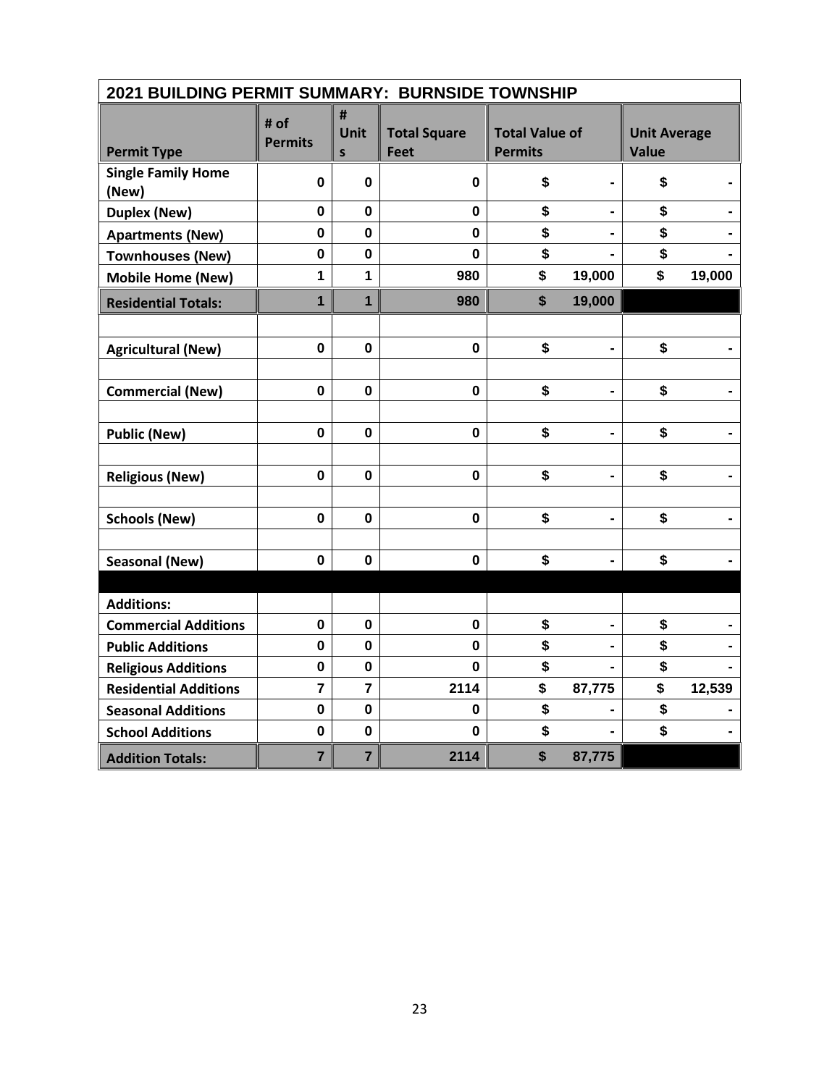| 2021 BUILDING PERMIT SUMMARY: BURNSIDE TOWNSHIP |                        |                                  |                             |                                         |                |                                     |        |  |  |  |
|-------------------------------------------------|------------------------|----------------------------------|-----------------------------|-----------------------------------------|----------------|-------------------------------------|--------|--|--|--|
| <b>Permit Type</b>                              | # of<br><b>Permits</b> | #<br><b>Unit</b><br>$\mathsf{s}$ | <b>Total Square</b><br>Feet | <b>Total Value of</b><br><b>Permits</b> |                | <b>Unit Average</b><br><b>Value</b> |        |  |  |  |
| <b>Single Family Home</b><br>(New)              | 0                      | $\mathbf 0$                      | $\bf{0}$                    | \$                                      |                | \$                                  |        |  |  |  |
| <b>Duplex (New)</b>                             | $\bf{0}$               | $\mathbf 0$                      | $\mathbf 0$                 | \$                                      | $\blacksquare$ | \$                                  |        |  |  |  |
| <b>Apartments (New)</b>                         | $\mathbf 0$            | $\mathbf 0$                      | $\bf{0}$                    | \$                                      |                | \$                                  |        |  |  |  |
| <b>Townhouses (New)</b>                         | $\bf{0}$               | $\mathbf 0$                      | $\bf{0}$                    | \$                                      |                | \$                                  |        |  |  |  |
| <b>Mobile Home (New)</b>                        | 1                      | 1                                | 980                         | \$                                      | 19,000         | \$                                  | 19,000 |  |  |  |
| <b>Residential Totals:</b>                      | $\mathbf{1}$           | $\mathbf{1}$                     | 980                         | \$                                      | 19,000         |                                     |        |  |  |  |
|                                                 |                        |                                  |                             |                                         |                |                                     |        |  |  |  |
| <b>Agricultural (New)</b>                       | $\bf{0}$               | $\mathbf 0$                      | $\bf{0}$                    | \$                                      |                | \$                                  |        |  |  |  |
|                                                 |                        |                                  |                             |                                         |                |                                     |        |  |  |  |
| <b>Commercial (New)</b>                         | $\mathbf 0$            | $\mathbf 0$                      | $\bf{0}$                    | \$                                      |                | \$                                  |        |  |  |  |
|                                                 |                        |                                  |                             |                                         |                |                                     |        |  |  |  |
| <b>Public (New)</b>                             | 0                      | $\mathbf 0$                      | $\bf{0}$                    | \$                                      | $\blacksquare$ | \$                                  |        |  |  |  |
|                                                 |                        |                                  |                             |                                         |                |                                     |        |  |  |  |
| <b>Religious (New)</b>                          | $\mathbf 0$            | $\mathbf 0$                      | $\mathbf 0$                 | \$                                      | $\blacksquare$ | \$                                  |        |  |  |  |
|                                                 |                        |                                  |                             |                                         |                |                                     |        |  |  |  |
| <b>Schools (New)</b>                            | $\mathbf 0$            | $\mathbf 0$                      | $\mathbf 0$                 | \$                                      |                | \$                                  |        |  |  |  |
|                                                 |                        |                                  |                             |                                         |                |                                     |        |  |  |  |
| <b>Seasonal (New)</b>                           | $\mathbf 0$            | $\mathbf 0$                      | 0                           | \$                                      |                | \$                                  |        |  |  |  |
|                                                 |                        |                                  |                             |                                         |                |                                     |        |  |  |  |
| <b>Additions:</b>                               |                        |                                  |                             |                                         |                |                                     |        |  |  |  |
| <b>Commercial Additions</b>                     | 0                      | $\mathbf 0$                      | $\bf{0}$                    | \$                                      | -              | \$                                  |        |  |  |  |
| <b>Public Additions</b>                         | 0                      | 0                                | 0                           | \$                                      |                | \$                                  |        |  |  |  |
| <b>Religious Additions</b>                      | $\mathbf 0$            | $\mathbf 0$                      | $\bf{0}$                    | \$                                      |                | \$                                  |        |  |  |  |
| <b>Residential Additions</b>                    | $\overline{7}$         | $\overline{7}$                   | 2114                        | \$                                      | 87,775         | \$                                  | 12,539 |  |  |  |
| <b>Seasonal Additions</b>                       | $\mathbf 0$            | $\mathbf 0$                      | 0                           | \$                                      |                | \$                                  |        |  |  |  |
| <b>School Additions</b>                         | $\pmb{0}$              | $\mathbf 0$                      | $\bf{0}$                    | \$                                      |                | \$                                  |        |  |  |  |
| <b>Addition Totals:</b>                         | $\overline{7}$         | $\overline{7}$                   | 2114                        | \$                                      | 87,775         |                                     |        |  |  |  |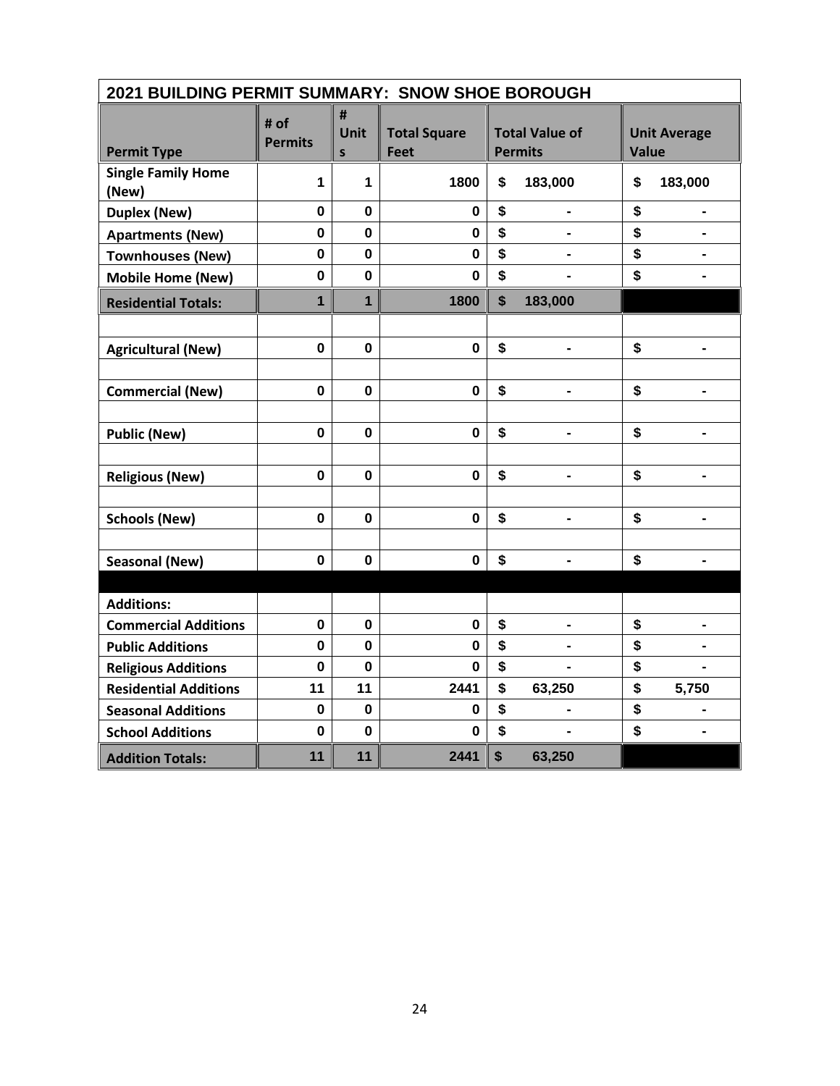| 2021 BUILDING PERMIT SUMMARY: SNOW SHOE BOROUGH |                        |                           |                             |    |                                         |                                     |                          |  |  |
|-------------------------------------------------|------------------------|---------------------------|-----------------------------|----|-----------------------------------------|-------------------------------------|--------------------------|--|--|
| <b>Permit Type</b>                              | # of<br><b>Permits</b> | #<br>Unit<br>$\mathsf{s}$ | <b>Total Square</b><br>Feet |    | <b>Total Value of</b><br><b>Permits</b> | <b>Unit Average</b><br><b>Value</b> |                          |  |  |
| <b>Single Family Home</b><br>(New)              | 1                      | 1                         | 1800                        | \$ | 183,000                                 | \$                                  | 183,000                  |  |  |
| <b>Duplex (New)</b>                             | $\mathbf 0$            | $\mathbf 0$               | $\mathbf 0$                 | \$ | $\qquad \qquad \blacksquare$            | \$                                  | $\blacksquare$           |  |  |
| <b>Apartments (New)</b>                         | $\mathbf 0$            | $\mathbf 0$               | $\bf{0}$                    | \$ |                                         | \$                                  |                          |  |  |
| <b>Townhouses (New)</b>                         | $\mathbf 0$            | $\mathbf 0$               | $\mathbf 0$                 | \$ |                                         | \$                                  |                          |  |  |
| <b>Mobile Home (New)</b>                        | $\mathbf 0$            | $\pmb{0}$                 | 0                           | \$ |                                         | \$                                  |                          |  |  |
| <b>Residential Totals:</b>                      | $\overline{1}$         | $\overline{1}$            | 1800                        | \$ | 183,000                                 |                                     |                          |  |  |
|                                                 |                        |                           |                             |    |                                         |                                     |                          |  |  |
| <b>Agricultural (New)</b>                       | $\mathbf 0$            | $\mathbf 0$               | $\mathbf 0$                 | \$ | $\blacksquare$                          | \$                                  | $\overline{\phantom{0}}$ |  |  |
|                                                 |                        |                           |                             |    |                                         |                                     |                          |  |  |
| <b>Commercial (New)</b>                         | $\mathbf 0$            | $\mathbf 0$               | $\mathbf 0$                 | \$ |                                         | \$                                  | $\blacksquare$           |  |  |
|                                                 |                        |                           |                             |    |                                         |                                     |                          |  |  |
| <b>Public (New)</b>                             | 0                      | $\mathbf 0$               | $\mathbf 0$                 | \$ | $\blacksquare$                          | \$                                  | $\overline{\phantom{0}}$ |  |  |
|                                                 |                        |                           |                             |    |                                         |                                     |                          |  |  |
| <b>Religious (New)</b>                          | $\bf{0}$               | $\mathbf 0$               | $\mathbf 0$                 | \$ |                                         | \$                                  | $\blacksquare$           |  |  |
|                                                 |                        |                           |                             |    |                                         |                                     |                          |  |  |
| <b>Schools (New)</b>                            | $\mathbf 0$            | $\mathbf 0$               | $\mathbf 0$                 | \$ |                                         | \$                                  | $\blacksquare$           |  |  |
|                                                 |                        |                           |                             |    |                                         |                                     |                          |  |  |
| <b>Seasonal (New)</b>                           | $\bf{0}$               | 0                         | 0                           | \$ | $\blacksquare$                          | \$                                  | $\overline{\phantom{0}}$ |  |  |
|                                                 |                        |                           |                             |    |                                         |                                     |                          |  |  |
| <b>Additions:</b>                               |                        |                           |                             |    |                                         |                                     |                          |  |  |
| <b>Commercial Additions</b>                     | 0                      | $\mathbf 0$               | 0                           | \$ | $\blacksquare$                          | \$                                  | $\overline{\phantom{0}}$ |  |  |
| <b>Public Additions</b>                         | $\mathbf 0$            | $\mathbf 0$               | $\mathbf 0$                 | \$ |                                         | \$                                  |                          |  |  |
| <b>Religious Additions</b>                      | 0                      | 0                         | 0                           | \$ |                                         | \$                                  | $\blacksquare$           |  |  |
| <b>Residential Additions</b>                    | 11                     | 11                        | 2441                        | \$ | 63,250                                  | \$                                  | 5,750                    |  |  |
| <b>Seasonal Additions</b>                       | $\mathbf 0$            | $\mathbf 0$               | 0                           | \$ | $\blacksquare$                          | \$                                  | $\blacksquare$           |  |  |
| <b>School Additions</b>                         | 0                      | $\mathbf 0$               | 0                           | \$ |                                         | \$                                  |                          |  |  |
| <b>Addition Totals:</b>                         | 11                     | 11                        | 2441                        | \$ | 63,250                                  |                                     |                          |  |  |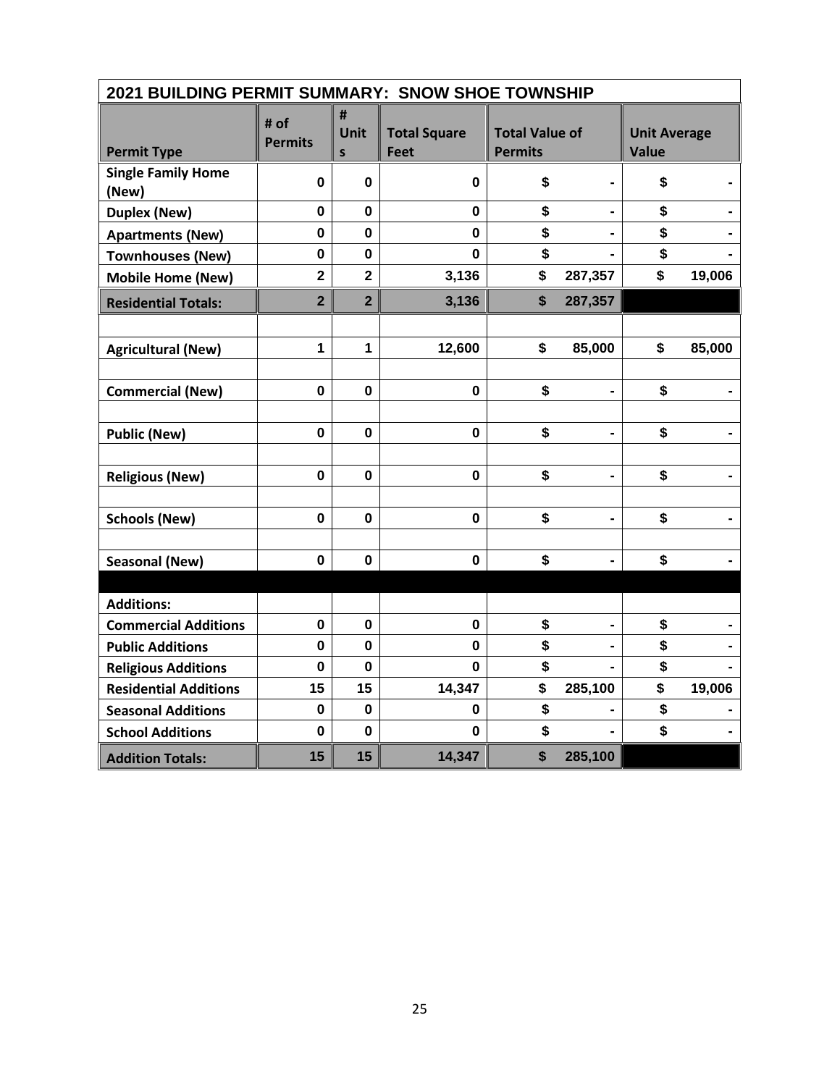| 2021 BUILDING PERMIT SUMMARY: SNOW SHOE TOWNSHIP |                         |                           |                             |                                         |                |                              |        |
|--------------------------------------------------|-------------------------|---------------------------|-----------------------------|-----------------------------------------|----------------|------------------------------|--------|
| <b>Permit Type</b>                               | # of<br><b>Permits</b>  | #<br>Unit<br>$\mathsf{s}$ | <b>Total Square</b><br>Feet | <b>Total Value of</b><br><b>Permits</b> |                | <b>Unit Average</b><br>Value |        |
| <b>Single Family Home</b><br>(New)               | 0                       | $\mathbf 0$               | 0                           | \$                                      |                | \$                           |        |
| <b>Duplex (New)</b>                              | $\mathbf 0$             | $\mathbf 0$               | $\mathbf 0$                 | \$                                      | $\blacksquare$ | \$                           |        |
| <b>Apartments (New)</b>                          | 0                       | 0                         | $\bf{0}$                    | \$                                      |                | \$                           |        |
| <b>Townhouses (New)</b>                          | $\mathbf{0}$            | $\mathbf 0$               | $\Omega$                    | \$                                      |                | \$                           |        |
| <b>Mobile Home (New)</b>                         | $\overline{\mathbf{2}}$ | $\overline{\mathbf{2}}$   | 3,136                       | \$                                      | 287,357        | \$                           | 19,006 |
| <b>Residential Totals:</b>                       | $\overline{2}$          | $\overline{2}$            | 3,136                       | \$                                      | 287,357        |                              |        |
|                                                  |                         |                           |                             |                                         |                |                              |        |
| <b>Agricultural (New)</b>                        | 1                       | $\mathbf{1}$              | 12,600                      | \$                                      | 85,000         | \$                           | 85,000 |
|                                                  |                         |                           |                             |                                         |                |                              |        |
| <b>Commercial (New)</b>                          | $\mathbf 0$             | $\mathbf 0$               | $\mathbf 0$                 | \$                                      |                | \$                           |        |
|                                                  |                         |                           |                             |                                         |                |                              |        |
| <b>Public (New)</b>                              | $\mathbf 0$             | $\mathbf 0$               | 0                           | \$                                      | $\blacksquare$ | \$                           |        |
|                                                  |                         |                           |                             |                                         |                |                              |        |
| <b>Religious (New)</b>                           | $\mathbf 0$             | 0                         | 0                           | \$                                      |                | \$                           |        |
|                                                  |                         |                           |                             |                                         |                |                              |        |
| <b>Schools (New)</b>                             | $\mathbf 0$             | $\mathbf 0$               | 0                           | \$                                      |                | \$                           |        |
|                                                  |                         |                           |                             |                                         |                |                              |        |
| <b>Seasonal (New)</b>                            | 0                       | $\mathbf 0$               | 0                           | \$                                      | $\blacksquare$ | \$                           |        |
|                                                  |                         |                           |                             |                                         |                |                              |        |
| <b>Additions:</b>                                |                         |                           |                             |                                         |                |                              |        |
| <b>Commercial Additions</b>                      | $\mathbf 0$             | $\mathbf 0$               | $\mathbf 0$                 | \$                                      |                | \$                           |        |
| <b>Public Additions</b>                          | $\mathbf 0$             | $\mathbf 0$               | 0                           | \$                                      |                | \$                           |        |
| <b>Religious Additions</b>                       | $\mathbf 0$             | $\mathbf 0$               | $\Omega$                    | \$                                      |                | \$                           |        |
| <b>Residential Additions</b>                     | 15                      | 15                        | 14,347                      | \$                                      | 285,100        | \$                           | 19,006 |
| <b>Seasonal Additions</b>                        | 0                       | $\mathbf 0$               | 0                           | \$                                      |                | \$                           |        |
| <b>School Additions</b>                          | $\mathbf 0$             | $\mathbf 0$               | $\bf{0}$                    | \$                                      |                | \$                           |        |
| <b>Addition Totals:</b>                          | 15                      | 15                        | 14,347                      | \$                                      | 285,100        |                              |        |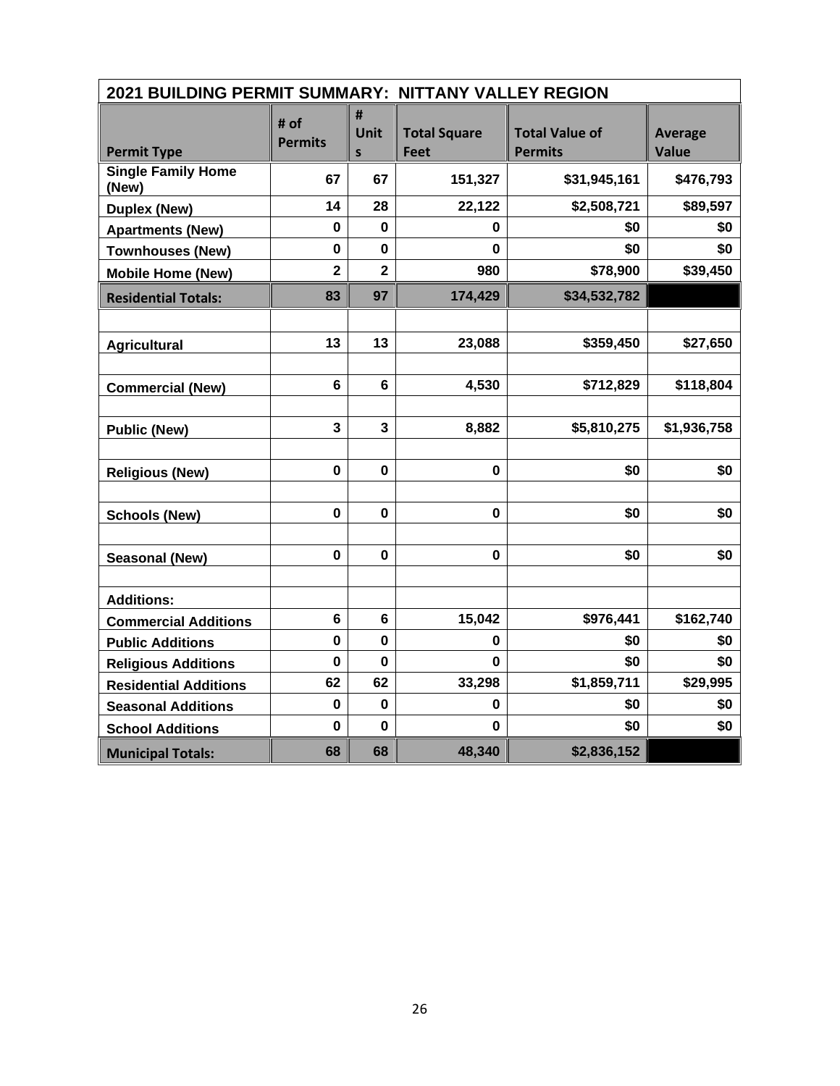| 2021 BUILDING PERMIT SUMMARY: NITTANY VALLEY REGION |                        |                                  |                                    |                                         |                                |  |  |  |
|-----------------------------------------------------|------------------------|----------------------------------|------------------------------------|-----------------------------------------|--------------------------------|--|--|--|
| <b>Permit Type</b>                                  | # of<br><b>Permits</b> | #<br><b>Unit</b><br>$\mathsf{s}$ | <b>Total Square</b><br><b>Feet</b> | <b>Total Value of</b><br><b>Permits</b> | <b>Average</b><br><b>Value</b> |  |  |  |
| <b>Single Family Home</b><br>(New)                  | 67                     | 67                               | 151,327                            | \$31,945,161                            | \$476,793                      |  |  |  |
| <b>Duplex (New)</b>                                 | 14                     | 28                               | 22,122                             | \$2,508,721                             | \$89,597                       |  |  |  |
| <b>Apartments (New)</b>                             | 0                      | $\mathbf 0$                      | 0                                  | \$0                                     | \$0                            |  |  |  |
| <b>Townhouses (New)</b>                             | $\mathbf 0$            | $\mathbf 0$                      | 0                                  | \$0                                     | \$0                            |  |  |  |
| <b>Mobile Home (New)</b>                            | $\overline{2}$         | $\overline{2}$                   | 980                                | \$78,900                                | \$39,450                       |  |  |  |
| <b>Residential Totals:</b>                          | 83                     | 97                               | 174,429                            | \$34,532,782                            |                                |  |  |  |
|                                                     |                        |                                  |                                    |                                         |                                |  |  |  |
| <b>Agricultural</b>                                 | 13                     | 13                               | 23,088                             | \$359,450                               | \$27,650                       |  |  |  |
|                                                     |                        |                                  |                                    |                                         |                                |  |  |  |
| <b>Commercial (New)</b>                             | $6\phantom{1}$         | $6\phantom{1}$                   | 4,530                              | \$712,829                               | \$118,804                      |  |  |  |
|                                                     |                        |                                  |                                    |                                         |                                |  |  |  |
| <b>Public (New)</b>                                 | 3                      | 3                                | 8,882                              | \$5,810,275                             | \$1,936,758                    |  |  |  |
|                                                     |                        |                                  |                                    |                                         |                                |  |  |  |
| <b>Religious (New)</b>                              | 0                      | $\mathbf 0$                      | $\mathbf 0$                        | \$0                                     | \$0                            |  |  |  |
|                                                     |                        |                                  |                                    |                                         |                                |  |  |  |
| <b>Schools (New)</b>                                | $\mathbf 0$            | $\mathbf 0$                      | $\pmb{0}$                          | \$0                                     | \$0                            |  |  |  |
|                                                     |                        |                                  |                                    |                                         |                                |  |  |  |
| <b>Seasonal (New)</b>                               | $\mathbf 0$            | $\mathbf 0$                      | $\mathbf 0$                        | \$0                                     | \$0                            |  |  |  |
|                                                     |                        |                                  |                                    |                                         |                                |  |  |  |
| <b>Additions:</b>                                   | 6                      | 6                                | 15,042                             | \$976,441                               | \$162,740                      |  |  |  |
| <b>Commercial Additions</b>                         | 0                      | $\mathbf 0$                      |                                    | \$0                                     |                                |  |  |  |
| <b>Public Additions</b>                             | $\mathbf 0$            | $\mathbf 0$                      | 0<br>0                             | \$0                                     | \$0<br>\$0                     |  |  |  |
| <b>Religious Additions</b>                          | 62                     | 62                               | 33,298                             | \$1,859,711                             | \$29,995                       |  |  |  |
| <b>Residential Additions</b>                        | $\mathbf 0$            | $\mathbf 0$                      | 0                                  | \$0                                     | \$0                            |  |  |  |
| <b>Seasonal Additions</b>                           | 0                      | $\mathbf 0$                      | 0                                  | \$0                                     | \$0                            |  |  |  |
| <b>School Additions</b>                             |                        |                                  |                                    |                                         |                                |  |  |  |
| <b>Municipal Totals:</b>                            | 68                     | 68                               | 48,340                             | \$2,836,152                             |                                |  |  |  |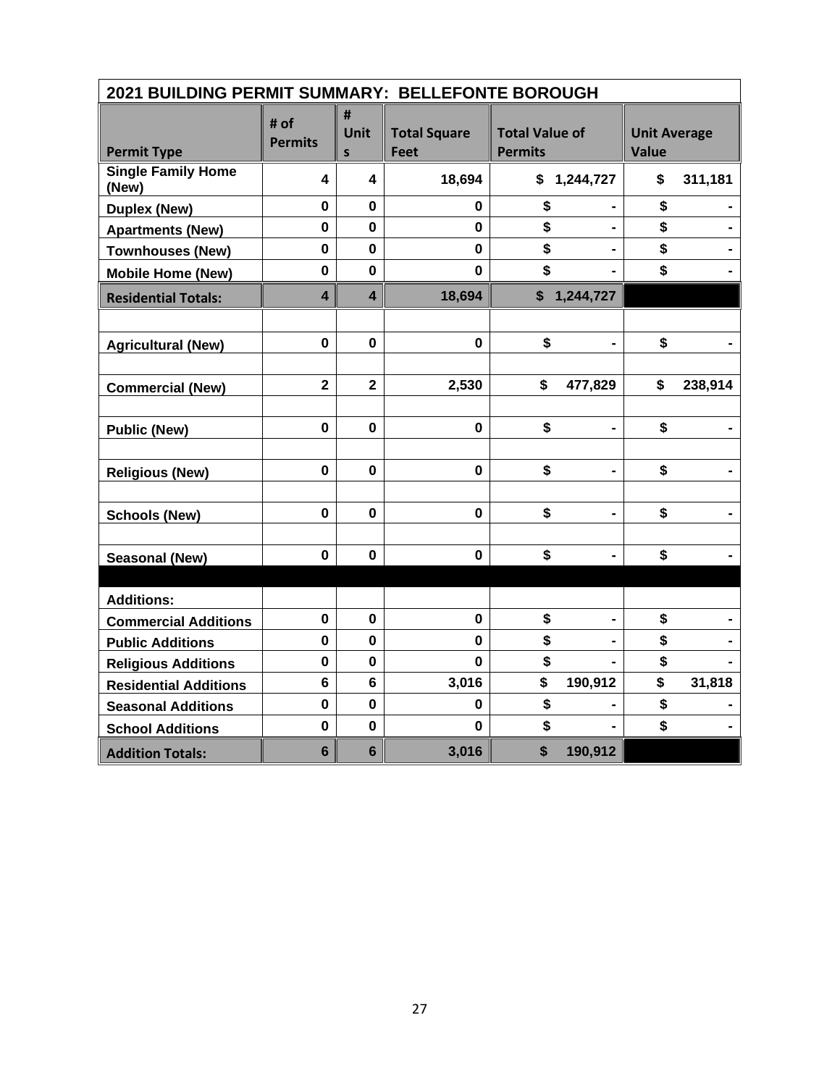|                                    | 2021 BUILDING PERMIT SUMMARY: BELLEFONTE BOROUGH |                         |                                    |                                         |                                     |  |  |
|------------------------------------|--------------------------------------------------|-------------------------|------------------------------------|-----------------------------------------|-------------------------------------|--|--|
| <b>Permit Type</b>                 | # of<br><b>Permits</b>                           | #<br>Unit<br>S          | <b>Total Square</b><br><b>Feet</b> | <b>Total Value of</b><br><b>Permits</b> | <b>Unit Average</b><br><b>Value</b> |  |  |
| <b>Single Family Home</b><br>(New) | 4                                                | 4                       | 18,694                             | \$1,244,727                             | \$<br>311,181                       |  |  |
| <b>Duplex (New)</b>                | $\mathbf 0$                                      | $\mathbf 0$             | 0                                  | \$                                      | \$                                  |  |  |
| <b>Apartments (New)</b>            | $\mathbf 0$                                      | $\mathbf 0$             | $\mathbf{0}$                       | \$<br>$\blacksquare$                    | \$                                  |  |  |
| <b>Townhouses (New)</b>            | $\mathbf 0$                                      | $\bf{0}$                | $\mathbf 0$                        | \$                                      | \$                                  |  |  |
| <b>Mobile Home (New)</b>           | $\mathbf 0$                                      | $\mathbf 0$             | $\mathbf 0$                        | \$                                      | \$                                  |  |  |
| <b>Residential Totals:</b>         | $\overline{\mathbf{4}}$                          | $\overline{\mathbf{4}}$ | 18,694                             | \$1,244,727                             |                                     |  |  |
|                                    |                                                  |                         |                                    |                                         |                                     |  |  |
| <b>Agricultural (New)</b>          | $\mathbf 0$                                      | $\mathbf 0$             | $\mathbf{0}$                       | \$<br>-                                 | \$                                  |  |  |
|                                    |                                                  |                         |                                    |                                         |                                     |  |  |
| <b>Commercial (New)</b>            | $\overline{\mathbf{2}}$                          | $\overline{\mathbf{2}}$ | 2,530                              | \$<br>477,829                           | \$<br>238,914                       |  |  |
|                                    |                                                  |                         |                                    |                                         |                                     |  |  |
| <b>Public (New)</b>                | $\mathbf 0$                                      | $\mathbf 0$             | $\mathbf 0$                        | \$                                      | \$                                  |  |  |
|                                    |                                                  |                         |                                    |                                         |                                     |  |  |
| <b>Religious (New)</b>             | $\mathbf 0$                                      | $\mathbf 0$             | $\mathbf 0$                        | \$<br>$\blacksquare$                    | \$                                  |  |  |
|                                    |                                                  |                         |                                    |                                         |                                     |  |  |
| <b>Schools (New)</b>               | $\mathbf 0$                                      | $\mathbf 0$             | $\mathbf{0}$                       | \$<br>$\blacksquare$                    | \$                                  |  |  |
|                                    |                                                  |                         |                                    |                                         |                                     |  |  |
| <b>Seasonal (New)</b>              | $\mathbf 0$                                      | $\mathbf 0$             | $\mathbf 0$                        | \$                                      | \$                                  |  |  |
|                                    |                                                  |                         |                                    |                                         |                                     |  |  |
| <b>Additions:</b>                  |                                                  |                         |                                    |                                         |                                     |  |  |
| <b>Commercial Additions</b>        | $\mathbf 0$                                      | $\bf{0}$                | $\mathbf 0$                        | \$                                      | \$                                  |  |  |
| <b>Public Additions</b>            | $\mathbf 0$                                      | $\mathbf 0$             | 0                                  | \$                                      | \$                                  |  |  |
| <b>Religious Additions</b>         | $\mathbf 0$                                      | $\mathbf 0$             | $\mathbf 0$                        | \$                                      | \$                                  |  |  |
| <b>Residential Additions</b>       | $\bf 6$                                          | $6\phantom{1}$          | 3,016                              | \$<br>190,912                           | \$<br>31,818                        |  |  |
| <b>Seasonal Additions</b>          | $\mathbf 0$                                      | 0                       | 0                                  | \$                                      | \$                                  |  |  |
| <b>School Additions</b>            | $\mathbf 0$                                      | $\mathbf 0$             | $\bf{0}$                           | \$                                      | \$                                  |  |  |
| <b>Addition Totals:</b>            | $6\phantom{1}6$                                  | $6\phantom{1}$          | 3,016                              | \$<br>190,912                           |                                     |  |  |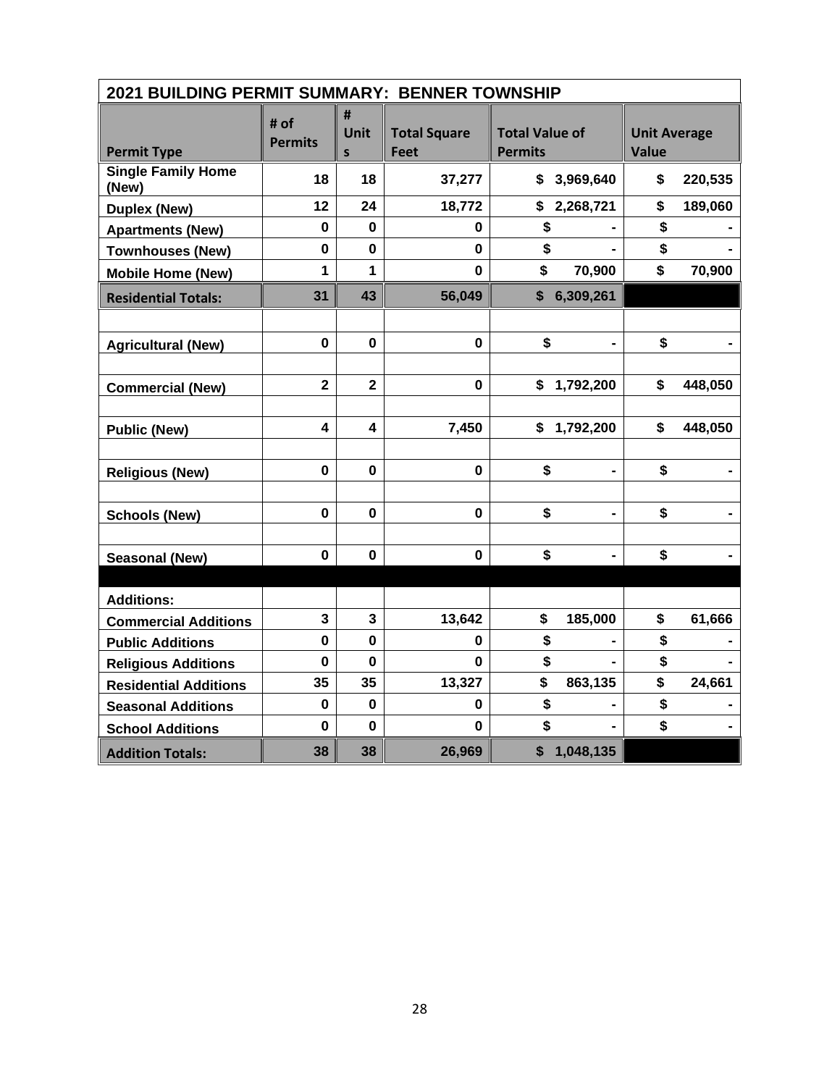| 2021 BUILDING PERMIT SUMMARY: BENNER TOWNSHIP |                         |                         |                                    |                                         |                                     |
|-----------------------------------------------|-------------------------|-------------------------|------------------------------------|-----------------------------------------|-------------------------------------|
| <b>Permit Type</b>                            | # of<br><b>Permits</b>  | #<br><b>Unit</b><br>S   | <b>Total Square</b><br><b>Feet</b> | <b>Total Value of</b><br><b>Permits</b> | <b>Unit Average</b><br><b>Value</b> |
| <b>Single Family Home</b><br>(New)            | 18                      | 18                      | 37,277                             | \$3,969,640                             | \$<br>220,535                       |
| <b>Duplex (New)</b>                           | 12                      | 24                      | 18,772                             | \$2,268,721                             | \$<br>189,060                       |
| <b>Apartments (New)</b>                       | $\mathbf 0$             | $\bf{0}$                | 0                                  | \$                                      | \$                                  |
| <b>Townhouses (New)</b>                       | $\mathbf 0$             | $\mathbf 0$             | $\bf{0}$                           | \$                                      | \$                                  |
| <b>Mobile Home (New)</b>                      | 1                       | 1                       | $\bf{0}$                           | \$<br>70,900                            | \$<br>70,900                        |
| <b>Residential Totals:</b>                    | 31                      | 43                      | 56,049                             | \$6,309,261                             |                                     |
|                                               |                         |                         |                                    |                                         |                                     |
| <b>Agricultural (New)</b>                     | $\mathbf 0$             | $\mathbf 0$             | $\mathbf 0$                        | \$                                      | \$                                  |
|                                               |                         |                         |                                    |                                         |                                     |
| <b>Commercial (New)</b>                       | $\overline{\mathbf{2}}$ | $\overline{\mathbf{2}}$ | $\mathbf 0$                        | \$<br>1,792,200                         | \$<br>448,050                       |
|                                               |                         |                         |                                    |                                         |                                     |
| <b>Public (New)</b>                           | $\overline{\mathbf{4}}$ | 4                       | 7,450                              | \$<br>1,792,200                         | \$<br>448,050                       |
|                                               |                         |                         |                                    |                                         |                                     |
| <b>Religious (New)</b>                        | $\mathbf 0$             | $\mathbf 0$             | $\mathbf{0}$                       | \$<br>$\blacksquare$                    | \$                                  |
|                                               |                         |                         |                                    |                                         |                                     |
| <b>Schools (New)</b>                          | $\mathbf 0$             | $\mathbf 0$             | $\mathbf 0$                        | \$                                      | \$                                  |
|                                               |                         |                         |                                    |                                         |                                     |
| Seasonal (New)                                | $\mathbf 0$             | $\bf{0}$                | $\mathbf 0$                        | \$                                      | \$                                  |
|                                               |                         |                         |                                    |                                         |                                     |
| <b>Additions:</b>                             |                         |                         |                                    |                                         |                                     |
| <b>Commercial Additions</b>                   | $\mathbf{3}$            | $\mathbf{3}$            | 13,642                             | \$<br>185,000                           | \$<br>61,666                        |
| <b>Public Additions</b>                       | 0                       | $\mathbf 0$             | 0                                  | \$                                      | \$                                  |
| <b>Religious Additions</b>                    | $\mathbf 0$             | $\bf{0}$                | $\bf{0}$                           | \$                                      | \$                                  |
| <b>Residential Additions</b>                  | 35                      | 35                      | 13,327                             | \$<br>863,135                           | \$<br>24,661                        |
| <b>Seasonal Additions</b>                     | $\mathbf 0$             | $\mathbf 0$             | 0                                  | \$                                      | \$                                  |
| <b>School Additions</b>                       | $\mathbf 0$             | $\bf{0}$                | $\bf{0}$                           | \$                                      | \$                                  |
| <b>Addition Totals:</b>                       | 38                      | 38                      | 26,969                             | 1,048,135<br>\$                         |                                     |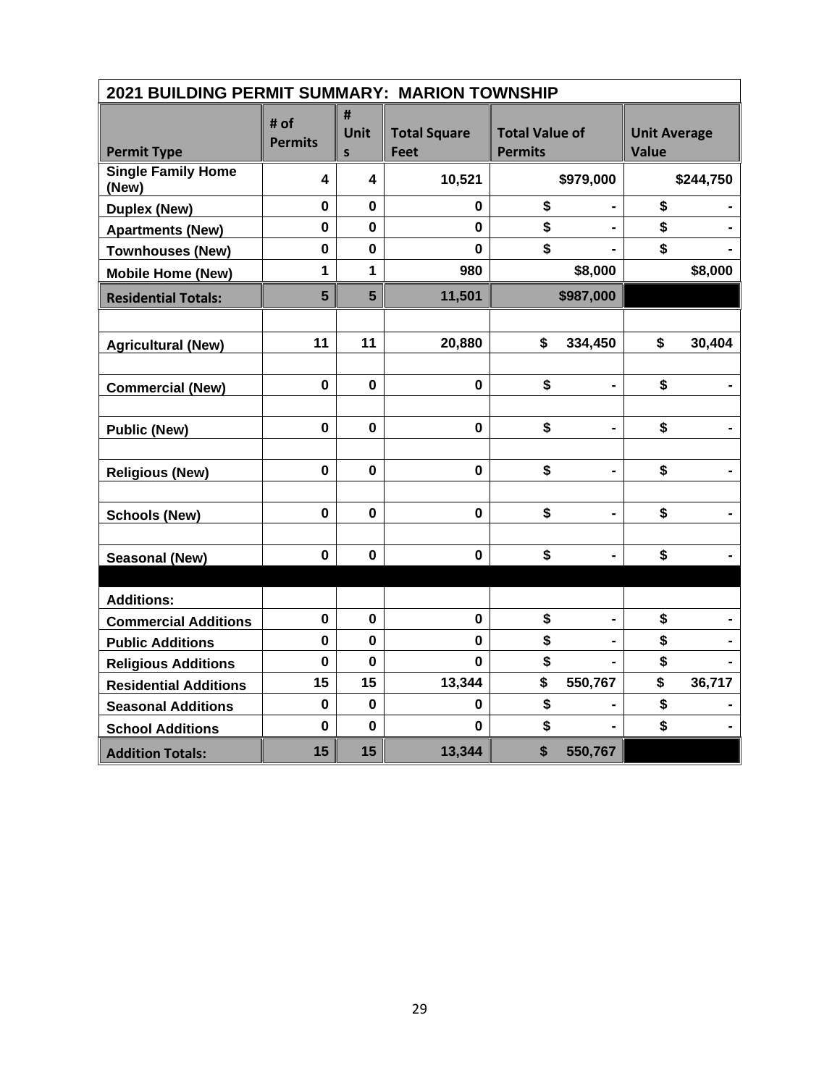| 2021 BUILDING PERMIT SUMMARY: MARION TOWNSHIP |                        |                |                                    |                                         |                                     |
|-----------------------------------------------|------------------------|----------------|------------------------------------|-----------------------------------------|-------------------------------------|
| <b>Permit Type</b>                            | # of<br><b>Permits</b> | #<br>Unit<br>S | <b>Total Square</b><br><b>Feet</b> | <b>Total Value of</b><br><b>Permits</b> | <b>Unit Average</b><br><b>Value</b> |
| <b>Single Family Home</b><br>(New)            | 4                      | 4              | 10,521                             | \$979,000                               | \$244,750                           |
| <b>Duplex (New)</b>                           | $\mathbf 0$            | $\mathbf 0$    | 0                                  | \$                                      | \$                                  |
| <b>Apartments (New)</b>                       | $\mathbf 0$            | $\mathbf 0$    | $\mathbf 0$                        | \$                                      | \$                                  |
| <b>Townhouses (New)</b>                       | $\mathbf 0$            | $\mathbf 0$    | $\mathbf 0$                        | \$                                      | \$                                  |
| <b>Mobile Home (New)</b>                      | 1                      | 1              | 980                                | \$8,000                                 | \$8,000                             |
| <b>Residential Totals:</b>                    | 5                      | $5\phantom{1}$ | 11,501                             | \$987,000                               |                                     |
|                                               |                        |                |                                    |                                         |                                     |
| <b>Agricultural (New)</b>                     | 11                     | 11             | 20,880                             | \$<br>334,450                           | \$<br>30,404                        |
|                                               |                        |                |                                    |                                         |                                     |
| <b>Commercial (New)</b>                       | $\mathbf 0$            | $\mathbf 0$    | $\mathbf 0$                        | \$                                      | \$                                  |
|                                               |                        |                |                                    |                                         |                                     |
| <b>Public (New)</b>                           | $\pmb{0}$              | $\mathbf 0$    | $\pmb{0}$                          | \$                                      | \$<br>$\qquad \qquad \blacksquare$  |
|                                               |                        |                |                                    |                                         |                                     |
| <b>Religious (New)</b>                        | $\mathbf 0$            | 0              | $\mathbf 0$                        | \$                                      | \$                                  |
|                                               |                        |                |                                    |                                         |                                     |
| <b>Schools (New)</b>                          | $\mathbf 0$            | $\mathbf 0$    | $\mathbf 0$                        | \$                                      | \$<br>-                             |
|                                               |                        |                |                                    |                                         |                                     |
| <b>Seasonal (New)</b>                         | $\mathbf 0$            | 0              | $\mathbf 0$                        | \$                                      | \$                                  |
|                                               |                        |                |                                    |                                         |                                     |
| <b>Additions:</b>                             |                        |                |                                    |                                         |                                     |
| <b>Commercial Additions</b>                   | $\pmb{0}$              | 0              | $\pmb{0}$                          | \$                                      | \$                                  |
| <b>Public Additions</b>                       | 0                      | $\mathbf 0$    | $\mathbf 0$                        | \$                                      | \$                                  |
| <b>Religious Additions</b>                    | $\mathbf 0$            | $\mathbf 0$    | 0                                  | \$                                      | \$                                  |
| <b>Residential Additions</b>                  | 15                     | 15             | 13,344                             | \$<br>550,767                           | \$<br>36,717                        |
| <b>Seasonal Additions</b>                     | $\mathbf 0$            | $\mathbf 0$    | 0                                  | \$                                      | \$                                  |
| <b>School Additions</b>                       | $\mathbf 0$            | $\mathbf 0$    | $\mathbf 0$                        | \$                                      | \$                                  |
| <b>Addition Totals:</b>                       | 15                     | 15             | 13,344                             | \$<br>550,767                           |                                     |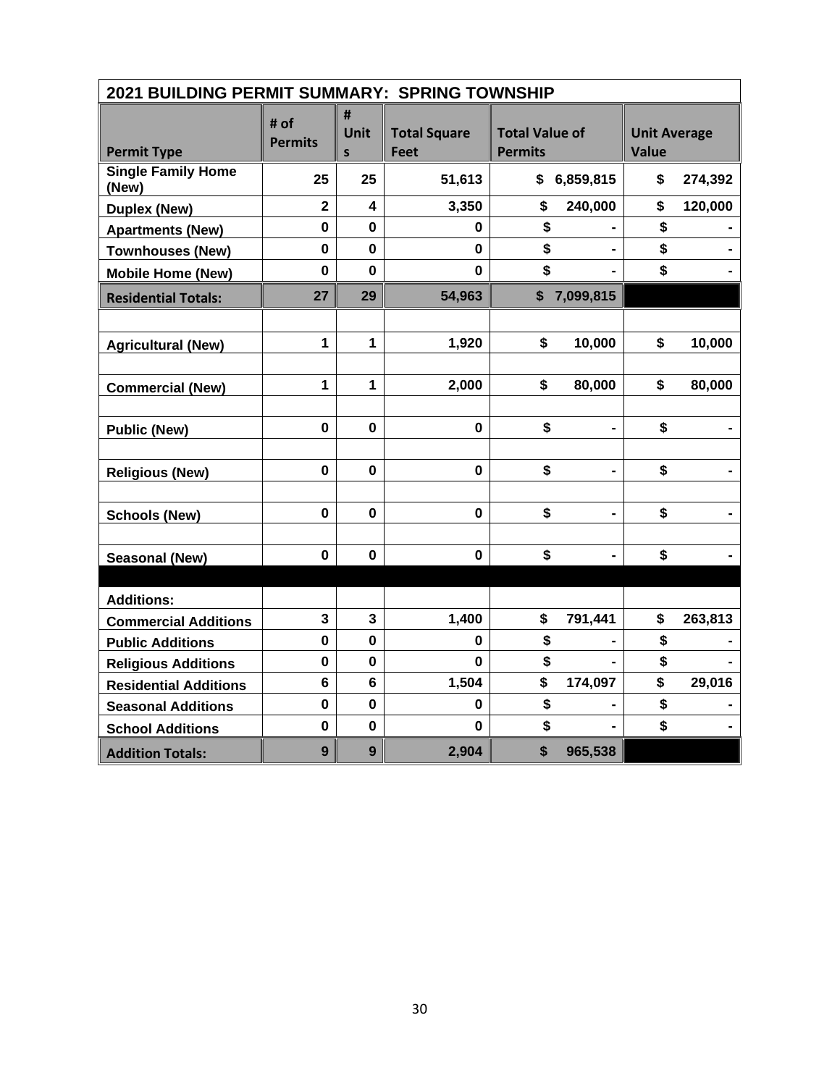|                                    |                        |                         |                                    | 2021 BUILDING PERMIT SUMMARY: SPRING TOWNSHIP |                                     |  |  |  |  |  |  |
|------------------------------------|------------------------|-------------------------|------------------------------------|-----------------------------------------------|-------------------------------------|--|--|--|--|--|--|
| <b>Permit Type</b>                 | # of<br><b>Permits</b> | #<br>Unit<br>S          | <b>Total Square</b><br><b>Feet</b> | <b>Total Value of</b><br><b>Permits</b>       | <b>Unit Average</b><br><b>Value</b> |  |  |  |  |  |  |
| <b>Single Family Home</b><br>(New) | 25                     | 25                      | 51,613                             | \$6,859,815                                   | \$<br>274,392                       |  |  |  |  |  |  |
| <b>Duplex (New)</b>                | $\overline{2}$         | 4                       | 3,350                              | \$<br>240,000                                 | \$<br>120,000                       |  |  |  |  |  |  |
| <b>Apartments (New)</b>            | $\mathbf 0$            | 0                       | 0                                  | \$                                            | \$                                  |  |  |  |  |  |  |
| <b>Townhouses (New)</b>            | $\mathbf 0$            | $\mathbf 0$             | $\mathbf 0$                        | \$                                            | \$                                  |  |  |  |  |  |  |
| <b>Mobile Home (New)</b>           | $\mathbf 0$            | $\mathbf{0}$            | $\mathbf 0$                        | \$                                            | \$                                  |  |  |  |  |  |  |
| <b>Residential Totals:</b>         | 27                     | 29                      | 54,963                             | $\boldsymbol{\$}$<br>7,099,815                |                                     |  |  |  |  |  |  |
|                                    |                        |                         |                                    |                                               |                                     |  |  |  |  |  |  |
| <b>Agricultural (New)</b>          | $\mathbf{1}$           | $\mathbf 1$             | 1,920                              | \$<br>10,000                                  | \$<br>10,000                        |  |  |  |  |  |  |
| <b>Commercial (New)</b>            | 1                      | $\mathbf{1}$            | 2,000                              | \$<br>80,000                                  | \$<br>80,000                        |  |  |  |  |  |  |
| <b>Public (New)</b>                | $\mathbf 0$            | $\mathbf 0$             | $\mathbf 0$                        | \$                                            | \$                                  |  |  |  |  |  |  |
| <b>Religious (New)</b>             | $\mathbf 0$            | $\mathbf 0$             | $\mathbf 0$                        | \$                                            | \$                                  |  |  |  |  |  |  |
| <b>Schools (New)</b>               | $\mathbf 0$            | $\mathbf 0$             | $\mathbf 0$                        | \$<br>$\blacksquare$                          | \$                                  |  |  |  |  |  |  |
| <b>Seasonal (New)</b>              | $\mathbf 0$            | 0                       | $\mathbf 0$                        | \$                                            | \$                                  |  |  |  |  |  |  |
|                                    |                        |                         |                                    |                                               |                                     |  |  |  |  |  |  |
| <b>Additions:</b>                  |                        |                         |                                    |                                               |                                     |  |  |  |  |  |  |
| <b>Commercial Additions</b>        | 3                      | $\overline{\mathbf{3}}$ | 1,400                              | \$<br>791,441                                 | \$<br>263,813                       |  |  |  |  |  |  |
| <b>Public Additions</b>            | $\mathbf 0$            | $\mathbf 0$             | 0                                  | \$                                            | \$                                  |  |  |  |  |  |  |
| <b>Religious Additions</b>         | 0                      | 0                       | 0                                  | \$                                            | \$                                  |  |  |  |  |  |  |
| <b>Residential Additions</b>       | $6\phantom{a}$         | $6\phantom{1}$          | 1,504                              | \$<br>174,097                                 | \$<br>29,016                        |  |  |  |  |  |  |
| <b>Seasonal Additions</b>          | $\mathbf 0$            | $\mathbf 0$             | 0                                  | \$                                            | \$                                  |  |  |  |  |  |  |
| <b>School Additions</b>            | $\mathbf 0$            | $\mathbf 0$             | 0                                  | \$                                            | \$                                  |  |  |  |  |  |  |
| <b>Addition Totals:</b>            | $\overline{9}$         | 9                       | 2,904                              | \$<br>965,538                                 |                                     |  |  |  |  |  |  |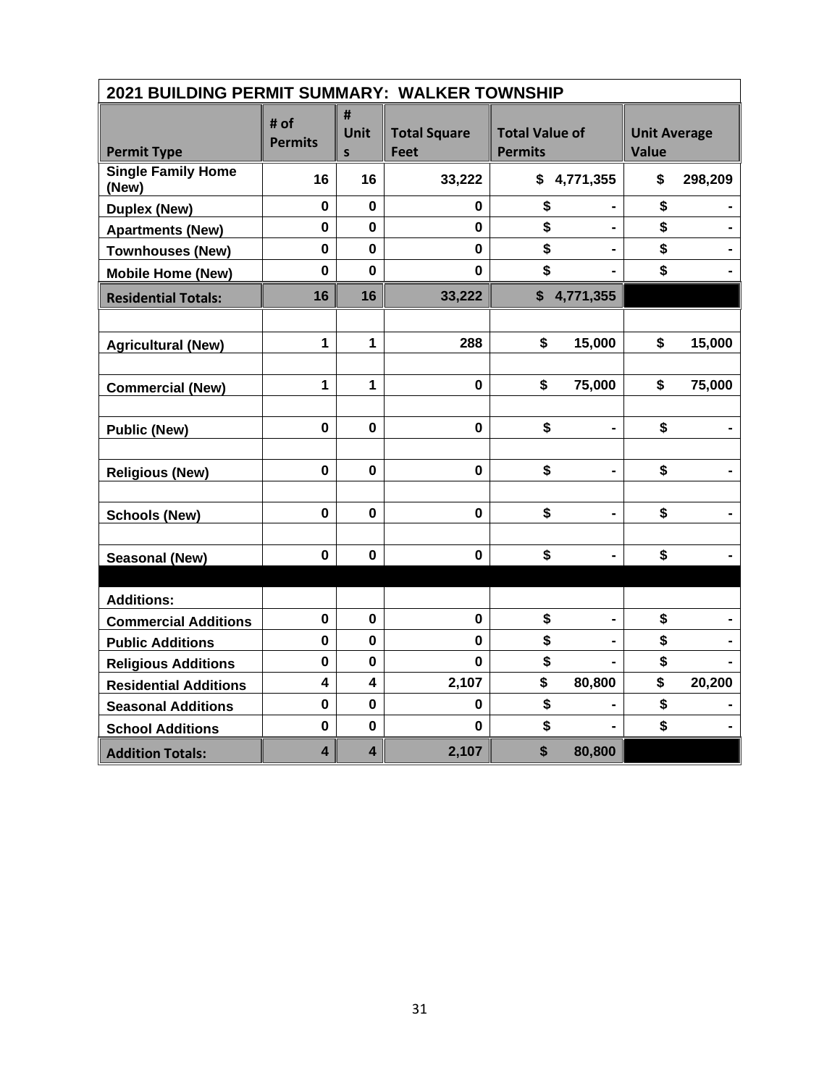| 2021 BUILDING PERMIT SUMMARY: WALKER TOWNSHIP |                         |                           |                                    |                                         |                                     |
|-----------------------------------------------|-------------------------|---------------------------|------------------------------------|-----------------------------------------|-------------------------------------|
| <b>Permit Type</b>                            | # of<br><b>Permits</b>  | #<br>Unit<br>$\mathsf{s}$ | <b>Total Square</b><br><b>Feet</b> | <b>Total Value of</b><br><b>Permits</b> | <b>Unit Average</b><br><b>Value</b> |
| <b>Single Family Home</b><br>(New)            | 16                      | 16                        | 33,222                             | \$4,771,355                             | \$<br>298,209                       |
| <b>Duplex (New)</b>                           | $\mathbf 0$             | $\bf{0}$                  | 0                                  | \$                                      | \$                                  |
| <b>Apartments (New)</b>                       | $\mathbf 0$             | 0                         | 0                                  | \$                                      | \$                                  |
| <b>Townhouses (New)</b>                       | $\mathbf 0$             | $\mathbf 0$               | $\mathbf 0$                        | \$                                      | \$                                  |
| <b>Mobile Home (New)</b>                      | $\mathbf 0$             | $\mathbf{0}$              | $\mathbf 0$                        | \$                                      | \$                                  |
| <b>Residential Totals:</b>                    | 16                      | 16                        | 33,222                             | \$4,771,355                             |                                     |
|                                               |                         |                           |                                    |                                         |                                     |
| <b>Agricultural (New)</b>                     | $\mathbf{1}$            | $\mathbf 1$               | 288                                | \$<br>15,000                            | \$<br>15,000                        |
|                                               |                         |                           |                                    |                                         |                                     |
| <b>Commercial (New)</b>                       | 1                       | $\mathbf 1$               | $\mathbf 0$                        | \$<br>75,000                            | \$<br>75,000                        |
|                                               |                         |                           |                                    |                                         |                                     |
| <b>Public (New)</b>                           | $\mathbf 0$             | $\mathbf 0$               | $\mathbf 0$                        | \$                                      | \$                                  |
|                                               |                         |                           |                                    |                                         |                                     |
| <b>Religious (New)</b>                        | $\mathbf 0$             | $\mathbf 0$               | $\mathbf 0$                        | \$                                      | \$                                  |
|                                               |                         |                           |                                    |                                         |                                     |
| <b>Schools (New)</b>                          | $\mathbf 0$             | $\mathbf 0$               | $\mathbf 0$                        | \$<br>$\blacksquare$                    | \$                                  |
|                                               |                         |                           |                                    |                                         |                                     |
| <b>Seasonal (New)</b>                         | $\mathbf 0$             | $\bf{0}$                  | $\mathbf 0$                        | \$                                      | \$                                  |
|                                               |                         |                           |                                    |                                         |                                     |
| <b>Additions:</b>                             |                         |                           |                                    |                                         |                                     |
| <b>Commercial Additions</b>                   | $\mathbf 0$             | $\mathbf 0$               | $\mathbf 0$                        | \$                                      | \$                                  |
| <b>Public Additions</b>                       | $\pmb{0}$               | $\mathbf 0$               | $\mathbf{0}$                       | \$                                      | \$                                  |
| <b>Religious Additions</b>                    | $\bf{0}$                | 0                         | 0                                  | \$                                      | \$                                  |
| <b>Residential Additions</b>                  | $\overline{\mathbf{4}}$ | $\overline{\mathbf{4}}$   | 2,107                              | \$<br>80,800                            | \$<br>20,200                        |
| <b>Seasonal Additions</b>                     | $\mathbf 0$             | $\mathbf 0$               | 0                                  | \$                                      | \$                                  |
| <b>School Additions</b>                       | $\bf{0}$                | $\mathbf 0$               | $\bf{0}$                           | \$                                      | \$                                  |
| <b>Addition Totals:</b>                       | $\overline{\mathbf{4}}$ | $\overline{\mathbf{4}}$   | 2,107                              | \$<br>80,800                            |                                     |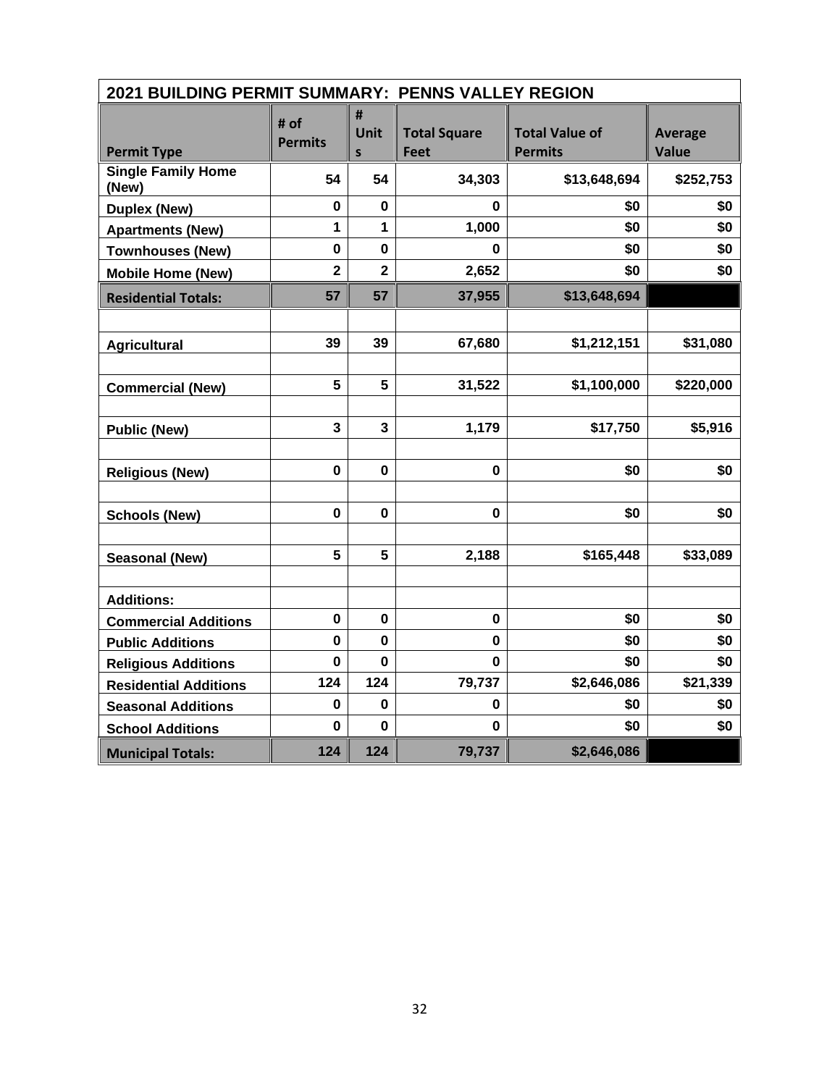| 2021 BUILDING PERMIT SUMMARY: PENNS VALLEY REGION |                         |                                  |                             |                                         |                                |
|---------------------------------------------------|-------------------------|----------------------------------|-----------------------------|-----------------------------------------|--------------------------------|
| <b>Permit Type</b>                                | # of<br><b>Permits</b>  | #<br><b>Unit</b><br>$\mathsf{s}$ | <b>Total Square</b><br>Feet | <b>Total Value of</b><br><b>Permits</b> | <b>Average</b><br><b>Value</b> |
| <b>Single Family Home</b><br>(New)                | 54                      | 54                               | 34,303                      | \$13,648,694                            | \$252,753                      |
| <b>Duplex (New)</b>                               | 0                       | 0                                | 0                           | \$0                                     | \$0                            |
| <b>Apartments (New)</b>                           | 1                       | $\mathbf{1}$                     | 1,000                       | \$0                                     | \$0                            |
| <b>Townhouses (New)</b>                           | $\mathbf 0$             | $\mathbf 0$                      | 0                           | \$0                                     | \$0                            |
| <b>Mobile Home (New)</b>                          | $\overline{\mathbf{2}}$ | $\overline{2}$                   | 2,652                       | \$0                                     | \$0                            |
| <b>Residential Totals:</b>                        | 57                      | 57                               | 37,955                      | \$13,648,694                            |                                |
|                                                   |                         |                                  |                             |                                         |                                |
| <b>Agricultural</b>                               | 39                      | 39                               | 67,680                      | \$1,212,151                             | \$31,080                       |
|                                                   |                         |                                  |                             |                                         |                                |
| <b>Commercial (New)</b>                           | 5                       | 5                                | 31,522                      | \$1,100,000                             | \$220,000                      |
|                                                   |                         |                                  |                             |                                         |                                |
| <b>Public (New)</b>                               | 3                       | 3                                | 1,179                       | \$17,750                                | \$5,916                        |
|                                                   |                         |                                  |                             |                                         |                                |
| <b>Religious (New)</b>                            | 0                       | $\mathbf 0$                      | $\mathbf 0$                 | \$0                                     | \$0                            |
|                                                   |                         |                                  |                             |                                         |                                |
| <b>Schools (New)</b>                              | $\mathbf 0$             | $\mathbf{0}$                     | $\mathbf 0$                 | \$0                                     | \$0                            |
|                                                   |                         |                                  |                             |                                         |                                |
| <b>Seasonal (New)</b>                             | 5                       | 5                                | 2,188                       | \$165,448                               | \$33,089                       |
|                                                   |                         |                                  |                             |                                         |                                |
| <b>Additions:</b>                                 |                         |                                  |                             |                                         |                                |
| <b>Commercial Additions</b>                       | 0                       | $\mathbf 0$                      | $\mathbf 0$                 | \$0                                     | \$0                            |
| <b>Public Additions</b>                           | 0                       | $\mathbf{0}$                     | 0                           | \$0                                     | \$0                            |
| <b>Religious Additions</b>                        | $\mathbf 0$             | $\bf{0}$                         | 0                           | \$0                                     | \$0                            |
| <b>Residential Additions</b>                      | 124                     | 124                              | 79,737                      | \$2,646,086                             | \$21,339                       |
| <b>Seasonal Additions</b>                         | 0                       | $\mathbf 0$                      | 0                           | \$0                                     | \$0                            |
| <b>School Additions</b>                           | 0                       | $\mathbf 0$                      | 0                           | \$0                                     | \$0                            |
| <b>Municipal Totals:</b>                          | 124                     | 124                              | 79,737                      | \$2,646,086                             |                                |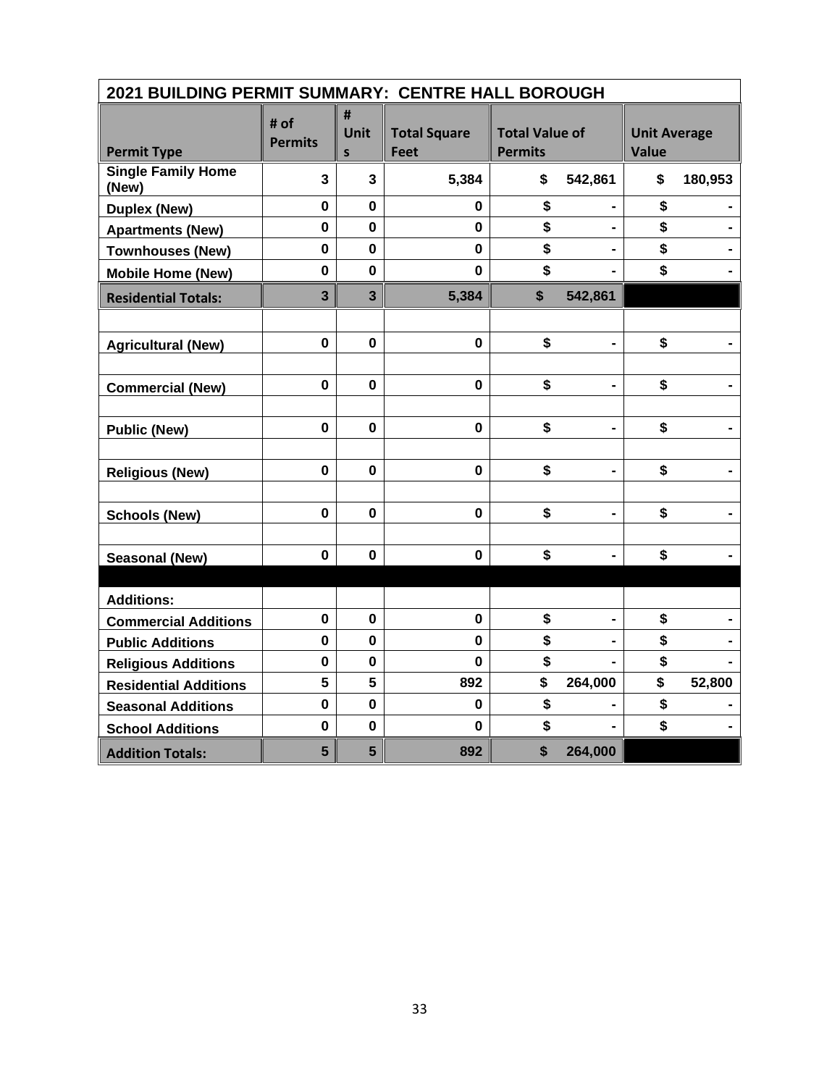| 2021 BUILDING PERMIT SUMMARY: CENTRE HALL BOROUGH |                         |                |                                    |                                         |                |                                     |         |
|---------------------------------------------------|-------------------------|----------------|------------------------------------|-----------------------------------------|----------------|-------------------------------------|---------|
| <b>Permit Type</b>                                | # of<br><b>Permits</b>  | #<br>Unit<br>S | <b>Total Square</b><br><b>Feet</b> | <b>Total Value of</b><br><b>Permits</b> |                | <b>Unit Average</b><br><b>Value</b> |         |
| <b>Single Family Home</b><br>(New)                | $\mathbf{3}$            | $\mathbf{3}$   | 5,384                              | \$                                      | 542,861        | \$                                  | 180,953 |
| <b>Duplex (New)</b>                               | $\mathbf 0$             | $\mathbf 0$    | 0                                  | \$                                      |                | \$                                  |         |
| <b>Apartments (New)</b>                           | $\mathbf 0$             | 0              | 0                                  | \$                                      | $\blacksquare$ | \$                                  |         |
| <b>Townhouses (New)</b>                           | $\mathbf 0$             | $\mathbf 0$    | $\mathbf 0$                        | \$                                      |                | \$                                  |         |
| <b>Mobile Home (New)</b>                          | $\mathbf 0$             | $\mathbf 0$    | $\mathbf 0$                        | \$                                      |                | \$                                  |         |
| <b>Residential Totals:</b>                        | $\overline{\mathbf{3}}$ | $\overline{3}$ | 5,384                              | $\boldsymbol{\mathsf{s}}$               | 542,861        |                                     |         |
|                                                   |                         |                |                                    |                                         |                |                                     |         |
| <b>Agricultural (New)</b>                         | $\mathbf 0$             | $\mathbf 0$    | $\mathbf{0}$                       | \$                                      | $\blacksquare$ | \$                                  |         |
|                                                   |                         |                |                                    |                                         |                |                                     |         |
| <b>Commercial (New)</b>                           | $\mathbf 0$             | $\bf{0}$       | $\mathbf 0$                        | \$                                      |                | \$                                  |         |
|                                                   |                         |                |                                    |                                         |                |                                     |         |
| <b>Public (New)</b>                               | $\mathbf 0$             | $\mathbf 0$    | $\mathbf 0$                        | \$                                      |                | \$                                  |         |
|                                                   |                         |                |                                    |                                         |                |                                     |         |
| <b>Religious (New)</b>                            | $\mathbf 0$             | $\bf{0}$       | $\mathbf 0$                        | \$                                      | $\blacksquare$ | \$                                  |         |
|                                                   |                         |                |                                    |                                         |                |                                     |         |
| <b>Schools (New)</b>                              | $\mathbf 0$             | $\mathbf 0$    | $\mathbf 0$                        | \$                                      | $\blacksquare$ | \$                                  |         |
|                                                   |                         |                |                                    |                                         |                |                                     |         |
| <b>Seasonal (New)</b>                             | $\mathbf 0$             | $\bf{0}$       | $\mathbf 0$                        | \$                                      |                | \$                                  |         |
|                                                   |                         |                |                                    |                                         |                |                                     |         |
| <b>Additions:</b>                                 |                         |                |                                    |                                         |                |                                     |         |
| <b>Commercial Additions</b>                       | $\mathbf 0$             | $\mathbf 0$    | $\mathbf 0$                        | \$                                      |                | \$                                  |         |
| <b>Public Additions</b>                           | $\mathbf 0$             | $\mathbf 0$    | $\mathbf{0}$                       | \$                                      |                | \$                                  |         |
| <b>Religious Additions</b>                        | $\bf{0}$                | 0              | $\mathbf 0$                        | \$                                      |                | \$                                  |         |
| <b>Residential Additions</b>                      | 5                       | 5              | 892                                | \$                                      | 264,000        | \$                                  | 52,800  |
| <b>Seasonal Additions</b>                         | $\mathbf 0$             | $\mathbf 0$    | $\mathbf 0$                        | \$                                      |                | \$                                  |         |
| <b>School Additions</b>                           | $\bf{0}$                | $\mathbf 0$    | $\mathbf 0$                        | \$                                      |                | \$                                  |         |
| <b>Addition Totals:</b>                           | 5                       | 5              | 892                                | \$                                      | 264,000        |                                     |         |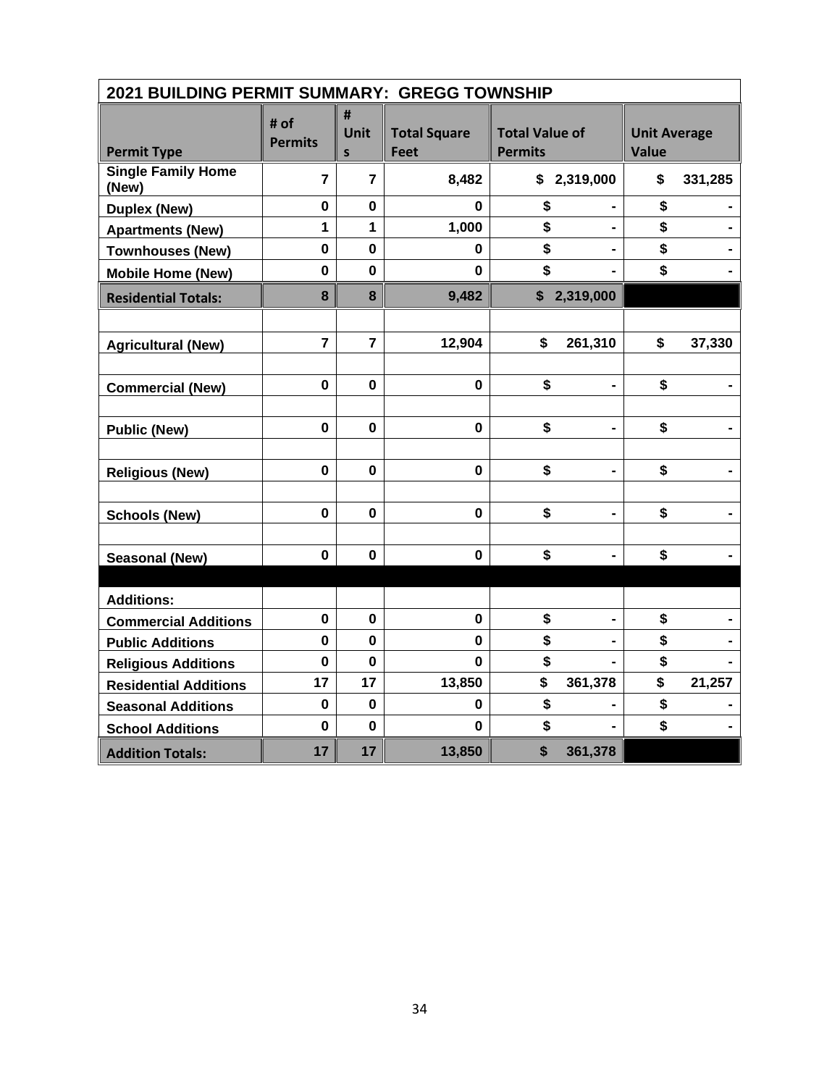| 2021 BUILDING PERMIT SUMMARY: GREGG TOWNSHIP |                        |                       |                                    |                                         |                                     |
|----------------------------------------------|------------------------|-----------------------|------------------------------------|-----------------------------------------|-------------------------------------|
| <b>Permit Type</b>                           | # of<br><b>Permits</b> | #<br><b>Unit</b><br>S | <b>Total Square</b><br><b>Feet</b> | <b>Total Value of</b><br><b>Permits</b> | <b>Unit Average</b><br><b>Value</b> |
| <b>Single Family Home</b><br>(New)           | $\overline{7}$         | $\overline{7}$        | 8,482                              | \$2,319,000                             | \$<br>331,285                       |
| <b>Duplex (New)</b>                          | $\mathbf 0$            | $\mathbf 0$           | 0                                  | \$                                      | \$                                  |
| <b>Apartments (New)</b>                      | 1                      | 1                     | 1,000                              | \$<br>$\blacksquare$                    | \$                                  |
| <b>Townhouses (New)</b>                      | $\mathbf 0$            | $\mathbf 0$           | 0                                  | \$                                      | \$                                  |
| <b>Mobile Home (New)</b>                     | $\mathbf 0$            | $\bf{0}$              | 0                                  | \$                                      | \$                                  |
| <b>Residential Totals:</b>                   | 8                      | 8                     | 9,482                              | \$2,319,000                             |                                     |
|                                              |                        |                       |                                    |                                         |                                     |
| <b>Agricultural (New)</b>                    | $\overline{7}$         | $\overline{7}$        | 12,904                             | $\mathbf{\hat{s}}$<br>261,310           | \$<br>37,330                        |
|                                              |                        |                       |                                    |                                         |                                     |
| <b>Commercial (New)</b>                      | $\mathbf 0$            | $\mathbf 0$           | $\mathbf 0$                        | \$                                      | \$                                  |
|                                              |                        |                       |                                    |                                         |                                     |
| <b>Public (New)</b>                          | $\mathbf 0$            | $\bf{0}$              | $\mathbf 0$                        | \$                                      | \$                                  |
|                                              |                        |                       |                                    |                                         |                                     |
| <b>Religious (New)</b>                       | $\mathbf 0$            | $\mathbf 0$           | $\mathbf{0}$                       | \$<br>$\blacksquare$                    | \$                                  |
|                                              |                        |                       |                                    |                                         |                                     |
| <b>Schools (New)</b>                         | $\mathbf 0$            | $\mathbf 0$           | $\mathbf 0$                        | \$                                      | \$                                  |
|                                              |                        |                       |                                    |                                         |                                     |
| <b>Seasonal (New)</b>                        | $\mathbf 0$            | $\bf{0}$              | $\mathbf 0$                        | \$                                      | \$                                  |
|                                              |                        |                       |                                    |                                         |                                     |
| <b>Additions:</b>                            |                        |                       |                                    |                                         |                                     |
| <b>Commercial Additions</b>                  | $\mathbf 0$            | $\bf{0}$              | $\mathbf 0$                        | \$                                      | \$                                  |
| <b>Public Additions</b>                      | $\mathbf 0$            | $\mathbf 0$           | $\mathbf 0$                        | \$                                      | \$                                  |
| <b>Religious Additions</b>                   | $\mathbf 0$            | $\bf{0}$              | $\mathbf{0}$                       | \$                                      | \$                                  |
| <b>Residential Additions</b>                 | 17                     | 17                    | 13,850                             | \$<br>361,378                           | \$<br>21,257                        |
| <b>Seasonal Additions</b>                    | $\mathbf 0$            | $\mathbf 0$           | 0                                  | \$                                      | \$                                  |
| <b>School Additions</b>                      | $\mathbf 0$            | $\mathbf 0$           | $\bf{0}$                           | \$                                      | \$                                  |
| <b>Addition Totals:</b>                      | 17                     | 17                    | 13,850                             | \$<br>361,378                           |                                     |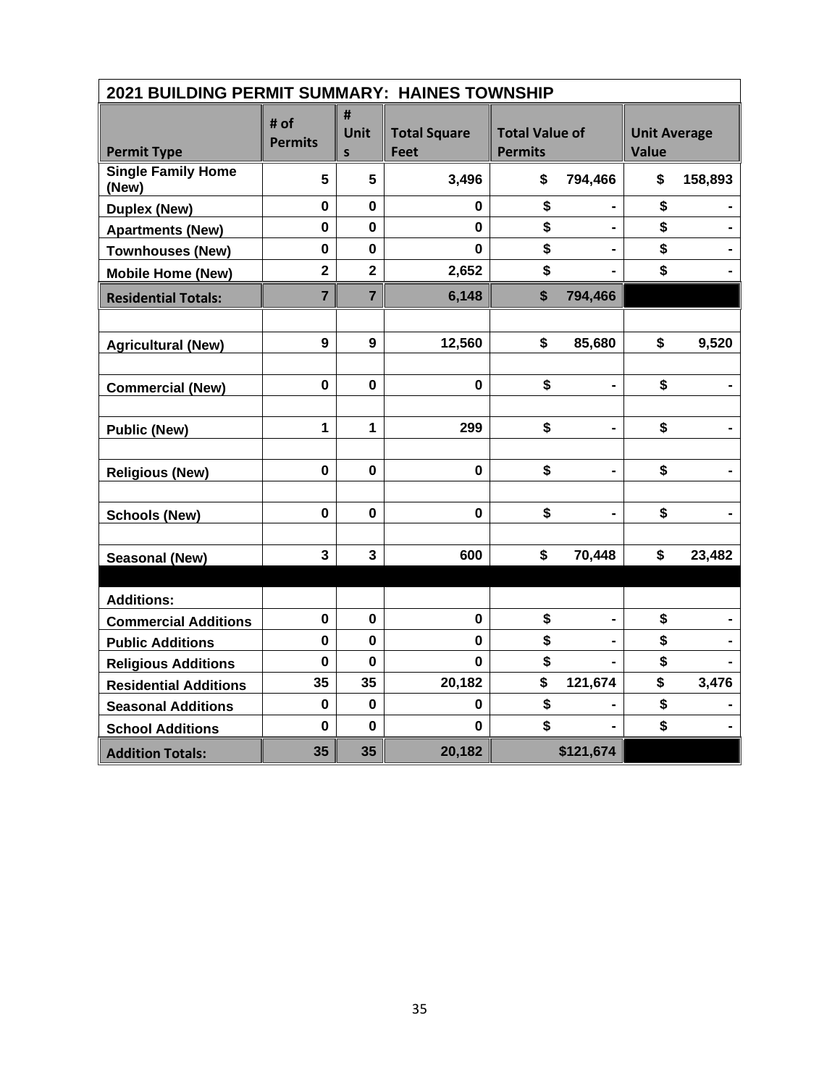| 2021 BUILDING PERMIT SUMMARY: HAINES TOWNSHIP |                         |                         |                                    |                                         |                |                                     |         |
|-----------------------------------------------|-------------------------|-------------------------|------------------------------------|-----------------------------------------|----------------|-------------------------------------|---------|
| <b>Permit Type</b>                            | # of<br><b>Permits</b>  | #<br>Unit<br>S          | <b>Total Square</b><br><b>Feet</b> | <b>Total Value of</b><br><b>Permits</b> |                | <b>Unit Average</b><br><b>Value</b> |         |
| <b>Single Family Home</b><br>(New)            | 5                       | 5                       | 3,496                              | \$                                      | 794,466        | \$                                  | 158,893 |
| <b>Duplex (New)</b>                           | $\mathbf 0$             | $\mathbf{0}$            | 0                                  | \$                                      |                | \$                                  |         |
| <b>Apartments (New)</b>                       | 0                       | 0                       | 0                                  | \$                                      | $\blacksquare$ | \$                                  |         |
| <b>Townhouses (New)</b>                       | $\mathbf 0$             | $\mathbf 0$             | 0                                  | \$                                      |                | \$                                  |         |
| <b>Mobile Home (New)</b>                      | $\overline{\mathbf{2}}$ | $\overline{\mathbf{2}}$ | 2,652                              | \$                                      |                | \$                                  |         |
| <b>Residential Totals:</b>                    | $\overline{7}$          | $\overline{7}$          | 6,148                              | \$                                      | 794,466        |                                     |         |
|                                               |                         |                         |                                    |                                         |                |                                     |         |
| <b>Agricultural (New)</b>                     | 9                       | 9                       | 12,560                             | \$                                      | 85,680         | \$                                  | 9,520   |
|                                               |                         |                         |                                    |                                         |                |                                     |         |
| <b>Commercial (New)</b>                       | $\mathbf 0$             | $\mathbf 0$             | $\mathbf 0$                        | \$                                      |                | \$                                  |         |
|                                               |                         |                         |                                    |                                         |                |                                     |         |
| <b>Public (New)</b>                           | 1                       | $\mathbf{1}$            | 299                                | \$                                      | -              | \$                                  |         |
|                                               |                         |                         |                                    |                                         |                |                                     |         |
| <b>Religious (New)</b>                        | $\mathbf 0$             | 0                       | $\mathbf 0$                        | \$                                      | $\blacksquare$ | \$                                  |         |
|                                               |                         |                         |                                    |                                         |                |                                     |         |
| <b>Schools (New)</b>                          | $\mathbf 0$             | $\mathbf 0$             | 0                                  | \$                                      |                | \$                                  |         |
| <b>Seasonal (New)</b>                         | 3                       | $\overline{\mathbf{3}}$ | 600                                | \$                                      | 70,448         | \$                                  | 23,482  |
|                                               |                         |                         |                                    |                                         |                |                                     |         |
| <b>Additions:</b>                             |                         |                         |                                    |                                         |                |                                     |         |
| <b>Commercial Additions</b>                   | $\pmb{0}$               | $\mathbf 0$             | $\mathbf 0$                        | \$                                      | -              | \$                                  |         |
| <b>Public Additions</b>                       | 0                       | 0                       | 0                                  | \$                                      |                | \$                                  |         |
| <b>Religious Additions</b>                    | $\mathbf 0$             | $\bf{0}$                | 0                                  | \$                                      |                | \$                                  |         |
| <b>Residential Additions</b>                  | 35                      | 35                      | 20,182                             | \$                                      | 121,674        | \$                                  | 3,476   |
| <b>Seasonal Additions</b>                     | $\mathbf 0$             | $\mathbf 0$             | 0                                  | \$                                      |                | \$                                  |         |
| <b>School Additions</b>                       | $\mathbf 0$             | $\bf{0}$                | 0                                  | \$                                      |                | \$                                  |         |
| <b>Addition Totals:</b>                       | 35                      | 35                      | 20,182                             |                                         | \$121,674      |                                     |         |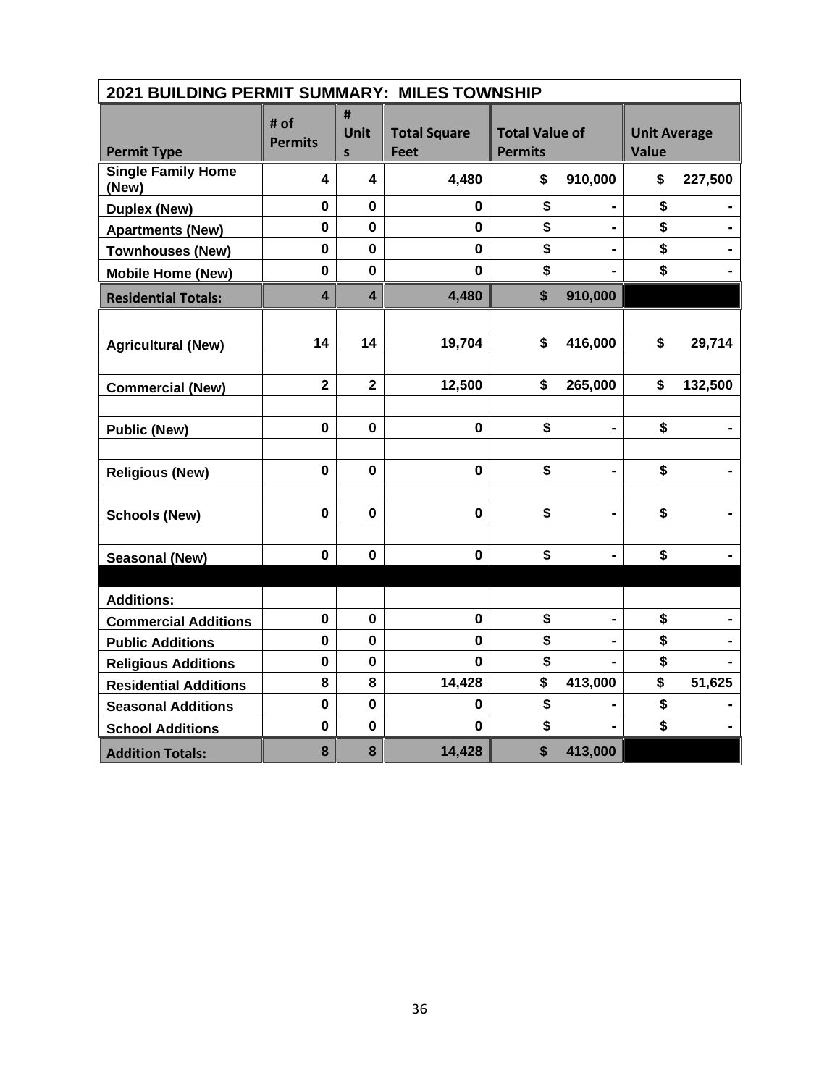| 2021 BUILDING PERMIT SUMMARY: MILES TOWNSHIP |                         |                         |                                    |                                         |                |                                     |         |
|----------------------------------------------|-------------------------|-------------------------|------------------------------------|-----------------------------------------|----------------|-------------------------------------|---------|
| <b>Permit Type</b>                           | # of<br><b>Permits</b>  | #<br>Unit<br>S          | <b>Total Square</b><br><b>Feet</b> | <b>Total Value of</b><br><b>Permits</b> |                | <b>Unit Average</b><br><b>Value</b> |         |
| <b>Single Family Home</b><br>(New)           | 4                       | 4                       | 4,480                              | \$                                      | 910,000        | \$                                  | 227,500 |
| <b>Duplex (New)</b>                          | $\mathbf 0$             | $\mathbf 0$             | 0                                  | \$                                      |                | \$                                  |         |
| <b>Apartments (New)</b>                      | $\mathbf 0$             | $\mathbf 0$             | $\mathbf 0$                        | \$                                      |                | \$                                  |         |
| <b>Townhouses (New)</b>                      | $\mathbf 0$             | $\mathbf 0$             | $\mathbf 0$                        | \$                                      |                | \$                                  |         |
| <b>Mobile Home (New)</b>                     | $\mathbf 0$             | $\mathbf 0$             | $\mathbf 0$                        | \$                                      |                | \$                                  |         |
| <b>Residential Totals:</b>                   | $\overline{\mathbf{4}}$ | $\overline{\mathbf{4}}$ | 4,480                              | \$                                      | 910,000        |                                     |         |
|                                              |                         |                         |                                    |                                         |                |                                     |         |
| <b>Agricultural (New)</b>                    | 14                      | 14                      | 19,704                             | \$                                      | 416,000        | \$                                  | 29,714  |
|                                              |                         |                         |                                    |                                         |                |                                     |         |
| <b>Commercial (New)</b>                      | $\overline{\mathbf{2}}$ | $\overline{\mathbf{2}}$ | 12,500                             | \$                                      | 265,000        | \$                                  | 132,500 |
|                                              |                         |                         |                                    |                                         |                |                                     |         |
| <b>Public (New)</b>                          | $\pmb{0}$               | 0                       | $\mathbf 0$                        | \$                                      | $\blacksquare$ | \$                                  |         |
|                                              |                         |                         |                                    |                                         |                |                                     |         |
| <b>Religious (New)</b>                       | $\mathbf 0$             | 0                       | $\mathbf 0$                        | \$                                      | $\blacksquare$ | \$                                  |         |
|                                              |                         |                         |                                    |                                         |                |                                     |         |
| <b>Schools (New)</b>                         | $\mathbf 0$             | $\mathbf 0$             | $\mathbf{0}$                       | \$                                      | -              | \$                                  |         |
|                                              |                         |                         |                                    |                                         |                |                                     |         |
| <b>Seasonal (New)</b>                        | $\mathbf 0$             | 0                       | $\mathbf 0$                        | \$                                      |                | \$                                  |         |
|                                              |                         |                         |                                    |                                         |                |                                     |         |
| <b>Additions:</b>                            |                         |                         |                                    |                                         |                |                                     |         |
| <b>Commercial Additions</b>                  | $\mathbf 0$             | 0                       | $\mathbf 0$                        | \$                                      | -              | \$                                  |         |
| <b>Public Additions</b>                      | $\mathbf 0$             | $\mathbf 0$             | $\mathbf 0$                        | \$                                      |                | \$                                  |         |
| <b>Religious Additions</b>                   | $\mathbf 0$             | $\mathbf 0$             | $\bf{0}$                           | \$                                      |                | \$                                  |         |
| <b>Residential Additions</b>                 | 8                       | 8                       | 14,428                             | \$                                      | 413,000        | \$                                  | 51,625  |
| <b>Seasonal Additions</b>                    | $\mathbf 0$             | $\mathbf 0$             | $\mathbf 0$                        | \$                                      |                | \$                                  |         |
| <b>School Additions</b>                      | $\mathbf 0$             | $\mathbf 0$             | $\mathbf 0$                        | \$                                      |                | \$                                  |         |
| <b>Addition Totals:</b>                      | 8                       | 8                       | 14,428                             | $\boldsymbol{\mathsf{s}}$               | 413,000        |                                     |         |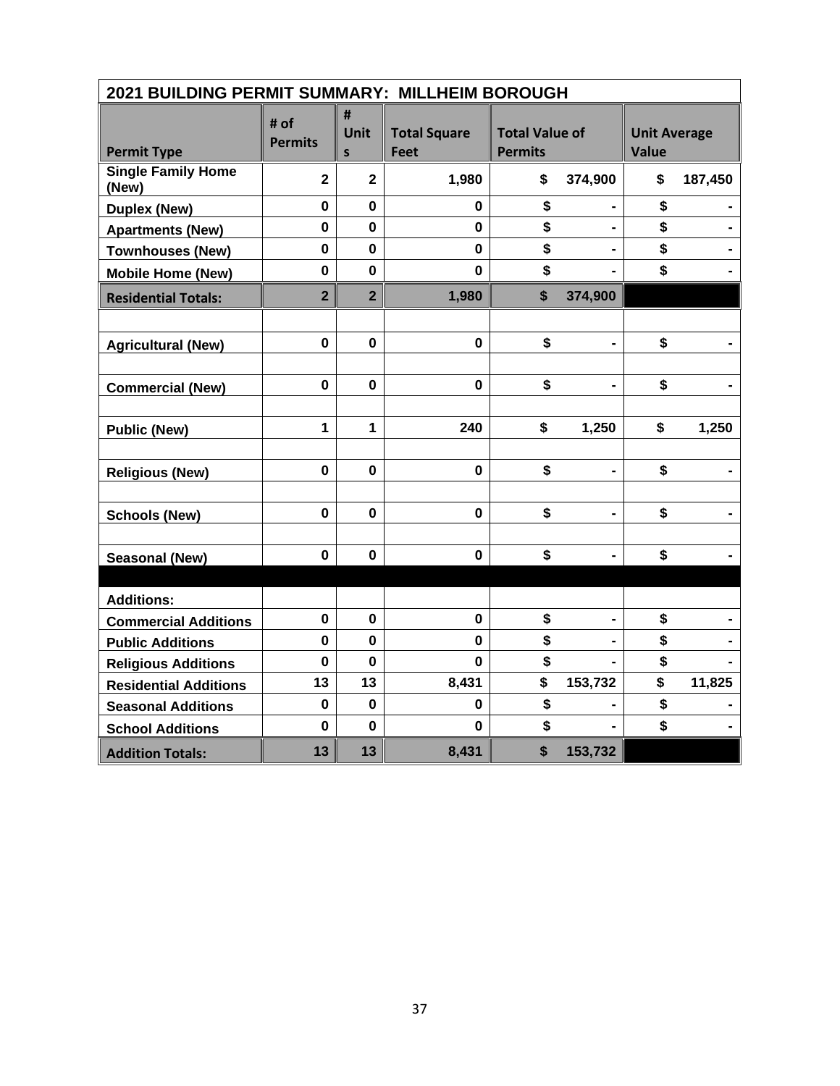| 2021 BUILDING PERMIT SUMMARY: MILLHEIM BOROUGH |                        |                |                                    |                                         |                |                                     |         |
|------------------------------------------------|------------------------|----------------|------------------------------------|-----------------------------------------|----------------|-------------------------------------|---------|
| <b>Permit Type</b>                             | # of<br><b>Permits</b> | #<br>Unit<br>S | <b>Total Square</b><br><b>Feet</b> | <b>Total Value of</b><br><b>Permits</b> |                | <b>Unit Average</b><br><b>Value</b> |         |
| <b>Single Family Home</b><br>(New)             | $\overline{2}$         | $\mathbf{2}$   | 1,980                              | \$                                      | 374,900        | \$                                  | 187,450 |
| <b>Duplex (New)</b>                            | $\mathbf 0$            | $\mathbf 0$    | 0                                  | \$                                      |                | \$                                  |         |
| <b>Apartments (New)</b>                        | $\mathbf 0$            | 0              | 0                                  | \$                                      | $\blacksquare$ | \$                                  |         |
| <b>Townhouses (New)</b>                        | $\mathbf 0$            | $\mathbf 0$    | $\mathbf 0$                        | \$                                      |                | \$                                  |         |
| <b>Mobile Home (New)</b>                       | $\mathbf 0$            | $\mathbf 0$    | $\mathbf 0$                        | \$                                      |                | \$                                  |         |
| <b>Residential Totals:</b>                     | $\overline{2}$         | $\overline{2}$ | 1,980                              | \$                                      | 374,900        |                                     |         |
|                                                |                        |                |                                    |                                         |                |                                     |         |
| <b>Agricultural (New)</b>                      | $\mathbf 0$            | $\mathbf 0$    | $\mathbf 0$                        | \$                                      |                | \$                                  |         |
|                                                |                        |                |                                    |                                         |                |                                     |         |
| <b>Commercial (New)</b>                        | $\mathbf 0$            | $\mathbf 0$    | $\mathbf 0$                        | \$                                      |                | \$                                  |         |
|                                                |                        |                |                                    |                                         |                |                                     |         |
| <b>Public (New)</b>                            | $\mathbf{1}$           | 1              | 240                                | \$                                      | 1,250          | \$                                  | 1,250   |
|                                                |                        |                |                                    |                                         |                |                                     |         |
| <b>Religious (New)</b>                         | $\mathbf 0$            | $\mathbf 0$    | $\mathbf{0}$                       | \$                                      | $\blacksquare$ | \$                                  |         |
|                                                |                        |                |                                    |                                         |                |                                     |         |
| <b>Schools (New)</b>                           | $\mathbf 0$            | $\mathbf 0$    | $\mathbf 0$                        | \$                                      |                | \$                                  |         |
|                                                |                        |                |                                    |                                         |                |                                     |         |
| <b>Seasonal (New)</b>                          | $\mathbf 0$            | $\bf{0}$       | $\mathbf 0$                        | \$                                      |                | \$                                  |         |
|                                                |                        |                |                                    |                                         |                |                                     |         |
| <b>Additions:</b>                              |                        |                |                                    |                                         |                |                                     |         |
| <b>Commercial Additions</b>                    | $\mathbf 0$            | $\bf{0}$       | $\mathbf 0$                        | \$                                      | -              | \$                                  |         |
| <b>Public Additions</b>                        | $\mathbf 0$            | $\mathbf 0$    | $\mathbf 0$                        | \$                                      |                | \$                                  |         |
| <b>Religious Additions</b>                     | $\mathbf 0$            | $\bf{0}$       | $\bf{0}$                           | \$                                      |                | \$                                  |         |
| <b>Residential Additions</b>                   | 13                     | 13             | 8,431                              | \$                                      | 153,732        | \$                                  | 11,825  |
| <b>Seasonal Additions</b>                      | $\mathbf 0$            | $\mathbf 0$    | 0                                  | \$                                      |                | \$                                  |         |
| <b>School Additions</b>                        | $\mathbf 0$            | $\mathbf 0$    | $\mathbf 0$                        | \$                                      |                | \$                                  |         |
| <b>Addition Totals:</b>                        | 13                     | 13             | 8,431                              | $\boldsymbol{\mathsf{s}}$               | 153,732        |                                     |         |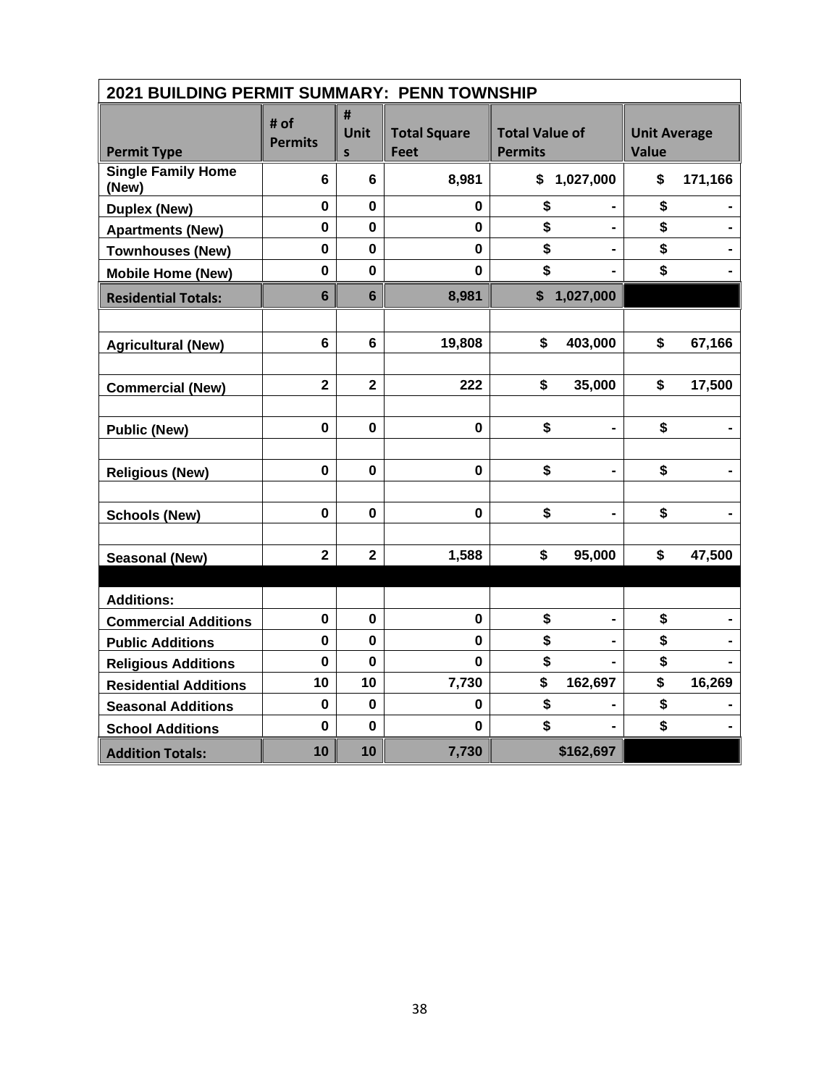| 2021 BUILDING PERMIT SUMMARY: PENN TOWNSHIP |                         |                |                             |                                         |                                     |  |  |  |
|---------------------------------------------|-------------------------|----------------|-----------------------------|-----------------------------------------|-------------------------------------|--|--|--|
| <b>Permit Type</b>                          | # of<br><b>Permits</b>  | #<br>Unit<br>S | <b>Total Square</b><br>Feet | <b>Total Value of</b><br><b>Permits</b> | <b>Unit Average</b><br><b>Value</b> |  |  |  |
| <b>Single Family Home</b><br>(New)          | 6                       | 6              | 8,981                       | 1,027,000<br>\$                         | \$<br>171,166                       |  |  |  |
| <b>Duplex (New)</b>                         | $\mathbf 0$             | $\mathbf 0$    | 0                           | \$                                      | \$                                  |  |  |  |
| <b>Apartments (New)</b>                     | $\mathbf 0$             | 0              | $\mathbf 0$                 | \$<br>$\blacksquare$                    | \$                                  |  |  |  |
| <b>Townhouses (New)</b>                     | $\mathbf 0$             | $\mathbf 0$    | $\mathbf 0$                 | \$                                      | \$                                  |  |  |  |
| <b>Mobile Home (New)</b>                    | $\mathbf 0$             | $\mathbf 0$    | $\mathbf 0$                 | \$                                      | \$                                  |  |  |  |
| <b>Residential Totals:</b>                  | $6\phantom{1}$          | $6\phantom{a}$ | 8,981                       | 1,027,000<br>\$                         |                                     |  |  |  |
|                                             |                         |                |                             |                                         |                                     |  |  |  |
| <b>Agricultural (New)</b>                   | 6                       | 6              | 19,808                      | \$<br>403,000                           | \$<br>67,166                        |  |  |  |
| <b>Commercial (New)</b>                     | $\mathbf 2$             | $\mathbf{2}$   | 222                         | \$<br>35,000                            | \$<br>17,500                        |  |  |  |
| <b>Public (New)</b>                         | $\mathbf 0$             | $\mathbf 0$    | $\mathbf 0$                 | \$                                      | \$                                  |  |  |  |
| <b>Religious (New)</b>                      | $\mathbf 0$             | $\mathbf 0$    | $\mathbf 0$                 | \$                                      | \$                                  |  |  |  |
| <b>Schools (New)</b>                        | $\mathbf 0$             | $\mathbf 0$    | $\mathbf 0$                 | \$<br>$\blacksquare$                    | \$                                  |  |  |  |
| <b>Seasonal (New)</b>                       | $\overline{\mathbf{2}}$ | $\mathbf{2}$   | 1,588                       | \$<br>95,000                            | \$<br>47,500                        |  |  |  |
|                                             |                         |                |                             |                                         |                                     |  |  |  |
| <b>Additions:</b>                           |                         |                |                             |                                         |                                     |  |  |  |
| <b>Commercial Additions</b>                 | $\mathbf 0$             | 0              | $\mathbf 0$                 | \$                                      | \$                                  |  |  |  |
| <b>Public Additions</b>                     | $\mathbf{0}$            | $\mathbf 0$    | $\mathbf 0$                 | \$                                      | \$                                  |  |  |  |
| <b>Religious Additions</b>                  | $\mathbf 0$             | $\Omega$       | 0                           | \$                                      | \$                                  |  |  |  |
| <b>Residential Additions</b>                | 10                      | 10             | 7,730                       | \$<br>162,697                           | \$<br>16,269                        |  |  |  |
| <b>Seasonal Additions</b>                   | $\mathbf 0$             | $\mathbf 0$    | 0                           | \$                                      | \$                                  |  |  |  |
| <b>School Additions</b>                     | $\mathbf 0$             | $\mathbf 0$    | 0                           | \$                                      | \$                                  |  |  |  |
| <b>Addition Totals:</b>                     | 10                      | 10             | 7,730                       | \$162,697                               |                                     |  |  |  |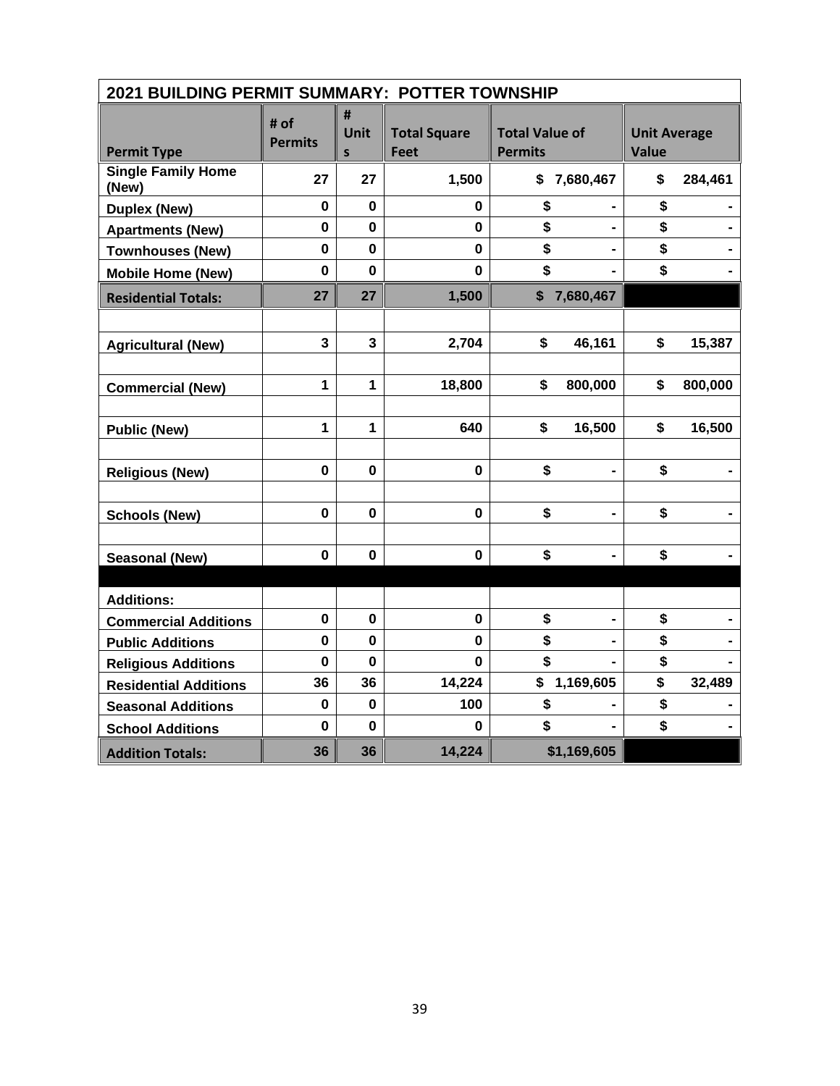| 2021 BUILDING PERMIT SUMMARY: POTTER TOWNSHIP |                         |                         |                                    |                                         |                                     |  |  |  |
|-----------------------------------------------|-------------------------|-------------------------|------------------------------------|-----------------------------------------|-------------------------------------|--|--|--|
| <b>Permit Type</b>                            | # of<br><b>Permits</b>  | #<br>Unit<br>S          | <b>Total Square</b><br><b>Feet</b> | <b>Total Value of</b><br><b>Permits</b> | <b>Unit Average</b><br><b>Value</b> |  |  |  |
| <b>Single Family Home</b><br>(New)            | 27                      | 27                      | 1,500                              | \$<br>7,680,467                         | \$<br>284,461                       |  |  |  |
| <b>Duplex (New)</b>                           | $\mathbf 0$             | $\mathbf 0$             | 0                                  | \$                                      | \$                                  |  |  |  |
| <b>Apartments (New)</b>                       | $\mathbf 0$             | $\mathbf 0$             | $\mathbf 0$                        | \$                                      | \$                                  |  |  |  |
| <b>Townhouses (New)</b>                       | $\mathbf 0$             | 0                       | $\mathbf 0$                        | \$                                      | \$                                  |  |  |  |
| <b>Mobile Home (New)</b>                      | $\mathbf 0$             | $\mathbf 0$             | $\mathbf 0$                        | \$                                      | \$                                  |  |  |  |
| <b>Residential Totals:</b>                    | 27                      | 27                      | 1,500                              | \$<br>7,680,467                         |                                     |  |  |  |
|                                               |                         |                         |                                    |                                         |                                     |  |  |  |
| <b>Agricultural (New)</b>                     | $\overline{\mathbf{3}}$ | $\overline{\mathbf{3}}$ | 2,704                              | \$<br>46,161                            | \$<br>15,387                        |  |  |  |
|                                               |                         |                         |                                    |                                         |                                     |  |  |  |
| <b>Commercial (New)</b>                       | $\mathbf{1}$            | $\mathbf{1}$            | 18,800                             | \$<br>800,000                           | \$<br>800,000                       |  |  |  |
|                                               |                         |                         |                                    |                                         |                                     |  |  |  |
| <b>Public (New)</b>                           | $\mathbf{1}$            | $\mathbf{1}$            | 640                                | \$<br>16,500                            | \$<br>16,500                        |  |  |  |
|                                               |                         |                         |                                    |                                         |                                     |  |  |  |
| <b>Religious (New)</b>                        | $\mathbf 0$             | 0                       | $\mathbf 0$                        | \$                                      | \$                                  |  |  |  |
|                                               |                         |                         |                                    |                                         |                                     |  |  |  |
| <b>Schools (New)</b>                          | $\mathbf 0$             | $\mathbf 0$             | 0                                  | \$<br>-                                 | \$                                  |  |  |  |
|                                               |                         |                         |                                    |                                         |                                     |  |  |  |
| <b>Seasonal (New)</b>                         | $\mathbf 0$             | 0                       | $\mathbf 0$                        | \$                                      | \$                                  |  |  |  |
|                                               |                         |                         |                                    |                                         |                                     |  |  |  |
| <b>Additions:</b>                             |                         |                         |                                    |                                         |                                     |  |  |  |
| <b>Commercial Additions</b>                   | $\pmb{0}$               | 0                       | $\pmb{0}$                          | \$<br>-                                 | \$                                  |  |  |  |
| <b>Public Additions</b>                       | 0                       | $\mathbf 0$             | $\mathbf 0$                        | \$                                      | \$                                  |  |  |  |
| <b>Religious Additions</b>                    | $\mathbf 0$             | $\bf{0}$                | $\mathbf 0$                        | \$                                      | \$                                  |  |  |  |
| <b>Residential Additions</b>                  | 36                      | 36                      | 14,224                             | \$<br>1,169,605                         | \$<br>32,489                        |  |  |  |
| <b>Seasonal Additions</b>                     | $\mathbf 0$             | $\mathbf 0$             | 100                                | \$                                      | \$                                  |  |  |  |
| <b>School Additions</b>                       | $\mathbf 0$             | $\mathbf 0$             | 0                                  | \$                                      | \$                                  |  |  |  |
| <b>Addition Totals:</b>                       | 36                      | 36                      | 14,224                             | \$1,169,605                             |                                     |  |  |  |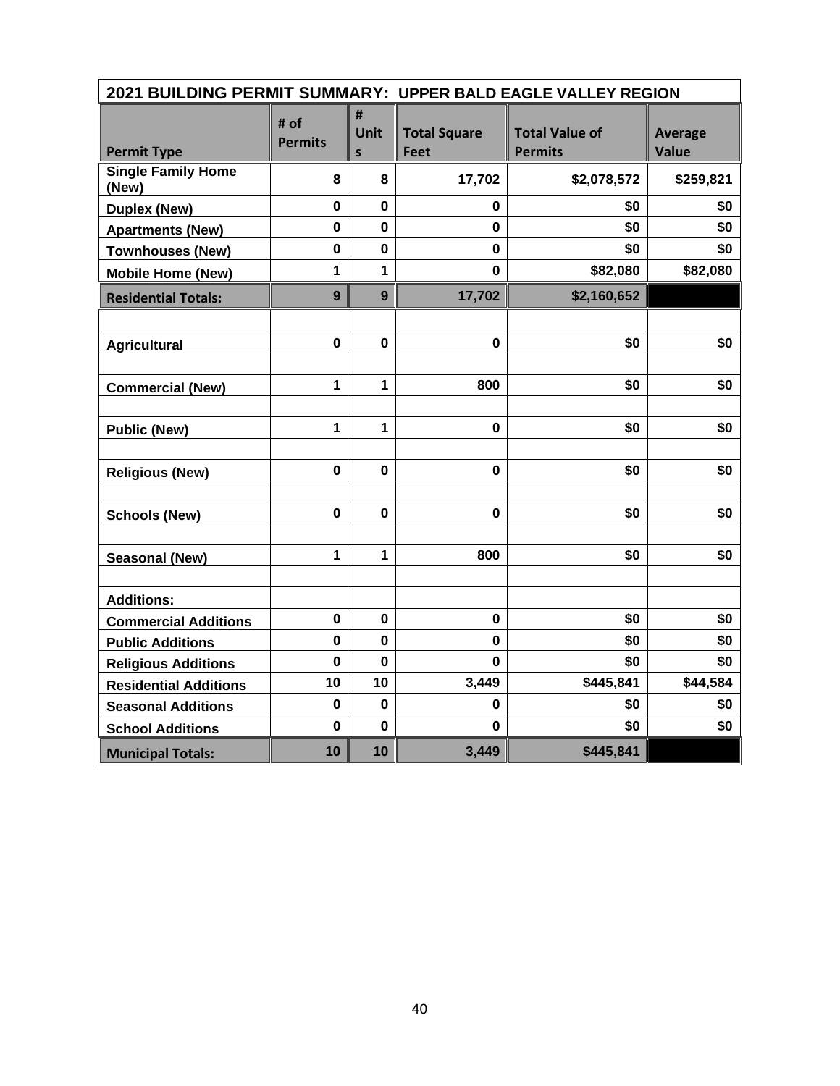| 2021 BUILDING PERMIT SUMMARY: UPPER BALD EAGLE VALLEY REGION |                        |                       |                             |                                         |                                |  |  |  |
|--------------------------------------------------------------|------------------------|-----------------------|-----------------------------|-----------------------------------------|--------------------------------|--|--|--|
| <b>Permit Type</b>                                           | # of<br><b>Permits</b> | #<br><b>Unit</b><br>S | <b>Total Square</b><br>Feet | <b>Total Value of</b><br><b>Permits</b> | <b>Average</b><br><b>Value</b> |  |  |  |
| <b>Single Family Home</b><br>(New)                           | 8                      | 8                     | 17,702                      | \$2,078,572                             | \$259,821                      |  |  |  |
| <b>Duplex (New)</b>                                          | $\mathbf 0$            | $\mathbf{0}$          | 0                           | \$0                                     | \$0                            |  |  |  |
| <b>Apartments (New)</b>                                      | $\mathbf 0$            | $\mathbf 0$           | $\mathbf{0}$                | \$0                                     | \$0                            |  |  |  |
| <b>Townhouses (New)</b>                                      | 0                      | 0                     | 0                           | \$0                                     | \$0                            |  |  |  |
| <b>Mobile Home (New)</b>                                     | 1                      | 1                     | 0                           | \$82,080                                | \$82,080                       |  |  |  |
| <b>Residential Totals:</b>                                   | 9                      | 9                     | 17,702                      | \$2,160,652                             |                                |  |  |  |
|                                                              |                        |                       |                             |                                         |                                |  |  |  |
| <b>Agricultural</b>                                          | 0                      | $\mathbf{0}$          | 0                           | \$0                                     | \$0                            |  |  |  |
|                                                              |                        |                       |                             |                                         |                                |  |  |  |
| <b>Commercial (New)</b>                                      | 1                      | $\mathbf{1}$          | 800                         | \$0                                     | \$0                            |  |  |  |
|                                                              |                        |                       |                             |                                         |                                |  |  |  |
| <b>Public (New)</b>                                          | 1                      | $\mathbf{1}$          | $\mathbf 0$                 | \$0                                     | \$0                            |  |  |  |
|                                                              |                        |                       |                             |                                         |                                |  |  |  |
| <b>Religious (New)</b>                                       | 0                      | 0                     | 0                           | \$0                                     | \$0                            |  |  |  |
|                                                              |                        |                       |                             |                                         |                                |  |  |  |
| <b>Schools (New)</b>                                         | $\mathbf 0$            | $\mathbf 0$           | $\mathbf 0$                 | \$0                                     | \$0                            |  |  |  |
|                                                              |                        |                       |                             |                                         |                                |  |  |  |
| <b>Seasonal (New)</b>                                        | 1                      | 1                     | 800                         | \$0                                     | \$0                            |  |  |  |
|                                                              |                        |                       |                             |                                         |                                |  |  |  |
| <b>Additions:</b>                                            |                        |                       |                             |                                         |                                |  |  |  |
| <b>Commercial Additions</b>                                  | 0                      | 0                     | $\mathbf 0$                 | \$0                                     | \$0                            |  |  |  |
| <b>Public Additions</b>                                      | $\mathbf 0$            | $\mathbf 0$           | 0                           | \$0                                     | \$0                            |  |  |  |
| <b>Religious Additions</b>                                   | $\mathbf 0$            | $\mathbf 0$           | 0                           | \$0                                     | \$0                            |  |  |  |
| <b>Residential Additions</b>                                 | 10                     | 10                    | 3,449                       | \$445,841                               | \$44,584                       |  |  |  |
| <b>Seasonal Additions</b>                                    | $\mathbf 0$            | $\mathbf 0$           | 0                           | \$0                                     | \$0                            |  |  |  |
| <b>School Additions</b>                                      | $\mathbf 0$            | $\mathbf 0$           | 0                           | \$0                                     | \$0                            |  |  |  |
| <b>Municipal Totals:</b>                                     | 10                     | 10                    | 3,449                       | \$445,841                               |                                |  |  |  |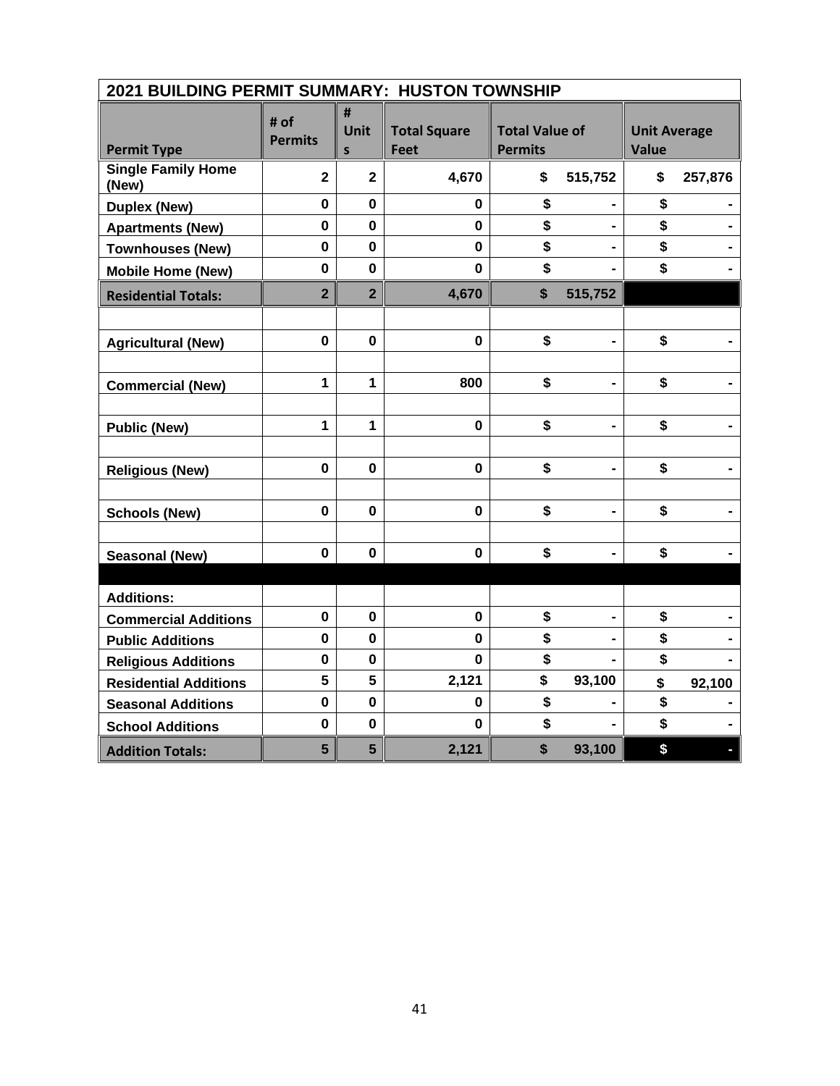| 2021 BUILDING PERMIT SUMMARY: HUSTON TOWNSHIP |                        |                           |                                    |                                         |                |                                     |         |  |
|-----------------------------------------------|------------------------|---------------------------|------------------------------------|-----------------------------------------|----------------|-------------------------------------|---------|--|
| <b>Permit Type</b>                            | # of<br><b>Permits</b> | #<br>Unit<br>$\mathsf{s}$ | <b>Total Square</b><br><b>Feet</b> | <b>Total Value of</b><br><b>Permits</b> |                | <b>Unit Average</b><br><b>Value</b> |         |  |
| <b>Single Family Home</b><br>(New)            | $\mathbf{2}$           | $\mathbf{2}$              | 4,670                              | \$                                      | 515,752        | \$                                  | 257,876 |  |
| <b>Duplex (New)</b>                           | $\mathbf 0$            | $\mathbf 0$               | 0                                  | \$                                      |                | \$                                  |         |  |
| <b>Apartments (New)</b>                       | $\mathbf 0$            | $\mathbf 0$               | $\mathbf 0$                        | \$                                      |                | \$                                  |         |  |
| <b>Townhouses (New)</b>                       | $\mathbf 0$            | $\mathbf 0$               | $\mathbf 0$                        | \$                                      |                | \$                                  |         |  |
| <b>Mobile Home (New)</b>                      | $\mathbf 0$            | $\mathbf 0$               | $\mathbf 0$                        | \$                                      |                | \$                                  |         |  |
| <b>Residential Totals:</b>                    | $\overline{2}$         | $\overline{2}$            | 4,670                              | \$                                      | 515,752        |                                     |         |  |
|                                               | $\mathbf 0$            | $\mathbf 0$               | 0                                  | \$                                      |                | \$                                  |         |  |
| <b>Agricultural (New)</b>                     |                        |                           |                                    |                                         | $\blacksquare$ |                                     |         |  |
| <b>Commercial (New)</b>                       | 1                      | 1                         | 800                                | \$                                      | $\blacksquare$ | \$                                  |         |  |
| <b>Public (New)</b>                           | 1                      | 1                         | 0                                  | \$                                      |                | \$                                  |         |  |
| <b>Religious (New)</b>                        | $\mathbf 0$            | $\mathbf 0$               | 0                                  | \$                                      | $\blacksquare$ | \$                                  |         |  |
| <b>Schools (New)</b>                          | $\bf{0}$               | $\mathbf 0$               | $\mathbf 0$                        | \$                                      |                | \$                                  |         |  |
| <b>Seasonal (New)</b>                         | $\mathbf 0$            | $\mathbf 0$               | $\mathbf 0$                        | \$                                      |                | \$                                  |         |  |
| <b>Additions:</b>                             |                        |                           |                                    |                                         |                |                                     |         |  |
| <b>Commercial Additions</b>                   | $\mathbf 0$            | $\bf{0}$                  | 0                                  | \$                                      |                | \$                                  |         |  |
| <b>Public Additions</b>                       | $\mathbf 0$            | $\mathbf 0$               | $\mathbf 0$                        | \$                                      |                | \$                                  |         |  |
| <b>Religious Additions</b>                    | $\mathbf 0$            | $\mathbf 0$               | $\mathbf{0}$                       | \$                                      |                | \$                                  |         |  |
| <b>Residential Additions</b>                  | 5                      | 5                         | 2,121                              | \$                                      | 93,100         | \$                                  | 92,100  |  |
| <b>Seasonal Additions</b>                     | $\pmb{0}$              | $\pmb{0}$                 | 0                                  | \$                                      |                | \$                                  |         |  |
| <b>School Additions</b>                       | $\mathbf 0$            | $\mathbf 0$               | $\mathbf 0$                        | \$                                      | $\blacksquare$ | \$                                  |         |  |
| <b>Addition Totals:</b>                       | 5                      | $5\phantom{1}$            | 2,121                              | \$                                      | 93,100         | \$                                  |         |  |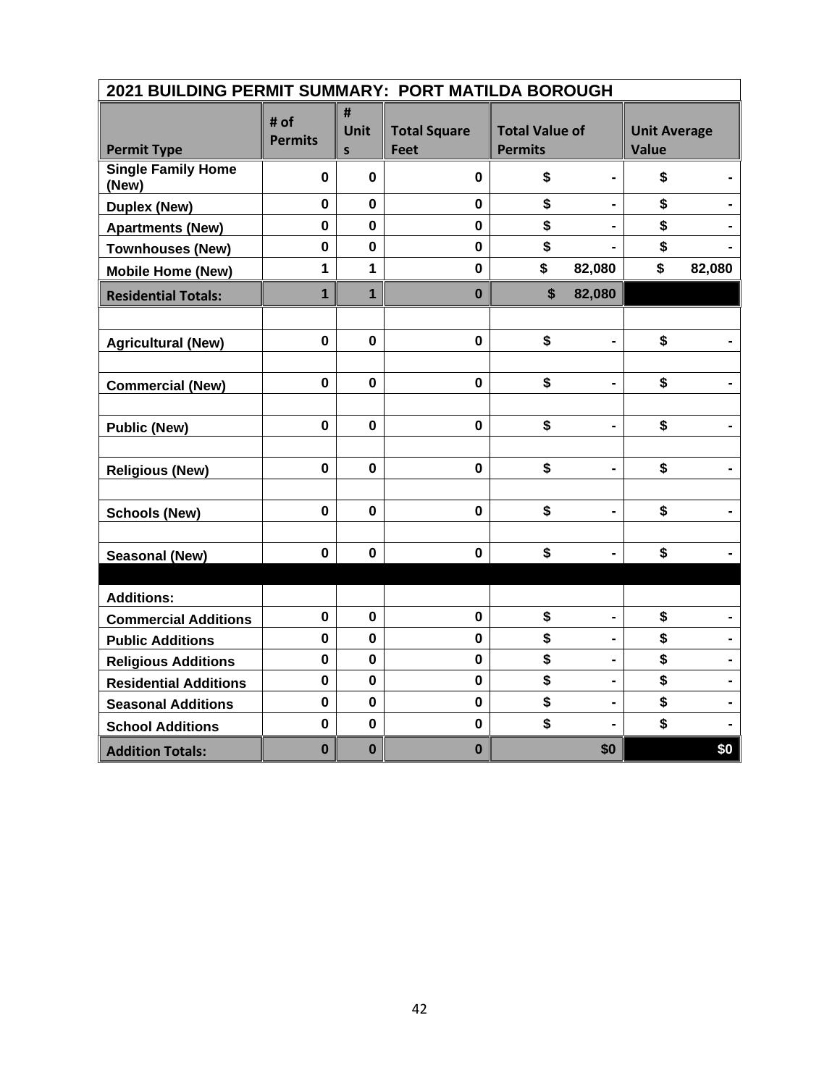| 2021 BUILDING PERMIT SUMMARY: PORT MATILDA BOROUGH |                        |                |                                    |                                         |                |                                     |                |  |
|----------------------------------------------------|------------------------|----------------|------------------------------------|-----------------------------------------|----------------|-------------------------------------|----------------|--|
| <b>Permit Type</b>                                 | # of<br><b>Permits</b> | #<br>Unit<br>S | <b>Total Square</b><br><b>Feet</b> | <b>Total Value of</b><br><b>Permits</b> |                | <b>Unit Average</b><br><b>Value</b> |                |  |
| <b>Single Family Home</b><br>(New)                 | 0                      | 0              | 0                                  | \$                                      |                | \$                                  |                |  |
| <b>Duplex (New)</b>                                | 0                      | $\bf{0}$       | $\mathbf 0$                        | \$                                      |                | \$                                  |                |  |
| <b>Apartments (New)</b>                            | $\pmb{0}$              | $\mathbf 0$    | $\pmb{0}$                          | \$                                      |                | \$                                  |                |  |
| <b>Townhouses (New)</b>                            | $\pmb{0}$              | $\mathbf 0$    | $\mathbf 0$                        | \$                                      |                | \$                                  |                |  |
| <b>Mobile Home (New)</b>                           | 1                      | 1              | $\mathbf 0$                        | \$                                      | 82,080         | \$                                  | 82,080         |  |
| <b>Residential Totals:</b>                         | 1                      | $\mathbf 1$    | $\bf{0}$                           | $\boldsymbol{\mathsf{s}}$               | 82,080         |                                     |                |  |
|                                                    |                        |                |                                    |                                         |                |                                     |                |  |
| <b>Agricultural (New)</b>                          | $\mathbf 0$            | $\mathbf 0$    | $\mathbf 0$                        | \$                                      |                | \$                                  |                |  |
|                                                    |                        |                |                                    |                                         |                |                                     |                |  |
| <b>Commercial (New)</b>                            | $\mathbf 0$            | $\mathbf 0$    | $\mathbf 0$                        | \$                                      |                | \$                                  | $\blacksquare$ |  |
|                                                    |                        |                |                                    |                                         |                |                                     |                |  |
| <b>Public (New)</b>                                | $\mathbf 0$            | $\mathbf 0$    | $\mathbf 0$                        | \$                                      |                | \$                                  |                |  |
|                                                    |                        |                |                                    |                                         |                |                                     |                |  |
| <b>Religious (New)</b>                             | $\mathbf 0$            | 0              | $\mathbf 0$                        | \$                                      |                | \$                                  |                |  |
|                                                    |                        |                |                                    |                                         |                |                                     |                |  |
| <b>Schools (New)</b>                               | $\mathbf 0$            | $\mathbf 0$    | $\mathbf 0$                        | \$                                      | $\blacksquare$ | \$                                  |                |  |
|                                                    |                        |                |                                    |                                         |                |                                     |                |  |
| <b>Seasonal (New)</b>                              | $\mathbf 0$            | $\mathbf 0$    | $\mathbf 0$                        | \$                                      |                | \$                                  |                |  |
| <b>Additions:</b>                                  |                        |                |                                    |                                         |                |                                     |                |  |
| <b>Commercial Additions</b>                        | $\mathbf 0$            | $\mathbf 0$    | $\mathbf 0$                        | \$                                      | $\blacksquare$ | \$                                  |                |  |
| <b>Public Additions</b>                            | $\mathbf 0$            | $\mathbf 0$    | $\mathbf 0$                        | \$                                      |                | \$                                  |                |  |
| <b>Religious Additions</b>                         | $\mathbf 0$            | $\mathbf 0$    | $\mathbf 0$                        | \$                                      |                | \$                                  |                |  |
| <b>Residential Additions</b>                       | $\mathbf 0$            | $\mathbf 0$    | $\mathbf 0$                        | \$                                      |                | \$                                  |                |  |
| <b>Seasonal Additions</b>                          | $\pmb{0}$              | $\mathbf 0$    | $\mathbf 0$                        | \$                                      | -              | \$                                  |                |  |
| <b>School Additions</b>                            | $\pmb{0}$              | $\mathbf 0$    | 0                                  | \$                                      | $\blacksquare$ | \$                                  |                |  |
| <b>Addition Totals:</b>                            | $\bf{0}$               | $\bf{0}$       | $\bf{0}$                           |                                         | \$0            |                                     | \$0            |  |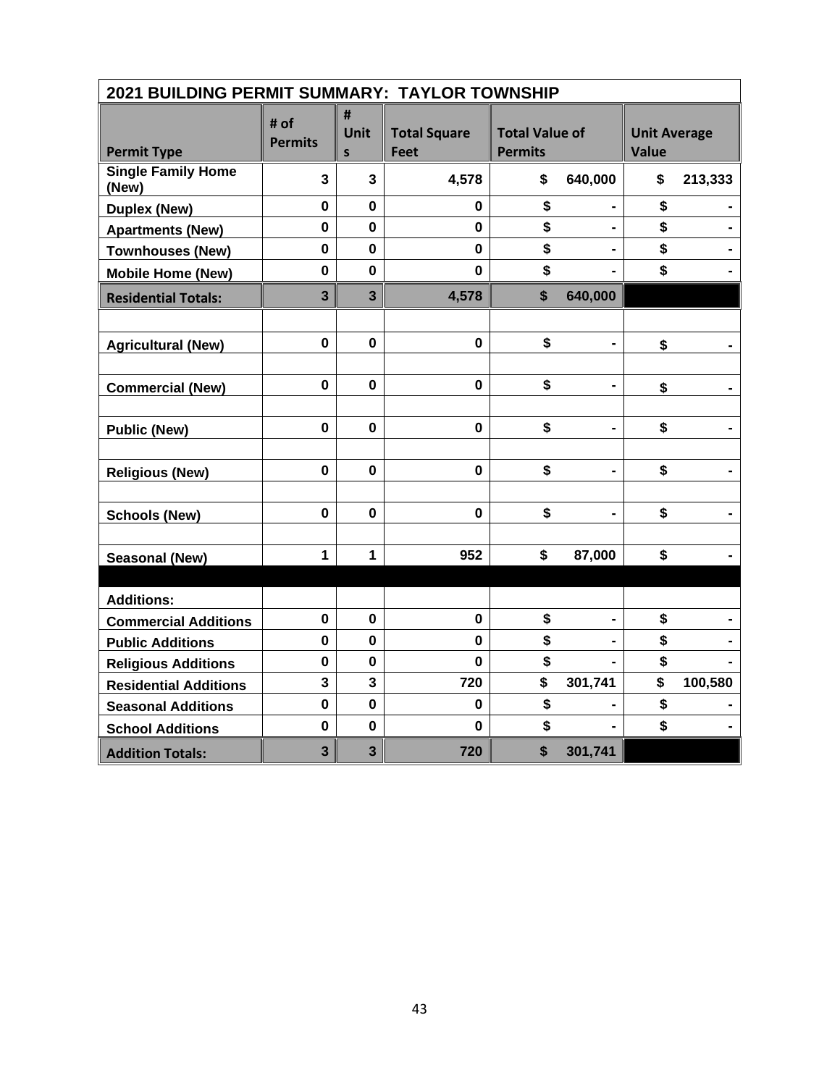| 2021 BUILDING PERMIT SUMMARY: TAYLOR TOWNSHIP |                         |                         |                                    |                                         |                |                                     |         |  |
|-----------------------------------------------|-------------------------|-------------------------|------------------------------------|-----------------------------------------|----------------|-------------------------------------|---------|--|
| <b>Permit Type</b>                            | # of<br><b>Permits</b>  | #<br>Unit<br>S          | <b>Total Square</b><br><b>Feet</b> | <b>Total Value of</b><br><b>Permits</b> |                | <b>Unit Average</b><br><b>Value</b> |         |  |
| <b>Single Family Home</b><br>(New)            | 3                       | $\overline{\mathbf{3}}$ | 4,578                              | \$                                      | 640,000        | \$                                  | 213,333 |  |
| <b>Duplex (New)</b>                           | $\mathbf 0$             | $\mathbf{0}$            | 0                                  | \$                                      |                | \$                                  |         |  |
| <b>Apartments (New)</b>                       | 0                       | 0                       | $\mathbf 0$                        | \$                                      | $\blacksquare$ | \$                                  |         |  |
| <b>Townhouses (New)</b>                       | $\mathbf 0$             | $\mathbf 0$             | $\mathbf 0$                        | \$                                      |                | \$                                  |         |  |
| <b>Mobile Home (New)</b>                      | $\mathbf 0$             | $\mathbf 0$             | $\mathbf 0$                        | \$                                      |                | \$                                  |         |  |
| <b>Residential Totals:</b>                    | $\overline{\mathbf{3}}$ | $\overline{3}$          | 4,578                              | \$                                      | 640,000        |                                     |         |  |
|                                               |                         |                         |                                    |                                         |                |                                     |         |  |
| <b>Agricultural (New)</b>                     | $\mathbf{0}$            | $\bf{0}$                | $\mathbf 0$                        | \$                                      | $\blacksquare$ | \$                                  |         |  |
|                                               |                         |                         |                                    |                                         |                |                                     |         |  |
| <b>Commercial (New)</b>                       | $\mathbf 0$             | $\mathbf 0$             | $\mathbf 0$                        | \$                                      |                | \$                                  |         |  |
|                                               |                         |                         |                                    |                                         |                |                                     |         |  |
| <b>Public (New)</b>                           | $\mathbf 0$             | 0                       | $\mathbf 0$                        | \$                                      | -              | \$                                  |         |  |
|                                               |                         |                         |                                    |                                         |                |                                     |         |  |
| <b>Religious (New)</b>                        | $\mathbf 0$             | 0                       | $\mathbf 0$                        | \$                                      | $\blacksquare$ | \$                                  |         |  |
|                                               |                         |                         |                                    |                                         |                |                                     |         |  |
| <b>Schools (New)</b>                          | $\mathbf 0$             | $\mathbf 0$             | $\mathbf 0$                        | \$                                      | -              | \$                                  |         |  |
|                                               |                         |                         |                                    |                                         |                |                                     |         |  |
| <b>Seasonal (New)</b>                         | $\mathbf{1}$            | $\mathbf{1}$            | 952                                | \$                                      | 87,000         | \$                                  |         |  |
|                                               |                         |                         |                                    |                                         |                |                                     |         |  |
| <b>Additions:</b>                             |                         |                         |                                    |                                         |                |                                     |         |  |
| <b>Commercial Additions</b>                   | $\mathbf 0$             | $\mathbf 0$             | $\mathbf 0$                        | \$                                      | -              | \$                                  |         |  |
| <b>Public Additions</b>                       | $\mathbf 0$             | $\mathbf 0$             | 0                                  | \$                                      |                | \$                                  |         |  |
| <b>Religious Additions</b>                    | $\mathbf 0$             | 0                       | $\mathbf 0$                        | \$                                      |                | \$                                  |         |  |
| <b>Residential Additions</b>                  | $\mathbf{3}$            | 3                       | 720                                | \$                                      | 301,741        | \$                                  | 100,580 |  |
| <b>Seasonal Additions</b>                     | $\mathbf 0$             | $\mathbf 0$             | 0                                  | \$                                      |                | \$                                  |         |  |
| <b>School Additions</b>                       | $\mathbf 0$             | $\mathbf 0$             | $\mathbf 0$                        | \$                                      |                | \$                                  |         |  |
| <b>Addition Totals:</b>                       | $\overline{\mathbf{3}}$ | $\overline{\mathbf{3}}$ | 720                                | \$                                      | 301,741        |                                     |         |  |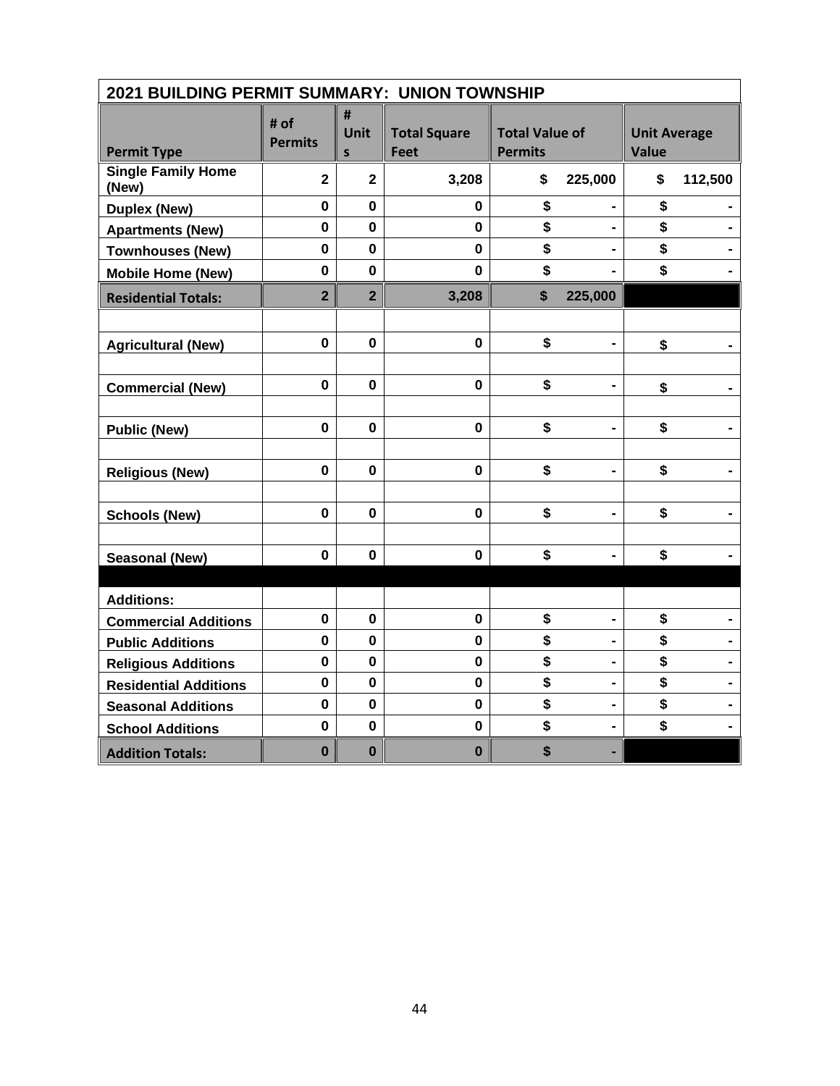| 2021 BUILDING PERMIT SUMMARY: UNION TOWNSHIP |                        |                       |                                    |                                         |                              |                                     |         |  |
|----------------------------------------------|------------------------|-----------------------|------------------------------------|-----------------------------------------|------------------------------|-------------------------------------|---------|--|
| <b>Permit Type</b>                           | # of<br><b>Permits</b> | #<br><b>Unit</b><br>S | <b>Total Square</b><br><b>Feet</b> | <b>Total Value of</b><br><b>Permits</b> |                              | <b>Unit Average</b><br><b>Value</b> |         |  |
| <b>Single Family Home</b><br>(New)           | $\mathbf 2$            | $\overline{2}$        | 3,208                              | \$                                      | 225,000                      | \$                                  | 112,500 |  |
| <b>Duplex (New)</b>                          | $\mathbf 0$            | $\mathbf{0}$          | 0                                  | \$                                      |                              | \$                                  |         |  |
| <b>Apartments (New)</b>                      | 0                      | 0                     | $\mathbf 0$                        | \$                                      | $\blacksquare$               | \$                                  |         |  |
| <b>Townhouses (New)</b>                      | $\mathbf 0$            | $\mathbf 0$           | $\mathbf 0$                        | \$                                      |                              | \$                                  |         |  |
| <b>Mobile Home (New)</b>                     | $\mathbf 0$            | $\mathbf 0$           | 0                                  | \$                                      |                              | \$                                  |         |  |
| <b>Residential Totals:</b>                   | $\overline{2}$         | $\overline{2}$        | 3,208                              | \$                                      | 225,000                      |                                     |         |  |
|                                              |                        |                       |                                    |                                         |                              |                                     |         |  |
| <b>Agricultural (New)</b>                    | $\mathbf{0}$           | $\bf{0}$              | $\mathbf 0$                        | \$                                      | $\blacksquare$               | \$                                  |         |  |
|                                              |                        |                       |                                    |                                         |                              |                                     |         |  |
| <b>Commercial (New)</b>                      | $\mathbf 0$            | $\mathbf 0$           | $\mathbf 0$                        | \$                                      |                              | \$                                  |         |  |
|                                              |                        |                       |                                    |                                         |                              |                                     |         |  |
| <b>Public (New)</b>                          | $\pmb{0}$              | 0                     | $\mathbf 0$                        | \$                                      | -                            | \$                                  |         |  |
| <b>Religious (New)</b>                       | $\mathbf 0$            | 0                     | $\mathbf 0$                        | \$                                      | $\blacksquare$               | \$                                  |         |  |
|                                              |                        |                       |                                    |                                         |                              |                                     |         |  |
| <b>Schools (New)</b>                         | $\mathbf 0$            | $\mathbf 0$           | $\mathbf 0$                        | \$                                      | $\qquad \qquad \blacksquare$ | \$                                  |         |  |
|                                              |                        |                       |                                    |                                         |                              |                                     |         |  |
| <b>Seasonal (New)</b>                        | $\mathbf 0$            | $\mathbf 0$           | $\mathbf 0$                        | \$                                      |                              | \$                                  |         |  |
|                                              |                        |                       |                                    |                                         |                              |                                     |         |  |
| <b>Additions:</b>                            |                        |                       |                                    |                                         |                              |                                     |         |  |
| <b>Commercial Additions</b>                  | $\pmb{0}$              | $\mathbf 0$           | $\mathbf 0$                        | \$                                      | $\qquad \qquad \blacksquare$ | \$                                  |         |  |
| <b>Public Additions</b>                      | $\mathbf 0$            | $\mathbf 0$           | 0                                  | \$                                      |                              | \$                                  |         |  |
| <b>Religious Additions</b>                   | $\mathbf 0$            | $\mathbf 0$           | $\mathbf 0$                        | \$                                      | $\qquad \qquad \blacksquare$ | \$                                  |         |  |
| <b>Residential Additions</b>                 | $\mathbf 0$            | $\mathbf 0$           | $\mathbf 0$                        | \$                                      |                              | \$                                  |         |  |
| <b>Seasonal Additions</b>                    | $\mathbf 0$            | $\mathbf 0$           | $\mathbf 0$                        | \$                                      | $\blacksquare$               | \$                                  |         |  |
| <b>School Additions</b>                      | $\mathbf 0$            | $\mathbf 0$           | $\mathbf 0$                        | \$                                      |                              | \$                                  |         |  |
| <b>Addition Totals:</b>                      | $\bf{0}$               | $\bf{0}$              | $\bf{0}$                           | \$                                      |                              |                                     |         |  |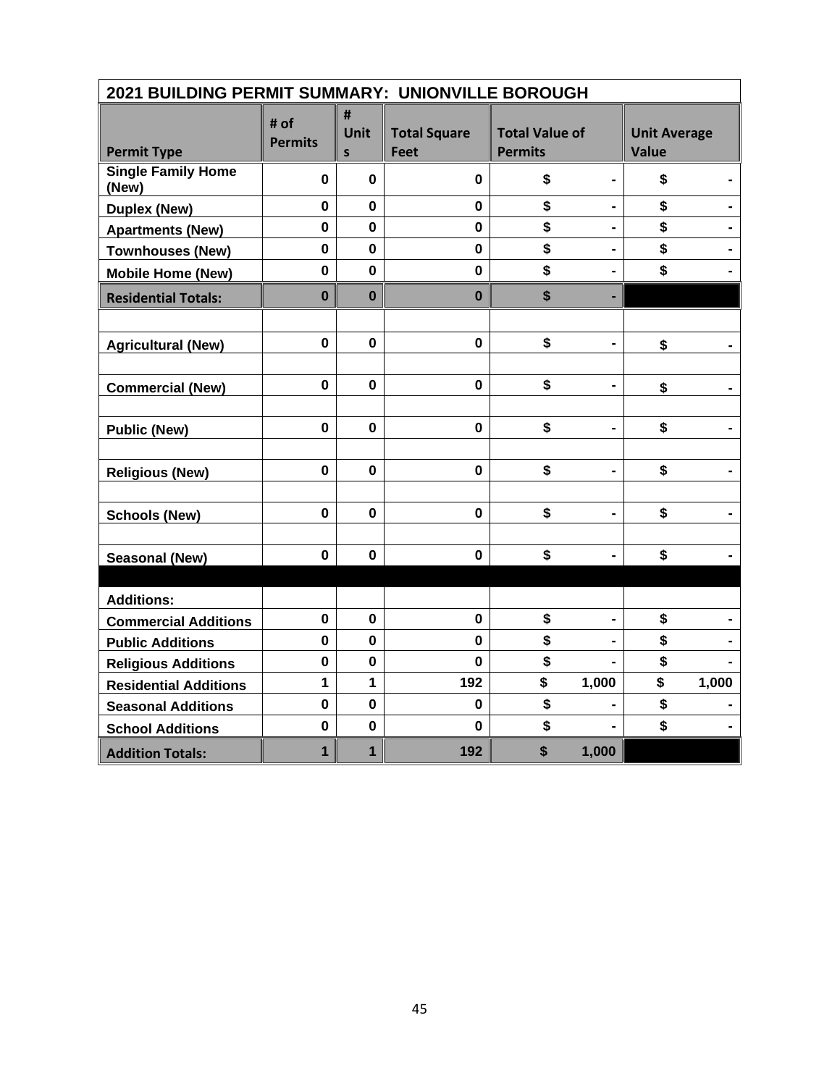| 2021 BUILDING PERMIT SUMMARY: UNIONVILLE BOROUGH |                        |                           |                                    |                                         |                              |                                     |       |  |
|--------------------------------------------------|------------------------|---------------------------|------------------------------------|-----------------------------------------|------------------------------|-------------------------------------|-------|--|
| <b>Permit Type</b>                               | # of<br><b>Permits</b> | #<br>Unit<br>$\mathsf{s}$ | <b>Total Square</b><br><b>Feet</b> | <b>Total Value of</b><br><b>Permits</b> |                              | <b>Unit Average</b><br><b>Value</b> |       |  |
| <b>Single Family Home</b><br>(New)               | 0                      | $\bf{0}$                  | 0                                  | \$                                      |                              | \$                                  |       |  |
| <b>Duplex (New)</b>                              | $\mathbf 0$            | $\mathbf 0$               | 0                                  | \$                                      |                              | \$                                  |       |  |
| <b>Apartments (New)</b>                          | $\mathbf 0$            | $\mathbf 0$               | $\mathbf 0$                        | \$                                      | $\blacksquare$               | \$                                  |       |  |
| <b>Townhouses (New)</b>                          | $\mathbf 0$            | $\mathbf 0$               | $\mathbf 0$                        | \$                                      |                              | \$                                  |       |  |
| <b>Mobile Home (New)</b>                         | $\mathbf 0$            | $\mathbf 0$               | $\mathbf 0$                        | \$                                      |                              | \$                                  |       |  |
| <b>Residential Totals:</b>                       | $\bf{0}$               | $\mathbf 0$               | $\bf{0}$                           | \$                                      |                              |                                     |       |  |
|                                                  |                        |                           |                                    |                                         |                              |                                     |       |  |
| <b>Agricultural (New)</b>                        | $\mathbf 0$            | $\mathbf{0}$              | $\mathbf 0$                        | \$                                      | $\qquad \qquad \blacksquare$ | \$                                  |       |  |
|                                                  |                        |                           |                                    |                                         |                              |                                     |       |  |
| <b>Commercial (New)</b>                          | $\mathbf 0$            | $\mathbf 0$               | $\mathbf{0}$                       | \$                                      |                              | \$                                  |       |  |
|                                                  |                        |                           |                                    |                                         |                              |                                     |       |  |
| <b>Public (New)</b>                              | $\mathbf 0$            | 0                         | $\mathbf 0$                        | \$                                      | $\blacksquare$               | \$                                  |       |  |
|                                                  |                        |                           |                                    |                                         |                              |                                     |       |  |
| <b>Religious (New)</b>                           | $\mathbf{0}$           | $\bf{0}$                  | $\mathbf 0$                        | \$                                      | $\qquad \qquad \blacksquare$ | \$                                  |       |  |
|                                                  |                        |                           |                                    |                                         |                              |                                     |       |  |
| <b>Schools (New)</b>                             | $\mathbf 0$            | $\bf{0}$                  | $\mathbf 0$                        | \$                                      |                              | \$                                  |       |  |
|                                                  |                        |                           |                                    |                                         |                              |                                     |       |  |
| <b>Seasonal (New)</b>                            | $\mathbf 0$            | 0                         | $\mathbf 0$                        | \$                                      |                              | \$                                  |       |  |
|                                                  |                        |                           |                                    |                                         |                              |                                     |       |  |
| <b>Additions:</b>                                |                        |                           |                                    |                                         |                              |                                     |       |  |
| <b>Commercial Additions</b>                      | $\mathbf 0$            | $\mathbf 0$               | $\mathbf 0$                        | \$                                      |                              | \$                                  |       |  |
| <b>Public Additions</b>                          | $\mathbf 0$            | $\mathbf 0$               | $\mathbf 0$                        | \$                                      |                              | \$                                  |       |  |
| <b>Religious Additions</b>                       | $\mathbf 0$            | $\mathbf 0$               | 0                                  | \$                                      |                              | \$                                  |       |  |
| <b>Residential Additions</b>                     | $\mathbf{1}$           | 1                         | 192                                | \$                                      | 1,000                        | \$                                  | 1,000 |  |
| <b>Seasonal Additions</b>                        | $\mathbf 0$            | $\mathbf 0$               | $\mathbf{0}$                       | \$                                      |                              | \$                                  |       |  |
| <b>School Additions</b>                          | $\mathbf 0$            | $\mathbf 0$               | $\mathbf 0$                        | \$                                      |                              | \$                                  |       |  |
| <b>Addition Totals:</b>                          | 1                      | $\mathbf{1}$              | 192                                | \$                                      | 1,000                        |                                     |       |  |